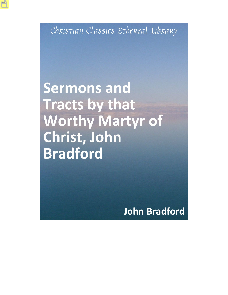Christian Classics Ethereal Library

**Sermons and Tracts by that Worthy Martyr of** Christ, John **Bradford** 

**John Bradford**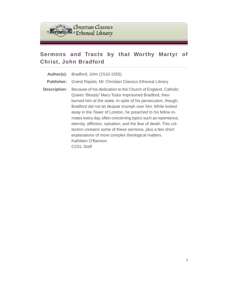

## **Sermons and Tracts by that Worthy Martyr of Christ, John Bradford**

| Author(s):          | Bradford, John (1510-1555)                                                                                                                                                                                                                                                                                                                                                                                                                                                                                                                                                                                        |
|---------------------|-------------------------------------------------------------------------------------------------------------------------------------------------------------------------------------------------------------------------------------------------------------------------------------------------------------------------------------------------------------------------------------------------------------------------------------------------------------------------------------------------------------------------------------------------------------------------------------------------------------------|
| <b>Publisher:</b>   | Grand Rapids, MI: Christian Classics Ethereal Library                                                                                                                                                                                                                                                                                                                                                                                                                                                                                                                                                             |
| <b>Description:</b> | Because of his dedication to the Church of England, Catholic<br>Queen "Bloody" Mary Tudor imprisoned Bradford, then<br>burned him at the stake. In spite of his persecution, though,<br>Bradford did not let despair triumph over him. While locked<br>away in the Tower of London, he preached to his fellow in-<br>mates every day, often concerning topics such as repentance,<br>eternity, affliction, salvation, and the fear of death. This col-<br>lection contains some of these sermons, plus a few short<br>explanations of more complex theological matters.<br>Kathleen O'Bannon<br><b>CCEL Staff</b> |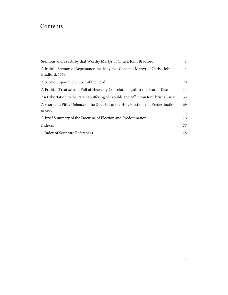# Contents

| Sermons and Tracts by that Worthy Martyr of Christ, John Bradford                               |                |
|-------------------------------------------------------------------------------------------------|----------------|
| A fruitful Sermon of Repentance, made by that Constant Martyr of Christ, John<br>Bradford, 1553 | $\overline{4}$ |
| A Sermon upon the Supper of the Lord                                                            |                |
| A Fruitful Treatise, and Full of Heavenly Consolation against the Fear of Death                 |                |
| An Exhortation to the Patient Suffering of Trouble and Affliction for Christ's Cause            |                |
| A Short and Pithy Defence of the Doctrine of the Holy Election and Predestination<br>of God     | 69             |
| A Brief Summary of the Doctrine of Election and Predestination                                  | 76             |
| Indexes                                                                                         |                |
| Index of Scripture References                                                                   | 78             |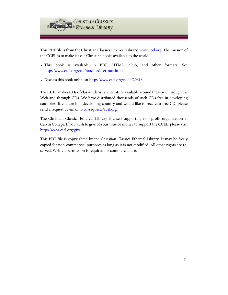

This PDF file is from the Christian Classics Ethereal Library, [www.ccel.org.](http://www.ccel.org) The mission of the CCEL is to make classic Christian books available to the world.

- This book is available in PDF, HTML, ePub, and other formats. See [http://www.ccel.org/ccel/bradford/sertract.html.](http://www.ccel.org/ccel/bradford/sertract.html)
- Discuss this book online at [http://www.ccel.org/node/20616.](http://www.ccel.org/node/20616)

The CCEL makes CDs of classic Christian literature available around the world through the Web and through CDs. We have distributed thousands of such CDs free in developing countries. If you are in a developing country and would like to receive a free CD, please send a request by email to [cd-request@ccel.org.](mailto:cd-request@ccel.org)

The Christian Classics Ethereal Library is a self supporting non-profit organization at Calvin College. If you wish to give of your time or money to support the CCEL, please visit [http://www.ccel.org/give.](http://www.ccel.org/give)

This PDF file is copyrighted by the Christian Classics Ethereal Library. It may be freely copied for non-commercial purposes as long as it is not modified. All other rights are reserved. Written permission is required for commercial use.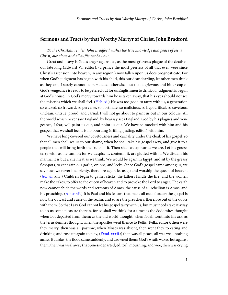#### <span id="page-4-0"></span>**Sermons and Tracts by that Worthy Martyr of Christ, John Bradford**

To the Christian reader, John Bradford wishes the true knowledge and peace of Jesus Christ, our alone and all-sufficient Saviour.

Great and heavy is God's anger against us, as the most grievous plague of the death of our late king (Edward VI, editor), (a prince the most peerless of all that ever were since Christ's ascension into heaven, in any region,) now fallen upon us does prognosticate. For when God's judgment has begun with his child, this our dear dearling, let other men think as they can, I surely cannot be persuaded otherwise, but that a grievous and bitter cup of God's vengeance is ready to be petered out for us Englishmen to drink of. Judgment is begun at God's house. In God's mercy towards him he is taken away, that his eyes should not see the miseries which we shall feel. [\(Heb. xi.](http://www.ccel.org/study/Bible:Heb.11)) He was too good to tarry with us, a generation so wicked, so froward, so perverse, so obstinate, so malicious, so hypocritical, so covetous, unclean, untrue, proud, and carnal. I will not go about to paint us out in our colours. All the world which never saw England, by hearsay sees England; God by his plagues and vengeance, I fear, will paint us out, and point us out. We have so mocked with him and his gospel, that we shall feel it is no bourding (trifling, jesting, editor) with him.

We have long covered our covetousness and carnality under the cloak of his gospel, so that all men shall see us to our shame, when he shall take his gospel away, and give it to a people that will bring forth the fruits of it. Then shall we appear as we are. Let his gospel tarry with us, he cannot; for we despise it, contemn it, are glutted with it. We disdain his manna, it is but a vile meat as we think. We would be again in Egypt, and sit by the greasy fleshpots, to eat again our garlic, onions, and leeks. Since God's gospel came among us, we say now, we never had plenty, therefore again let us go and worship the queen of heaven. ([Jer. vii.](http://www.ccel.org/study/Bible:Jer.7) xliv.) Children begin to gather sticks, the fathers kindle the fire, and the women make the cakes, to offer to the queen of heaven and to provoke the Lord to anger. The earth now cannot abide the words and sermons of Amos; the cause of all rebellion is Amos, and his preaching. [\(Amos vii.](http://www.ccel.org/study/Bible:Amos.7)) It is Paul and his fellows that make all out of order; the gospel is now the outcast and curse of the realm, and so are the preachers, therefore out of the doors with them. So that I say God cannot let his gospel tarry with us, but must needs take it away to do us some pleasure therein, for so shall we think for a time; as the Sodomites thought when Lot departed from them; as the old world thought, when Noah went into his ark; as the Jerusalemites thought, when the apostles went thence to Peltis (Pella, editor); then were they merry, then was all pastime; when Moses was absent, then went they to eating and drinking, and rose up again to play, [\(Exod. xxxii.](http://www.ccel.org/study/Bible:Exod.32);) then was all peace, all was well, nothing amiss. But, alas! the flood came suddenly, and drowned them; God's wrath waxed hot against them; then was weal away (happiness departed, editor), mourning, and woe; then was crying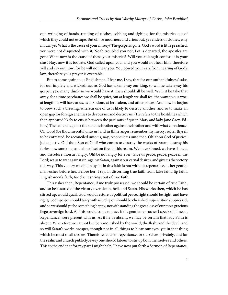out, wringing of hands, rending of clothes, sobbing and sighing, for the miseries out of which they could not escape. But oh! ye mourners and criers out, ye renders of clothes, why mourn ye? What is the cause of your misery? The gospel is gone, God's word is little preached, you were not disquieted with it; Noah troubled you not, Lot is departed, the apostles are gone What now is the cause of these your miseries? Will you at length confess it is your sins? Nay, now it is too late, God called upon you, and you would not hear him, therefore yell and cry out now, for he will not hear you. You bowed your ears from hearing of God's law, therefore your prayer is execrable.

But to come again to us Englishmen. I fear me, I say, that for our unthankfulness' sake, for our impiety and wickedness, as God has taken away our king, so will he take away his gospel; yea, many think so we would have it, then should all be well. Well, if he take that away, for a time perchance we shall be quiet, but at length we shall feel the want to our woe; at length he will have at us, as at Sodom, at Jerusalem, and other places. And now he begins to brew such a brewing, wherein one of us is likely to destroy another, and so to make an open gap for foreign enemies to devour us, and destroy us. (He refers to the hostilities which then appeared likely to ensue between the partisans of queen Mary and lady Jane Grey. Editor.) The father is against the son, the brother against the brother and with what conscience! Oh, Lord !be thou merciful unto us! and in thine anger remember thy mercy; suffer thyself to be entreated, be reconciled unto us, nay, reconcile us unto thee. Oh! thou God of justice! judge justly. Oh! thou Son of God! who comes to destroy the works of Satan, destroy his furies now smoking, and almost set on fire, in this realm. We have sinned, we have sinned, and therefore thou art angry. Oh! be not angry for ever. Give us peace, peace, peace in the Lord; set us to war against sin, against Satan, against our carnal desires, and give us the victory this way. This victory we obtain by faith; this faith is not without repentance, as her gentleman-usher before her. Before her, I say, in discerning true faith from false faith; lip faith, English-men's faith; for else it springs out of true faith.

This usher then, Repentance, if me truly possessed, we should be certain of true Faith, and so be assured of the victory over death, hell, and Satan. His works then, which he has stirred up, would quail. God would restore us political peace, right should be right, and have right; God's gospel should tarry with us, religion should be cherished, superstition suppressed, and so we should yet be something happy, notwithstanding the great loss of our most gracious liege sovereign lord. All this would come to pass, if the gentleman-usher I speak of, I mean, Repentance, were present with us. As if he be absent, we may be certain that lady Faith is absent. Wherefore we cannot but be vanquished by the world, the flesh, and the devil, and so will Satan's works prosper, though not in all things to blear our eyes, yet in that thing which he most of all desires. Therefore let us to repentance for ourselves privately, and for the realm and church publicly; every one should labour to stir up both themselves and others. This to the end that for my part I might help, I have now put forth a Sermon of Repentance,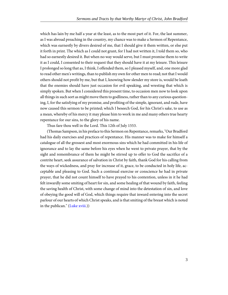which has lain by me half a year at the least, as to the most part of it. For, the last summer, as I was abroad preaching in the country, my chance was to make a Sermon of Repentance, which was earnestly by divers desired of me, that I should give it them written, or else put it forth in print. The which as I could not grant, for I had not written it, I told them so, who had so earnestly desired it. But when no way would serve, but I must promise them to write it as I could, I consented to their request that they should have it at my leisure. This leisure I prolonged so long that as, I think, I offended them, so I pleased myself, and, one more glad to read other men's writings, than to publish my own for other men to read; not that I would others should not profit by me, but that I, knowing how slender my store is, would be loath that the enemies should have just occasion for evil speaking, and wresting that which is simply spoken. But when I considered this present time, to occasion men now to look upon all things in such sort as might move them to godliness, rather than to any curious questioning, I, for the satisfying of my promise, and profiting of the simple, ignorant, and rude, have now caused this sermon to be printed; which I beseech God, for his Christ's sake, to use as a mean, whereby of his mercy it may please him to work in me and many others true hearty repentance for our sins, to the glory of his name.

Thus fare thou well in the Lord. This 12th of July 1553.

(Thomas Sampson, in his preface to this Sermon on Repentance, remarks, "Our Bradford had his daily exercises and practices of repentance. His manner was to make for himself a catalogue of all the grossest and most enormous sins which he had committed in his life of ignorance and to lay the same before his eyes when he went to private prayer, that by the sight and remembrance of them he might be stirred up to offer to God the sacrifice of a contrite heart, seek assurance of salvation in Christ by faith, thank God for his calling from the ways of wickedness, and pray for increase of it, grace, to be conducted in holy life, acceptable and pleasing to God. Such a continual exercise or conscience he had in private prayer, that he did not count himself to have prayed to his contention, unless in it he had felt inwardly some smiting of heart for sin, and some healing of that wound by faith, feeling the saving health of Christ, with some change of mind into the detestation of sin, and love of obeying the good will of God, which things require that inward entering into the secret parlour of our hearts of which Christ speaks, and is that smiting of the breast which is noted in the publican." ([Luke xviii.\)](http://www.ccel.org/study/Bible:Luke.18))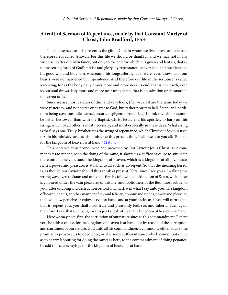## <span id="page-7-0"></span>**A fruitful Sermon of Repentance, made by that Constant Martyr of Christ, John Bradford, 1553**

The life we have at this present is the gift of God, in whom we live, move, and are, and therefore he is called Jehovah. For this life we should be thankful, and we may not in any wise use it after our own fancy, but only to the end for which it is given and lent us; that is, to the setting forth of God's praise and glory, by repentance, conversion, and obedience to his good will and holy laws whereunto his longsuffering, as it were, even draws us if our hearts were not hardened by impenitence. And therefore our life in the scripture is called a walking; for as the body daily draws more and more near its end, that is, the earth, even so our soul draws daily more and more near unto death, that is, to salvation or damnation, to heaven or hell!

Since we are most careless of this, and very fools, (for we, alas! are the same today we were yesterday, and not better or nearer to God, but rather nearer to hell, Satan, and perdition; being covetous, idle, carnal, secure, negligent, proud, &c.) I think my labour cannot be better bestowed, than with the Baptist, Christ Jesus, and his apostles, to harp on this string, which of all other is most necessary, and most especially in these days. What string is that? says one. Truly, brother, it is the string of repentance, which Christ our Saviour used first in his ministry; and as his minister at this present time, I will use it to you all, "Repent, for the kingdom of heaven is at hand." [Matt. iv.](http://www.ccel.org/study/Bible:Matt.4)

This sentence, thus pronounced and preached by Our Saviour Jesus Christ, as it commands us to repent, so to the doing of the same, it shows us a sufficient cause to stir us up thereunto, namely, because the kingdom of heaven, which is a kingdom of all joy, peace, riches, power and pleasure, is at hand, to all such as do repent. So that the meaning hereof is, as though our Saviour should thus speak at present: "Sirs, since I see you all walking the wrong way, even to Satan and unto hell-fire, by following the kingdom of Satan, which now is coloured under the vain pleasures of this life, and foolishness of the flesh most subtle, to your utter undoing and destruction behold and mark well what I say unto you, The kingdom of heaven, that is, another manner of joy and felicity, honour and riches, power and pleasure, than you now perceive or enjoy, is even at hand, and at your backs; as, if you will turn again, that is, repent you, you shall most truly and pleasantly feel, see, and inherit. Turn again therefore, I say, that is, repent; for this joy I speak of, even the kingdom of heaven is at hand.

Here we may note, first, the corruption of our nature since to this commandment, Repent you, he adds a clause, for the kingdom of heaven is at hand; for by reason of the corruption and sturdiness of our nature, God unto all his commandments commonly either adds some promise to provoke us to obedience, or else some sufficient cause which cannot but excite as to hearty labouring for doing the same; as here, to the commandment of doing penance, he add this cause, saying, for the kingdom of heaven is at hand.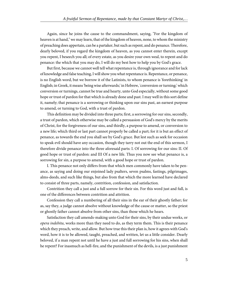Again, since he joins the cause to the commandment, saying, "For the kingdom of heaven is at hand," we may learn, that of the kingdom of heaven, none, to whom the ministry of preaching does appertain, can be a partaker, but such as repent, and do penance. Therefore, dearly beloved, if you regard the kingdom of heaven, as you cannot enter therein, except you repent, I beseech you all; of every estate, as you desire your own weal, to repent and do penance: the which that you may do, I will do my best how to help you by God's grace.

But first, because we cannot well tell what repentance is, through ignorance and for lack of knowledge and false teaching, I will show you what repentance is. Repentance, or penance, is no English word, but we borrow it of the Latinists, to whom penance is 'forethinking' in English; in Greek, it means 'being wise afterwards;' in Hebrew, 'conversion or turning;' which conversion or turnings, cannot be true and hearty, unto God especially, without some good hope or trust of pardon for that which is already done and past. I may well in this sort define it, namely; that penance is a sorrowing or thinking upon our sins past, an earnest purpose to amend, or turning to God, with a trust of pardon.

This definition may be divided into three parts; first, a sorrowing for our sins, secondly, a trust of pardon, which otherwise may be called a persuasion of God's mercy by the merits of Christ, for the forgiveness of our sins, and thirdly, a purpose to amend, or conversion to a new life; which third or last part cannot properly be called a part; for it is but an effect of penance, as towards the end you shall see by God's grace. But lest such as seek for occasion to speak evil should have any occasion, though they tarry not out the end of this sermon, I therefore divide penance into the three aforesaid parts: I. Of sorrowing for our sins: II. Of good hope or trust of pardon: and III Of a new life. Thus you now see what penance is, a sorrowing for sin, a purpose to amend, with a good hope or trust of pardon.

I. This penance not only differs from that which men commonly have taken to be penance, as saying and doing our enjoined lady psalters, seven psalms, fastings, pilgrimages, alms-deeds, and such like things, but also from that which the more learned have declared to consist of three parts, namely, contrition, confession, and satisfaction.

Contrition they call a just and a full sorrow for their sin. For this word just and full, is one of the differences between contrition and attrition.

Confession they call a numbering of all their sins in the ear of their ghostly father; for as, say they, a judge cannot absolve without knowledge of the cause or matter, so the priest or ghostly father cannot absolve from other sins, than those which he hears.

Satisfaction they call amends-making unto God for their sins, by their undue works, or opera indebita, works more than they need to do, as they term them. This is their penance which they preach, write, and allow. But how true this their plan is, how it agrees with God's word, how it is to be allowed, taught, preached, and written, let us a little consider. Dearly beloved, if a man repent not until he have a just and full sorrowing for his sins, when shall he repent? For inasmuch as hell-fire, and the punishment of the devils, is a just punishment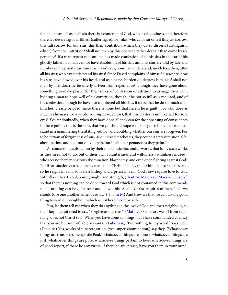for sin, inasmuch as in all sin there is a contempt of God, who is all goodness, and therefore there is a deserving of all illness (suffering, editor), alas! who can bear or feel this just sorrow, this full sorrow for our sins, this their contrition, which they do so discern (distinguish, editor) from their attrition? Shall not man by this doctrine rather despair than come by repentance? If a man repent not until he has made confession of all his sins in the ear of his ghostly father, if a man cannot have absolution of his sins until his sins are told by tale and number in the priest's ear, since, as David says, none can understand, much less, then, utter all his sins; who can understand his sins? Since David complains of himself elsewhere, how his sins have flowed over his head, and as a heavy burden do depress him, alas! shall not man by this doctrine be utterly driven from repentance? Though they have gone about something to make plaster for their sores, of confession or attrition to assuage their pain, bidding a man to hope well of his contrition, though it be not so full as is required, and of his confession, though he have not numbered all his sins, if so be that he do so much as in him lies. Dearly beloved, since there is none but that herein he is guilty; for who does as much as he may? trow ye (do you suppose, editor), that this plaster is not like salt for sore eyes? Yes, undoubtedly, when they have done all they can for the appeasing of consciences in these points, this is the sum, that we yet should hope well, but yet so hope that we must stand in a mammering (hesitating, editor) and doubting whether our sins are forgiven. For to be certain of forgiveness of sins, as our creed teaches us, they count it a presumption. Oh! abomination, and that not only herein, but in all their penance as they paint it.

As concerning satisfaction by their opera indebita, undue works, that is, by such works as they need not to do, but of their own voluntariness and wilfulness, (wilfulness indeed,) who sees not here monstrous abomination, blasphemy, and even open fighting against God? For if satisfaction can be done by man, then Christ died in vain for him that so satisfies; and so he reigns in vain, so is he a bishop and a priest in vein. God's law require love to God with all our heart, soul, power, might, and strength, [\(Deut. vi.](http://www.ccel.org/study/Bible:Deut.6) [Matt. xxii.](http://www.ccel.org/study/Bible:Matt.22) [Mark xii.](http://www.ccel.org/study/Bible:Mark.12) [Luke x.](http://www.ccel.org/study/Bible:Luke.10)) so that there is nothing can be done toward God which is not contained in this commandment, nothing can be done over and above this. Again, Christ requires of men, "that we should love one another as he loved us." ( [1 John iv.](http://www.ccel.org/study/Bible:1John.4)) And trow we that we can do any good thing toward our neighbour which is not herein comprised?

Yea, let them tell me when they do anything in the love of God and their neighbour, so that they had not need to cry, "Forgive us our sins?" [\(Matt. vi.](http://www.ccel.org/study/Bible:Matt.6)) So far are we off from satisfying, does not Christ say, "When you have done all things that I have commanded you, say that you are but unprofitable servants." [\(Luke xvii.](http://www.ccel.org/study/Bible:Luke.17)) "Put nothing to my word," says God. ([Deut. iv.\)](http://www.ccel.org/study/Bible:Deut.4) Yes, works of supererogation, (yea, super-abomination,) say they. "Whatsoever things are true, (says the apostle Paul,) whatsoever things are honest, whatsoever things are just, whatsoever things are pure, whatsoever things pertain to love, whatsoever things are of good report, if there be any virtue, if there be any praise, have you them in your mind,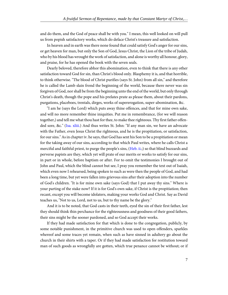and do them, and the God of peace shall be with you." I mean, this well looked on will pull us from popish satisfactory works, which do deface Christ's treasure and satisfaction.

In heaven and in earth was there none found that could satisfy God's anger for our sins, or get heaven for man, but only the Son of God, Jesus Christ, the Lion of the tribe of Judah, who by his blood has wrought the work of satisfaction, and alone is worthy all honour, glory, and praise, for he has opened the book with the seven seals.

Dearly beloved, therefore abhor this abomination, even to think that there is any other satisfaction toward God for sin, than Christ's blood only. Blasphemy it is, and that horrible, to think otherwise. "The blood of Christ purifies (says St. John) from all sin," and therefore he is called the Lamb slain frond the beginning of the world, because there never was sin forgiven of God, nor shall be from the beginning unto the end of the world, but only through Christ's death, though the pope and his prelates prate as please them, about their pardons, purgations, placeboes, trentals, dirges, works of supererogation, super-abomination, &c.

"I am he (says the Lord) which puts away thine offences, and that for mine own sake, and will no more remember thine iniquities. Put me in remembrance, (for we will reason together,) and tell me what thou hast for thee, to make thee righteous. Thy first father offended sore, &c." [\(Isa. xliii.\)](http://www.ccel.org/study/Bible:Isa.43) And thus writes St. John: "If any man sin, we have an advocate with the Father, even Jesus Christ the righteous, and he is the propitiation, or satisfaction, for our sins." As in chapter iv. he says, that God has sent his Son to be a propitiation or mean for the taking away of our sins, according to that which Paul writes, where he calls Christ a merciful and faithful priest, to purge the people's sins, [\(Heb. ii.](http://www.ccel.org/study/Bible:Heb.2);) so that blind buzzards and perverse papists are they, which yet will prate of our merits or works to satisfy for our sins, in part or in whole, before baptism or after. For to omit the testimonies I brought out of John and Paul, which the blind cannot but see, I pray you remember the text out of Isaiah, which even now I rehearsed, being spoken to such as were then the people of God, and had been a long time, but yet were fallen into grievous sins after their adoption into the number of God's children. "It is for mine own sake (says God) that I put away thy sins." Where is your parting of the stake now? If it is for God's own sake, if Christ is the propitiation; then recant, except you will become idolaters, making your works God and Christ. Say as David teaches us, "Not to us, Lord, not to us, but to thy name be the glory."

And it is to be noted, that God casts in their teeth, eyed the sin of their first father, lest they should think thin perchance for the righteousness and goodness of their good fathers, their sins might be the sooner pardoned, and so God accept their works.

If they had made satisfaction for that which is done to the congregation, publicly, by some notable punishment, in the primitive church was used to open offenders, sparkles whereof and some traces yet remain, when such as have sinned in adultery go about the church in their shirts with a taper. Or if they had made satisfaction for restitution toward man of such goods as wrongfully are gotten, which true penance cannot be without; or if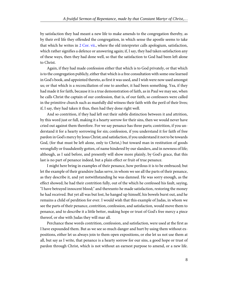by satisfaction they had meant a new life to make amends to the congregation thereby, as by their evil life they offended the congregation, in which sense the apostle seems to take that which he writes in [2 Cor. vii.](http://www.ccel.org/study/Bible:2Cor.7), where the old interpreter calls apologium, satisfaction, which rather signifies a defence or answering again; if, I say, they had taken satisfaction any of these ways, then they had done well, so that the satisfaction to God had been left alone to Christ.

Again, if they had made confession either that which is to God privately, or that which is to the congregation publicly, either that which is a free consultation with some one learned in God's book, and appointed thereto, as first it was used, and I wish were now used amongst us; or that which is a reconciliation of one to another, it had been something. Yea, if they had made it for faith, because it is a true demonstration of faith, as in Paul we may see, when he calls Christ the captain of our confession, that is, of our faith, so confessors were called in the primitive church such as manfully did witness their faith with the peril of their lives; if, I say, they had taken it thus, then had they done right well.

And so contrition, if they had left out their subtle distinction between it and attrition, by this word just or full, making it a hearty sorrow for their sins, then we would never have cried out against them therefore. For we say penance has three parts; contrition, if you understand it for a hearty sorrowing for sin; confession, if you understand it for faith of free pardon in God's mercy by Jesus Christ; and satisfaction, if you understand it not to be towards God, (for that must be left alone, only to Christ,) but toward man in restitution of goods wrongfully or fraudulently gotten, of name hindered by our slanders, and in newness of life; although, as I said before, and presently will show more plainly, by God's grace, that this last is no part of penance indeed, but a plain effect or fruit of true penance.

I might here bring in examples of their penance, how perilous it is to be embraced; but let the example of their grandsire Judas serve, in whom we see all the parts of their penance, as they describe it, and yet notwithstanding he was damned. He was sorry enough, as the effect showed; he had their contrition fully, out of the which he confessed his fault, saying, "I have betrayed innocent blood;" and thereunto he made satisfaction, restoring the money he had received. But yet all was but lost, he hanged up himself, his bowels burst out, and he remains a child of perdition for ever. I would wish that this example of Judas, in whom we see the parts of their penance, contrition, confession, and satisfaction, would move them to penance, and to describe it a little better, making hope or trust of God's free mercy a piece thereof, or else with Judas they will mar all.

Perchance these words contrition, confession, and satisfaction, were used at the first as I have expounded them. But as we see so much danger and hurt by using them without expositions, either let us always join to them open expositions, or else let us not use them at all, but say as I write, that penance is a hearty sorrow for our sins, a good hope or trust of pardon through Christ, which is not without an earnest purpose to amend, or a new life.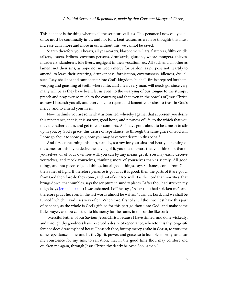This penance is the thing whereto all the scripture calls us. This penance I now call you all onto; must be continually in us, and not for a Lent season, as we have thought; this must increase daily more and more in us; without this, we cannot be saved.

Search therefore your hearts, all ye swearers, blasphemers, liars, flatterers, filthy or idle talkers, jesters, bribers, covetous persons, drunkards, gluttons, whore-mongers, thieves, murderers, slanderers, idle livers, negligent in their vocation, &c. All such and all other as lament not their sins, as hope not in God's mercy for pardon, as purpose not heartily to amend, to leave their swearing, drunkenness, fornication, covetousness, idleness, &c.; all such, I say, shall not and cannot enter into God's kingdom, but hell-fire is prepared for them, weeping and gnashing of teeth, whereunto, alas! I fear, very man, will needs go, since very many will be as they have been, let us even, to the wearying of our tongue to the stumps, preach and pray ever so much to the contrary; and that even in the bowels of Jesus Christ, as now I beseech you all, and every one, to repent and lament your sins, to trust in God's mercy, and to amend your lives.

Now methinks you are somewhat astonished, whereby I gather that at present you desire this repentance, that is, this sorrow, good hope, and newness of life; to the which that you may the rather attain, and get to your comforts. As I have gone about to be a mean to stir up in you, by God's grace, this desire of repentance, so through the same grace of God will I now go about to show you, how you may have your desire in this behalf.

And first, concerning this part, namely, sorrow for your sins and hearty lamenting of the same; for this if you desire the having of it, you must beware that you think not that of yourselves, or of your own free will, you can by any means get it. You may easily deceive yourselves, and mock yourselves, thinking more of yourselves than is seemly. All good things, and not pieces of good things, but all good things, says St. James, come from God, the Father of light. If therefore penance is good, as it is good, then the parts of it are good: from God therefore do they come, and not of our free will. It is the Lord that mortifies, that brings down, that humbles, says the scripture in sundry places. "After thou had stricken my thigh (says [Jeremiah xxxi.\)](http://www.ccel.org/study/Bible:Jer.31) I was ashamed. Lo!" he says, "After thou had stricken me", and therefore prays he; even in the last words almost he writes, "Turn us, Lord, and we shall be turned," which David uses very often. Wherefore, first of all, if thou wouldst have this part of penance, as the whole is God's gift, so for this part go thou unto God, and make some little prayer, as thou canst, unto his mercy for the same, in this or the like sort:

"Merciful Father of our Saviour Jesus Christ, because I have sinned, and done wickedly, and through thy goodness have received a desire of repentance, whereto this thy long-sufferance does draw my hard heart, I beseech thee, for thy mercy's sake in Christ, to work the same repentance in me, and by thy Spirit, power, and grace, so to humble, mortify, and fear my conscience for my sins, to salvation, that in thy good time thou may comfort and quicken me again, through Jesus Christ, thy dearly beloved Son. Amen."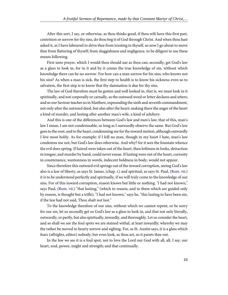After this sort, I say, or otherwise, as thou thinks good, if thou wilt have this first part, contrition or sorrow for thy sins, do thou beg it of God through Christ. And when thou hast asked it, as I have laboured to drive thee from trusting in thyself, so now I go about to move thee from flattering of thyself; from sluggishness and negligence, to be diligent to use these means following.

First unto prayer, which I would thou should use as thou can; secondly, get God's law as a glass to look in, for in it and by it comes the true knowledge of sin, without which knowledge there can be no sorrow. For how can a man sorrow for his sins, who knows not his sins? As when a man is sick, the first step to health is to know his sickness; even so to salvation, the first step is to know that thy damnation is due for thy sins.

The law of God therefore must be gotten and well looked in, that is, we must look in it spiritually, and not corporally or carnally, as the outward word or letter declares and utters; and so our Saviour teaches us in Matthew, expounding the sixth and seventh commandment, not only after the outward deed, but also after the heart; making there the anger of the heart a kind of murder, and lusting after another man's wife, a kind of adultery.

And this is one of the differences between God's law and men's law; that of this, man's law I mean, I am not condemnable, so long as I outwardly observe the same. But God's law goes to the root, and to the heart, condemning me for the inward motion, although outwardly I live most holily. As for example: if I kill no man, though in my heart I hate, man's law condemns me not, but God's law does otherwise. And why? for it sees the fountain whence the evil does spring. If hatred were taken out of the heart, then loftiness in looks, detraction in tongue, and murder by hand, could never ensue. If lusting were out of the heart, curiosity in countenance, wantonness in words, indecent boldness in body, would not appear.

Since therefore this outward evil springs out of the inward corruption, seeing God's law also is a law of liberty, as says St. James, (chap. i.) and spiritual, as says St. Paul, [\(Rom. vii.](http://www.ccel.org/study/Bible:Rom.7)) it is to be understood perfectly and spiritually, if we will truly come to the knowledge of our sins. For of this inward corruption, reason knows but little or nothing. "I had not known," says Paul, ([Rom. vii.](http://www.ccel.org/study/Bible:Rom.7)) "that lusting," (which to reason, and to them which are guided only by reason, is thought but a trifle), "I had not known," says he, "this lusting to have been sin, if the law had not said, Thou shalt not lust."

To the knowledge therefore of our sins, without which we cannot repent, or be sorry for our sin, let us secondly get us God's law as a glass to look in, and that not only literally, outwardly, or partly, but also spiritually, inwardly, and thoroughly. Let us consider the heart, and so shall we see the foul spots we are stained withal, at least inwardly; whereby we may the rather be moved to hearty sorrow and sighing. For, as St. Austin says, it is a glass which fears (affrights, editor) nobody; but even look, as thou art, so it paints thee out.

In the law we see it is a foul spot, not to love the Lord our God with all, all, I say, our heart, soul, power, might and strength; and that continually.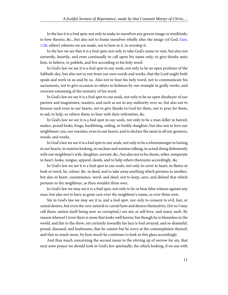In the law it is a foul spot, not only to make to ourselves any graven image or similitude, to bow thereto, &c., but also not to frame ourselves wholly after the image (of God, [Gen.](http://www.ccel.org/study/Bible:Gen.1.26) [1:26](http://www.ccel.org/study/Bible:Gen.1.26), editor) whereto we are made, not to bow to it, to worship it.

In the law we see that it is a foul spot, not only to take God's name in vain, but also not earnestly, heartily, and even continually to call upon his name only; to give thanks unto him, to believe, to publish, and live according to his holy word.

In God's law we see it is a foul spot to our souls, not only to be an open profaner of the Sabbath-day, but also not to rest from our own words and works, that the Lord might both speak and work in us and by us. Also not to hear his holy word, not to communicate his sacraments, not to give occasion to others to holiness by our example in godly works, and reverent esteeming of the ministry of his word.

In God's law we see it is a foul spot to our souls, not only to be an open disobeyer of our parents and magistrates, masters, and such as are in any authority over us, but also not to honour such even in our hearts, not to give thanks to God for them, not to pray for them, to aid, to help, or relieve them, to bear with their infirmities, &c.

In God's law we see it is a foul spot in our souls, not only to be a man-killer in hatred, malice, proud looks, brags, backbiting, railing, or bodily slaughter, but also not to love our neighbours, yea, our enemies, even in our hearts, and to declare the same in all our gestures, words, and works.

In God's law we see it is a foul spot to our souls, not only to be a whoremonger in lusting in our hearts, in wanton looking, in unclean and wanton talking, in actual doing dishonestly with our neighbour's wife, daughter, servant, &c.; but also not to be chaste, sober, temperate in heart, looks, tongue, apparel, deeds, and to help others thereunto accordingly, &c.

In God's law we see it is a foul spot to our souls, not only to covet in heart, to flatter in look or word, lie, colour, &c. in deed, and to take away anything which pertains to another, but also in heart, countenance, word, and deed, not to keep, save, and defend that which pertains to thy neighbour, as thou wouldst thine own.

In God's law we may see it is a foul spot, not only to lie or bear false witness against any man, but also not to have as great care over thy neighbour's name, as over thine own.

Sin in God's law we may see it is, and a foul spot, nor only to consent to evil, lust, or carnal desires, but even the very natural or carnal lusts and desires themselves, (for so I may call them, nature itself being now so corrupted,) are sin; as self-love, and many such. By reason whereof I trow there is none that looks well herein; but though he is blameless to the world, and fair to the show, yet certainly inwardly his face is foul arrayed, and so shameful, proud, diseased, and loathsome, that he cannot but be sorry at the contemplation thereof, and that so much more, by how much he continues to look in this glass accordingly.

And thus much concerning the second mean to the stirring up of sorrow for sin, that next unto prayer we should look in God's law spiritually; the which looking, if we use with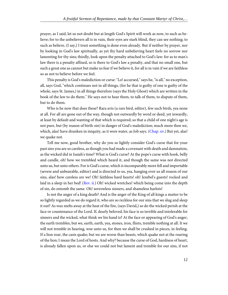prayer, as I said, let us not doubt but at length God's Spirit will work as now, to such as believe; for to the unbelievers all is in vain, their eyes are stark blind, they can see nothing; to such as believe, (I say,) I trust something is done even already. But if neither by prayer, nor by looking in God's law spiritually, as yet thy hard unbelieving heart feels no sorrow nor lamenting for thy sins; thirdly, look upon the penalty attached to God's law: for as to man's law there is a penalty affixed, so is there to God's law a penalty, and that no small one, but such a great one as cannot but make us fear if we believe it, for all is in vain if we are faithless so as not to believe before we feel.

This penalty is God's malediction or curse: "Lo! accursed," says he, "is all," no exception, all, says God, "which continues not in all things, (for he that is guilty of one is guilty of the whole, says St. James,) in all things therefore (says the Holy Ghost) which are written in the book of the law to do them." He says not to hear them, to talk of them, to dispute of them, but to do them.

Who is he now that does these? Rara avis (a rare bird, editor), few such birds, yea none at all. For all are gone out of the way, though not outwardly by word or deed, yet inwardly, at least by default and wanting of that which is required; so that a child of one night's age is not pure, but (by reason of birth-sin) in danger of God's malediction; much more then we, which, alas! have drunken in iniquity, as it were water, as Job says. ([Chap. xv](http://www.ccel.org/study/Bible:Job.15).) But yet, alas! we quake not.

Tell me now, good brother, why do you so lightly consider God's curse that for your past sins you are so careless, as though you had made a covenant with death and damnation, as the wicked did in Isaiah's time? What is God's curse? At the pope's curse with hook, belly and candle, oh! how we trembled which heard it, and though the same was not directed unto us, but unto others. For is God's curse, which is incomparably more fell and importable (severe and unbearable, editor) and is directed to us, yea, hanging over us all reason of our sins, alas! how careless are we! Oh! faithless hard hearts! oh! Jezebel's guests! rocked and laid in a sleep in her bed! [\(Rev. ii.\)](http://www.ccel.org/study/Bible:Rev.2) Oh! wicked wretches! which being come into the depth of sin, do entomb the same. Oh! sorrowless sinners, and shameless harlots!

Is not the anger of a king death? And is the anger of the King of all kings a matter to be so lightly regarded as we do regard it, who are so reckless for our sins that we slug and sleep it out? As wax melts away at the heat of the fire, (says David,) so do the wicked perish at the face or countenance of the Lord. If, dearly beloved, his face is so terrible and intolerable for sinners and the wicked, what think we his hand is? At the face or appearing of God's anger, the earth trembles, but we, earth, earth, yea, stones, iron, flints, tremble nothing at all. It we will not tremble in hearing, woe unto us, for then we shall be crushed in pieces, in feeling. If a lion roar, the casts quake; but we are worse than beasts, which quake not at the roaring of the lion; I mean the Lord of hosts. And why? because the curse of God, hardness of heart, is already fallen upon us, or else we could not but lament and tremble for our sins, if not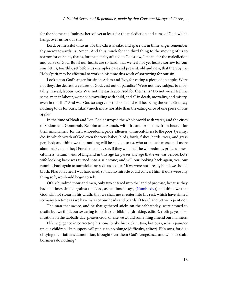for the shame and foulness hereof, yet at least for the malediction and curse of God, which hangs over us for our sins.

Lord, be merciful unto us, for thy Christ's sake, and spare us; in thine anger remember thy mercy towards us. Amen. And thus much for the third thing to the moving of us to sorrow for our sins, that is, for the penalty affixed to God's law, I mean, for the malediction and curse of God. But if our hearts are so hard, that we feel not yet hearty sorrow for our sins, let us, fourthly, set before us examples past and present, old and new, that thereby the Holy Spirit may be effectual to work in his time this work of sorrowing for our sin.

Look upon God's anger for sin in Adam and Eve, for eating a piece of an apple. Were not they, the dearest creatures of God, cast out of paradise? Were not they subject to mortality, travail, labour, &c.? Was not the earth accursed for their sins? Do not we all feel the same, men in labour, women in travailing with child, and all in death, mortality, and misery, even in this life? And was God so angry for their sin, and will he, being the same God, say nothing to us for ours, (alas!) much more horrible than the eating once of one piece of one apple?

In the time of Noah and Lot, God destroyed the whole world with water, and the cities of Sodom and Gomorrah, Zeboim and Admah, with fire and brimstone from heaven for their sins; namely, for their whoredoms, pride, idleness, unmercifulness to the poor, tyranny, &c. In which wrath of God even the very babes, birds, fowls, fishes, herds, trees, and grass perished; and think we that nothing will be spoken to us, who are much worse and more abominable than they? For all men may see, if they will, that the whoredoms, pride, unmercifulness, tyranny, &c. of England in this age far passes any age that ever was before. Lot's wife looking back was turned into a salt stone; and will our looking back again, yea, our running back again to our wickedness, do us no hurt? If we were not already blind, we should blush. Pharaoh's heart was hardened, so that no miracle could convert him; if ours were any thing soft, we should begin to sob.

Of six hundred thousand men, only two entered into the land of promise, because they had ten times sinned against the Lord, as he himself says, [\(Numb. xiv.;](http://www.ccel.org/study/Bible:Num.14)) and think we that God will not swear in his wrath, that we shall never enter into his rest, which have sinned so many ten times as we have hairs of our heads and beards, (I tear,) and yet we repent not.

The man that swore, and he that gathered sticks on the sabbathday, were stoned to death; but we think our swearing is no sin, our bibbing (drinking, editor), rioting, yea, fornication on the sabbath-day, pleases God, or else we would something amend our manners.

Eli's negligence in correcting his sons, brake his neck in two; but ours, which pamper up our children like puppets, will put us to no plunge (difficulty, editor). Eli's sons, for disobeying their father's admonition, brought over them God's vengeance; and will our stubbornness do nothing?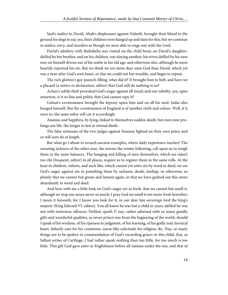Saul's malice to David, Ahab's displeasure against Naboth, brought their blood to the ground for dogs to eat; yea, their children were hanged up and slain for this; but we continue in malice, envy, and murders as though we were able to wage war with the Lord.

David's adultery with Bathsheba was visited on the child born; on David's daughter, defiled by her brother; and on his children, one slaying another; his wives defiled by his own son; on himself driven out of his realm in his old age, and otherwise also, although he most heartily repented his sin. But we think we are more dear unto God than David, which yet was a man after God's own heart, or else we could not but tremble, and begin to repent.

The rich glutton's gay paunch-filling, what did it? It brought him to hell; and have we a placard (a notice or declaration, editor) that God will do nothing to us?

Achan's subtle theft provoked God's anger against all Israel; and our subtilty, yea, open extortion, is it so fine and politic that God cannot espy it?

Gehazi's covetousness brought the leprosy upon him and on all his seed. Judas also hanged himself. But the covetousness of England is of another cloth and colour. Well, if it were so, the same tailor will cut it accordingly

Ananias and Sapphira, by lying, linked to themselves sudden death; but ours now prolongs our life, the longer to last in eternal death.

The false witnesses of the two judges against Susanne lighted on their own pates; and so will ours do at length.

But what go I about to avouch ancient examples, where daily experience teaches? The sweating sickness of the other year, the storms the winter following, call upon us to weigh them in the same balances. The hanging and killing of men themselves, which are (alas!) too rife (frequent, editor) in all places, require us to register them in the same rolls. At the least in children, infants, and such like, which cannot yet utter sin by word or deed, we see God's anger against sin in punishing them by sickness, death, mishap, or otherwise, so plainly that we cannot but groan and lament again, in that we have gushed out this more abundantly in word and deed.

And here with me a little look on God's anger yet so fresh, that we cannot but smell it, although we stop our noses never so much; I pray God we smell it not more fresh hereafter; I mean it forsooth, for I know you look for it, in our dear late sovereign lord the king's majesty (King Edward VI, editor). You all know he was but a child in years; defiled he was not with notorious offences. Defiled, quoth I? nay, rather adorned with so many goodly gifts and wonderful qualities, as never prince was from the beginning of the world, should I speak of his wisdom, of his ripeness in judgment, of his learning, of his godly zeal, heroical heart, fatherly care for his commons, nurse-like solicitude for religion, &c. Nay, so many things are to be spoken in commendation of God's exceeding graces in this child, that, as Sallust writes of Carthage, I had rather speak nothing than too little, for too much is too little. This gift God gave unto us Englishmen before all nations under the sun, and that of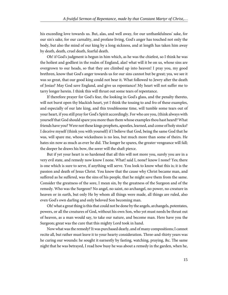his exceeding love towards us. But, alas, and well away, for our unthankfulness' sake, for our sin's sake, for our carnality, and profane living, God's anger has touched not only the body, but also the mind of our king by a long sickness, and at length has taken him away by death, death, cruel death, fearful death.

Oh! if God's judgment is begun in him which, as he was the chiefest, so I think he was the holiest and godliest in the realm of England, alas! what will it be on us, whose sins are overgrown to our heads, so that they are climbed up into heaven! I pray you, my good brethren, know that God's anger towards us for our sins cannot but be great; yea, we see it was so great, that our good king could not bear it. What followed to Jewry after the death of Josias? May God save England, and give us repentance! My heart will not suffer me to tarry longer herein. I think this will thrust out some tears of repentance.

If therefore prayer for God's fear, the looking in God's glass, and the penalty thereto, will not burst open thy blackish heart, yet I think the tossing to and fro of these examples, and especially of our late king, and this troublesome time, will tumble some tears out of your heart, if you still pray for God's Spirit accordingly. For who are you, (think always with yourself that God should spare you more than them whose examples thou hast heard? What friends have you? Were not these kings prophets, apostles, learned, and come of holy stocks? I deceive myself (think you with yourself) if I believe that God, being the same God that he was, will spare me, whose wickedness is no less, but much more than some of theirs. He hates sin now as much as ever he did. The longer he spares, the greater vengeance will fall; the deeper he draws his bow, the sorer will the shaft pierce.

But if yet your heart is so hardened that all this will not more you, surely you are in a very evil state, and remedy now know I none. What! said I, none? know I none? Yes; there is one which is sure to serve, if anything will serve. You look to know what this is; it is the passion and death of Jesus Christ. You know that the cause why Christ became man, and suffered as he suffered, was the sins of his people, that he might save them from the same. Consider the greatness of the sore, I mean sin, by the greatness of the Surgeon and of the remedy. Who was the Surgeon? No angel, no saint, no archangel, no power, no creature in heaven or in earth, but only He by whom all things were made, all things are ruled, also even God's own darling and only beloved Son becoming man.

Oh! what a great thing is this that could not be done by the angels, archangels, potentates, powers, or all the creatures of God, without his own Son, who yet must needs be thrust out of heaven, as a man would say, to take our nature, and become man. Here have you the Surgeon; great was the cure that this mighty Lord took in hand.

Now what was the remedy? It was purchased dearly, and of many compositions; I cannot recite all, but rather must leave it to your hearty consideration. Three-and-thirty years was he curing our wounds: he sought it earnestly by fasting, watching, praying, &c. The same night that he was betrayed, I read how busy he was about a remedy in the garden, when he,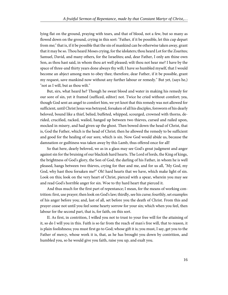lying flat on the ground, praying with tears, and that of blood, not a few, but so many as flowed down on the ground, crying in this sort: "Father, if it be possible, let this cup depart from me;" that is, if it be possible that the sin of mankind can be otherwise taken away, grant that it may be so. Thou heard Moses crying, for the idolaters; thou heard Lot for the Zoarites; Samuel, David, and many others, for the Israelites; and, dear Father, I only am thine own Son, as thou hast said, in whom thou art well pleased; wilt thou not hear me? I have by the space of three-and thirty years done always thy will; I have so humbled myself, that I would become an abject among men to obey thee; therefore, dear Father, if it be possible, grant my request, save mankind now without any further labour or remedy." But yet, (says he,) "not as I will, but as thou wilt."

But, sirs, what heard he? Though he sweat blood and water in making his remedy for our sore of sin, yet it framed (sufficed, editor) not. Twice he cried without comfort; yea, though God sent an angel to comfort him, we yet knot that this remedy was not allowed for sufficient, until Christ Jesus was betrayed, forsaken of all his disciples, forsworn of his dearly beloved, bound like a thief, belied, buffeted, whipped, scourged, crowned with thorns, derided, crucified, racked, wailed, hanged up between two thieves, cursed and railed upon, mocked in misery, and had given up the ghost. Then bowed down the head of Christ, that is, God the Father, which is the head of Christ; then he allowed the remedy to be sufficient and good for the healing of our sore, which is sin. Now God would abide us, because the damnation or guiltiness was taken away by this Lamb, thus offered once for all!

So that here, dearly beloved, we as in a glass may see God's great judgment and anger against sin for the bruising of our blackish hard hearts. The Lord of lords, the King of kings, the brightness of God's glory, the Son of God, the darling of his Father, in whom he is well pleased, hangs between two thieves, crying for thee and me, and for us all, "My God, my God, why hast thou forsaken me?" Oh! hard hearts that we have, which make light of sin. Look on this; look on the very heart of Christ, pierced with a spear, wherein you may see and read God's horrible anger for sin. Woe to thy hard heart that pierced it.

And thus much for the first part of repentance; I mean, for the means of working contrition: first, use prayer; then look on God's law; thirdly, see his curse; fourthly, set examples of his anger before you; and, last of all, set before you the death of Christ. From this and prayer cease not until you feel some hearty sorrow for your sin; which when you feel, then labour for the second part, that is, for faith, on this sort.

II. As first, in contrition, I willed you not to trust to your free will for the attaining of it, so do I will you in this. Faith is so far from the reach of man's free will, that to reason, it is plain foolishness; you must first go to God; whose gift it is; you must, I say, get you to the Father of mercy, whose work it is, that, as he has brought you down by contrition, and humbled you, so he would give you faith, raise you up, and exalt you.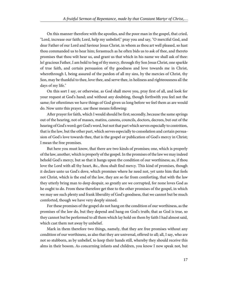On this manner therefore with the apostles, and the poor man in the gospel, that cried, "Lord, increase our faith; Lord, help my unbelief;" pray you and say, "O merciful God, and dear Father of our Lord and Saviour Jesus Christ, in whom as thou art well pleased, so hast thou commanded us to hear him; forasmuch as he often bids us to ask of thee, and thereto promises that thou wilt hear us, and grant us that which in his name we shall ask of thee: lo! gracious Father, I am bold to beg of thy mercy, through thy Son Jesus Christ, one sparkle of true faith, and certain persuasion of thy goodness and love towards me in Christ, wherethrough I, being assured of the pardon of all my sins, by the mercies of Christ, thy Son, may be thankful to thee, love thee, and serve thee, in holiness and righteousness all the days of my life."

On this sort I say, or otherwise, as God shall move you, pray first of all, and look for your request at God's hand; and without any doubting, though forthwith you feel not the same; for oftentimes we have things of God given us long before we feel them as are would do. Now unto this prayer, use these means following:

After prayer for faith, which I would should be first; secondly, because the same springs out of the hearing, not of masses, matins, canons, councils, doctors, decrees, but out of the hearing of God's word; get God's word, but not that part which serves especially to contrition, that is the law, but the other part, which serves especially to consolation and certain persuasion of God's love towards thee, that is the gospel or publication of God's mercy in Christ; I mean the free promises.

But here you must know, that there are two kinds of promises; one, which is properly of the law, another, which is properly of the gospel. In the promises of the law we may indeed behold God's mercy, but so that it hangs upon the condition of our worthiness; as, if thou love the Lord with all thy heart, &c., thou shalt find mercy. This kind of promises, though it declare unto us God's dove, which promises where he need not, yet unto him that feels not Christ, which is the end of the law, they are so far from comforting, that with the law they utterly bring man to deep despair, so greatly are we corrupted, for none loves God as he ought to do. From these therefore get thee to the other promises of the gospel, in which we may see such plenty and frank liberality of God's goodness, that we cannot but be much comforted, though we have very deeply sinned.

For these promises of the gospel do not hang on the condition of our worthiness, as the promises of the law do, but they depend and hang on God's truth; that as God is true, so they cannot but be performed to all them which lay hold on them by faith I had almost said, which cast them not away by unbelief.

Mark in them therefore two things, namely, that they are free promises without any condition of our worthiness, as also that they are universal, offered to all; all, I say, who are not so stubborn, as by unbelief, to keep their hands still, whereby they should receive this alms in their bosom. As concerning infants and children, you know I now speak not, but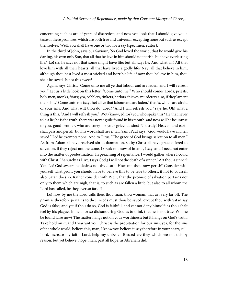concerning such as are of years of discretion; and now you look that I should give you a taste of these promises, which are both free and universal, excepting none but such as except themselves. Well, you shall have one or two for a say (specimen, editor).

In the third of John, says our Saviour, "So God loved the world, that he would give his darling, his own only Son, that all that believe in him should not perish, but have everlasting life." Lo! sir, he says not that some might have life; but all, says he. And what all? All that love him with all their hearts, all that have lived a godly life? Nay, all that believe in him; although thou hast lived a most wicked and horrible life, if now thou believe in him, thou shalt be saved. Is not this sweet?

Again, says Christ, "Come unto me all ye that labour and are laden, and I will refresh you." Let us a little look on this letter. "Come unto me." Who should come? Lords, priests, holy men, monks, friars; yea, cobblers, tinkers, harlots, thieves, murderers also, if they lament their sins." Come unto me (says he) all ye that labour and are laden," that is, which are afraid of your sins. And what wilt thou do, Lord? "And I will refresh you," says he. Oh! what a thing is this, "And I will refresh you." Wot (know, editor) you who spake this? He that never told a lie; he is the truth, there was never guile found in his mouth, and now will he be untrue to you, good brother, who are sorry for your grievous sins? No, truly! Heaven and earth shall pass and perish, but his word shall never fail. Saint Paul says, "God would have all men saved." Lo! he exempts none. And to Titus, "The grace of God brings salvation to all men." As from Adam all have received sin to damnation, so by Christ all have grace offered to salvation, if they reject not the same. I speak not now of infants, I say, and I need not enter into the matter of predestination. In preaching of repentance, I would gather where I could with Christ. "As surely as I live, (says God,) I will not the death of a sinner." Art thou a sinner? Yea. Lo! God swears he desires not thy death. How can thou now perish? Consider with yourself what profit you should have to believe this to be true to others, if not to yourself also. Satan does so. Rather consider with Peter, that the promise of salvation pertains not only to them which are nigh, that is, to such as are fallen a little, but also to all whom the Lord has called, be they ever so far off

Lo! now by me the Lord calls thee, thou man, thou woman, that art very far off. The promise therefore pertains to thee: needs must thou be saved, except thou with Satan say God is false; and yet if thou do so, God is faithful, and cannot deny himself; as thou shalt feel by his plagues in hell, for so dishonouring God as to think that he is not true. Will he be found false now? The matter hangs not on your worthiness; but it hangs on God's truth. Take hold on it, and I warrant you Christ is the propitiation for our sins, yea, for the sins of the whole world; believe this, man, I know you believe it; say therefore in your heart, still, Lord, increase my faith; Lord, help my unbelief. Blessed are they which see not this by reason, but yet believe; hope, man, past all hope, as Abraham did.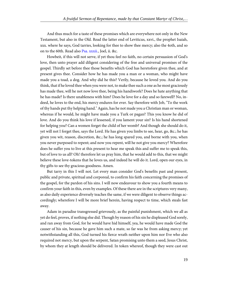And thus much for a taste of these promises which are everywhere not only in the New Testament, but also in the Old. Read the latter end of Leviticus, xxvi., the prophet Isaiah, xxx. where he says, God tarries, looking for thee to show thee mercy; also the 4oth, and so on to the 60th. Read also [Psa. xxxii.](http://www.ccel.org/study/Bible:Ps.32), Joel, ii. &c.

Howbeit, if this will not serve, if yet thou feel no faith, no certain persuasion of God's love, then unto prayer add diligent considering of the free and universal promises of the gospel. Thirdly set before thee those benefits which God has heretofore given thee, and at present gives thee. Consider how he has made you a man or a woman, who might have made you a toad, a dog. And why did he this? Verily, because he loved you. And do you think, that if he loved thee when you were not, to make thee such a one as he most graciously has made thee, will he not now love thee, being his handiwork? Does he hate anything that he has made? Is there unableness with him? Does he love for a day and so farewell? No, indeed, he loves to the end, his mercy endures for ever. Say therefore with Job, "To the work of thy hands put thy helping hand." Again, has he not made you a Christian man or woman, whereas if he would, he might have made you a Turk or pagan? This you know he did of love. And do you think his love if lessened, if you lament your sin? Is his hand shortened for helping you? Can a women forget the child of her womb? And though she should do it, yet will not I forget thee, says the Lord. He has given you limbs to see, hear, go, &c.; he has given you wit, reason, discretion, &c.; he has long spared you, and borne with you, when you never purposed to repent; and now you repent, will he not give you mercy? Wherefore does he suffer you to live at this present to hear me speak this and suffer me to speak this, but of love to us all? Oh! therefore let us pray him, that he would add to this, that we might believe these love-tokens that he loves us, and indeed he will do it. Lord, open our eyes, in thy gifts to see thy gracious goodness. Amen.

But tarry in this I will not. Let every man consider God's benefits past and present, public and private, spiritual and corporeal, to confirm his faith concerning the promises of the gospel, for the pardon of his sins. I will now endeavour to show you a fourth means to confirm your faith in this, even by examples. Of these there are in the scriptures very many, as also daily experience diversely teaches the same, if we were diligent to observe things accordingly; wherefore I will be more brief herein, having respect to time, which steals fast away.

Adam in paradise transgressed grievously, as the painful punishment, which we all as yet do feel, proves, if nothing else did. Though by reason of his sin he displeased God sorely, and ran away from God, for he would have hid himself, yea, he would have made God the causer of his sin, because he gave him such a mate, so far was he from asking mercy; yet notwithstanding all this, God turned his fierce wrath neither upon him nor Eve who also required not mercy, but upon the serpent, Satan promising unto them a seed, Jesus Christ, by whom they at length should be delivered. In token whereof, though they were cast out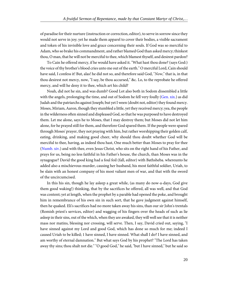of paradise for their nurture (instruction or correction, editor), to serve in sorrow since they would not serve in joy; yet he made them apparel to cover their bodies, a visible sacrament and token of his invisible love and grace concerning their souls. If God was so merciful to Adam, who so brake his commandment, and rather blamed God than asked mercy; thinkest thou, O man, that he will not be merciful to thee, which blamest thyself, and desirest pardon?

To Cain he offered mercy, if he would have asked it. "What hast thou done? (says God:) the voice of thy brother's blood cries unto me out of the earth." O merciful Lord, Cain should have said, I confess it! But, alas! he did not so, and therefore said God, "Now," that is, in that thou desirest not mercy, now, "I say, be thou accursed," &c. Lo, to the reprobate he offered mercy, and will he deny it to thee, which art his child?

Noah, did not he sin, and was dumb? Good Lot also both in Sodom dissembled a little with the angels, prolonging the time, and out of Sodom he fell very foully ([Gen. xix.](http://www.ccel.org/study/Bible:Gen.19)) as did Judah and the patriarchs against Joseph; but yet I ween (doubt not, editor) they found mercy. Moses, Miriam, Aaron, though they stumbled a little, yet they received mercy; yea, the people in the wilderness often sinned and displeased God, so that he was purposed to have destroyed them. Let me alone, says he to Moses, that I may destroy them; but Moses did not let him alone, for he prayed still for them, and therefore God spared them. If the people were spared through Moses' prayer, they not praying with him, but rather worshipping their golden calf, eating, drinking, and making good cheer, why should thou doubt whether God will be merciful to thee, having, as indeed thou hast, One much better than Moses to pray for thee ([Numb. xiv.\)](http://www.ccel.org/study/Bible:Num.14) and with thee, even Jesus Christ, who sits on the right hand of his Father, and prays for us, being no less faithful in his Father's house, the church, than Moses was in the synagogue? David the good king had a foul foil (fall, editor) with Bathsheba. whereunto he added also a mischievous murder, causing her husband, his most faithful soldier, Uriah, to be slain with an honest company of his most valiant men of war, and that with the sword of the uncircumcised.

In this his sin, though he lay asleep a great while, (as many do now-a-days, God give them good waking!) thinking, that by the sacrifices he offered, all was well, and that God was content; yet at length, when the prophet by a parable had opened the poke, and brought him in remembrance of his own sin in such sort, that he gave judgment against himself, then he quaked. Eli's sacrifices had no more taken away his sins, than our sir John's trentals (Romish priest's services, editor) and wagging of his fingers over the heads of such as lie asleep in their sins, out of the which, when they are awaked, they will well see that it is neither mass nor matins, blessing nor crossing, will serve. Then, I say, David cried out, saying, "I have sinned against my Lord and good God, which has done so much for me; indeed I caused Uriah to be killed; 1 have sinned, I have sinned. What shall I do? I have sinned, and am worthy of eternal damnation." But what says God by his prophet? "The Lord has taken away thy sins; thou shalt not die." "O good God," he said, "but I have sinned," but he said so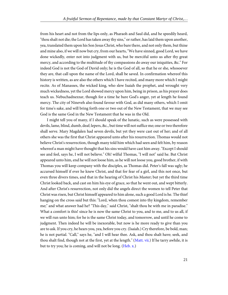from his heart and not from the lips only, as Pharaoh and Saul did, and he speedily heard, "thou shalt not die; the Lord has taken away thy sins," or rather, has laid them upon another, yea, translated them upon his Son Jesus Christ, who bare there, and not only them, but thine and mine also, if we will now but cry, from our hearts, "We have sinned, good Lord, we have done wickedly, enter not into judgment with us, but be merciful unto us after thy great mercy, and according to the multitude of thy compassions do away our iniquities, &c." For indeed God is not the God of David only; he is the God of all, so that he or she, whosoever they are, that call upon the name of the Lord, shall be saved. In confirmation whereof this history is written, as are also the others which I have recited, and many more which I might recite. As of Manasses, the wicked king, who slew Isaiah the prophet, and wrought very much wickedness, yet the Lord showed mercy upon him, being in prison, as his prayer does teach us. Nebuchadnezzar, though for a time he bare God's anger, yet at length he found mercy. The city of Nineveh also found favour with God, as did many others, which I omit for time's sake, and will bring forth one or two out of the New Testament, that we may see God is the same God in the New Testament that he was in the Old.

I might tell you of many, if I should speak of the lunatic, such as were possessed with devils, lame, blind, dumb, deaf; lepers, &c., but time will not suffice me; one or two therefore shall serve. Mary Magdalen had seven devils, but yet they were cast out of her; and of all others she was the first that Christ appeared unto after his resurrection. Thomas would not believe Christ's resurrection, though many told him which had seen and felt him, by reason whereof a man might have thought that his sins would have cast him away. "Except I should see and feel, says he, I will not believe." Oh! wilful Thomas, "I will not" said he. But Christ appeared unto him, end he will not loose him, as he will not loose you, good brother, if with Thomas you will keep company with the disciples, as Thomas did. Peter's fall was ugly; he accursed himself if ever he knew Christ, and that for fear of a girl, and this not once, but even three divers times, and that in the hearing of Christ his Master; but yet the third time Christ looked back, and cast on him his eye of grace, so that he went out, and wept bitterly. And after Christ's resurrection, not only did the angels direct the women to tell Peter that Christ was risen, but Christ himself appeared to him alone, such a good Lord is he. The thief hanging on the cross said but this: "Lord, when thou comest into thy kingdom, remember me;" and what answer had he? "This day," said Christ, "shalt thou be with me in paradise." What a comfort is this! since he is now the same Christ to you, and to me, and to us all, if we will run unto him; for he is the same Christ today, and tomorrow, and until he come to judgment. Then indeed he will be inexorable, but now is he more ready to give than you are to ask. If you cry, he hears you, yea, before you cry. (Isaiah.) Cry therefore, be bold, man; he is not partial. "Call," says he, "and I will hear thee. Ask, and thou shalt have; seek, and thou shalt find, though not at the first, yet at the length." ([Matt. vii.\)](http://www.ccel.org/study/Bible:Matt.7) If he tarry awhile, it is but to try you; he is coming, and will not be long. [\(Heb. x.\)](http://www.ccel.org/study/Bible:Heb.10)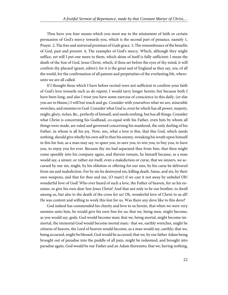Thus have you four means which you must use to the attainment of faith or certain persuasion of God's mercy towards you, which is the second part of penance, namely 1, Prayer. 2, The free and universal promises of Gods grace. 3, The remembrance of the benefits of God, past and present. 4, The examples of God's mercy. Which, although they might suffice, yet will I put one more to them, which alone of itself is fully sufficient: I mean the death of the Son of God, Jesus Christ, which, if thou set before the eyes of thy mind, it will confirm thy placard (grant, editor); for it is the great seal of England as they say, yea, of all the world, for the confirmation of all patents and perpetuities of the everlasting life, whereunto we are all called.

If I thought these which I have before recited were not sufficient to confirm your faith of God's love towards such as do repent, I would tarry longer herein; but because both I have been long, and also I trust you have some exercise of conscience in this daily, (or else you are to blame,) I will but touch and go. Consider with yourselves what we are, miserable wretches, and enemies to God. Consider what God is, even he which has all power, majesty, might, glory, riches, &c., perfectly of himself, and needs nothing, but has all things. Consider what Christ is concerning his Godhead, co-equal with his Father, even him by whom all things were made, are ruled and governed concerning his manhood, the only darling of his Father, in whom is all his joy. Now, sirs, what a love is this, that this God, which needs nothing, should give wholly his own self to thee his enemy, wreaking his wrath upon himself in this his Son, as a man may say, to spare you, to save you, to win you, to buy you, to have you, to enjoy you for ever. Because thy sin had separated thee from him, that thou might come speedily into his company again, and therein remain, he himself became, as a man would say, a sinner, or rather sin itself, even a malediction or curse, that we sinners, we accursed by our sin, might, by his oblation or offering for our sins, by his curse be delivered from sin and malediction. For by sin he destroyed sin, killing death, Satan, and sin, by their own weapons, and that for thee and me, (O man!) if we cast it not away by unbelief Oh! wonderful love of God! Who ever heard of such a love, the Father of heaven, for us his enemies, to give his own dear Son Jesus Christ! And that not only to be our brother, to dwell among us, but also to the death of the cross for us! Oh, wonderful love of Christ to us all! He was content and willing to work this feat for us. Was there any dove like to this dove?

God indeed has commended his charity and love to us herein, that when we were very enemies unto him, he would give his own Son for us; that we, being men, might become, as you would say, gods, God would become man; that we, being mortal, might become immortal, the immortal God would become mortal man;- that we, earthly wretches, might be citizens of heaven, the Lord of heaven would become, as a man would say, earthly; that we, being accursed, might be blessed, God would be accursed; that we, by our father Adam being brought out of paradise into the puddle of all pain, might be redeemed, and brought into paradise again, God would be our Father and an Adam thereunto; that we, having nothing,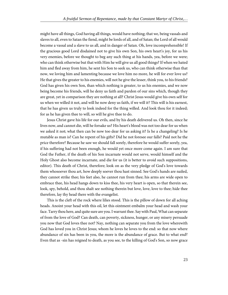might have all things, God having all things, would have nothing; that we, being vassals and slaves to all, even to Satan the fiend, might be lords of all, and of Satan; the Lord of all would become a vassal and a slave to us all, and in danger of Satan. Oh, love incomprehensible! If the gracious good Lord disdained not to give his own Son, his own heart's joy, for us his very enemies, before we thought to beg any such thing at his hands, yea, before we were; who can think otherwise but that with Him he will give us all good things? If when we hated him and fled away from him, he sent his Son to seek us, who can think otherwise than that now, we loving him and lamenting because we love him no more, he will for ever love us? He that gives the greater to his enemies, will not he give the lesser, think you, to his friends? God has given his own Son, than which nothing is greater, to us his enemies, and we now being become his friends, will he deny us faith and pardon of our sins which, though they are great, yet in comparison they are nothing at all? Christ Jesus would give his own self for us when we willed it not, and will he now deny us faith, if we will it? This will is his earnest, that he has given us truly to look indeed for the thing willed. And look thou for it indeed; for as he has given thee to will, so will he give thee to do.

Jesus Christ gave his life for our evils, and by his death delivered us. Oh then, since he lives now, and cannot die, will he forsake us? His heart's blood was not too dear for us when we asked it not; what then can be now too dear for us asking it? Is he a changeling? Is he mutable as man is? Can he repent of his gifts? Did he not foresee our falls? Paid not he the price therefore? Because he saw we should fall sorely, therefore he would suffer sorely, yea, if his suffering had not been enough, he would yet once more come again. I am sure that God the Father, if the death of his Son incarnate would not serve, would himself and the Holy Ghost also become incarnate, and die for us (it is better to avoid such suppositions, editor). This death of Christ, therefore; look on as the very pledge of God's love towards them whosoever thou art, how deeply soever thou hast sinned. See God's hands are nailed, they cannot strike thee; his feet also, he cannot run from thee; his arms are wide open to embrace thee, his head hangs down to kiss thee, his very heart is open, so that therein see, look, spy, behold, and thou shalt see nothing therein but love, love, love to thee; hide thee therefore, lay thy head there with the evangelist.

This is the cleft of the rock where lilies stood. This is the pillow of down for all aching heads. Anoint your head with this oil, let this ointment embalm your head and wash your face. Tarry thou here, and quite sure are you. I warrant thee. Say with Paul, What can separate of from the love of God? Can death, can poverty, sickness, hunger, or any misery persuade you now that God loves thee not? Nay, nothing can separate you from the love wherewith God has loved you in Christ Jesus; whom he loves he loves to the end: so that now where abundance of sin has been in you, the more is the abundance of grace. But to what end? Even that as -sin has reigned to death, as you see, to the killing of God's Son, so now grace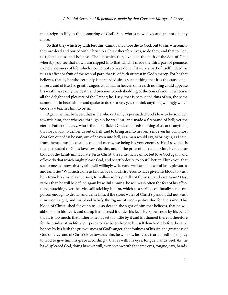must reign to life, to the honouring of God's Son, who is now alive, and cannot die any more.

So that they which by faith feel this, cannot any more die to God, but to sin, whereunto they are dead and buried with Christ. As Christ therefore lives, so do they, and that to God, to righteousness and holiness. The life which they live is in the faith of the Son of God; whereby you see that now I am slipped into that which I made the third part of penance, namely, newness of life, which I could not so have done if it were a part of itself indeed, as it is an effect or fruit of the second part, that is, of faith or trust in God's mercy. For he that believes, that is, he who certainly is persuaded sin is such a thing that it is the cause of all misery, and of itself so greatly angers God, that in heaven or in earth nothing could appease his wrath, save only the death and precious blood-shedding of the Son of God, in whom is all the delight and pleasure of the Father; he, I say, that is persuaded thus of sin, the same cannot but in heart abhor and quake to do or to say, yea, to think anything willingly which God's law teaches him to be sin.

Again: he that believes, that is, he who certainly is persuaded God's love to be so much towards him, that whereas through sin he was lost, and made a firebrand of hell; yet the eternal Father of mercy, who is the all-sufficient God, and needs nothing of us, or of anything that we can do, to deliver us out of hell, and to bring us into heaven, sent even his own most dear Son out of his bosom, out of heaven into hell, as a man would say, to bring us, as I said, from thence into his own bosom and mercy, we being his very enemies. He, I say, that is thus persuaded of God's love towards him, and of the price of his redemption, by the dear blood of the Lamb immaculate, Jesus Christ, the same man cannot but love God again, and of love do that which might please God, and heartily desire to do still better. Think you, that such a one as knows this by faith will willingly welter and wallow in his wilful lusts, pleasures, and fantasies? Will such a one as knows by faith Christ Jesus to have given his blood to wash him from his sins, play the sow, to wallow in his puddle of filthy sin and vice again? Nay, rather than he will be defiled again by wilful sinning, he will wash often the feet of his affections, watching over that vice still sticking in him, which as a spring continually sends out poison enough to drown and defile him, if the sweet water of Christ's passion did not wash it in God's sight, and his blood satisfy the rigour of God's justice due for the same. This blood of Christ, shed for our sins, is so dear in the sight of him that believes, that he will abhor sin in his heart, and stamp it and tread it under his feet. He knows now by his belief that it is too much, that hitherto he has set too little by it and is ashamed thereof; therefore for the residue of his life he purposes to take better heed to himself than he did before: because he sees by his faith the grievousness of God's anger, that foulness of his sin, the greatness of God's mercy, and of Christ's love towards him, he will now be heedy (careful, editor) to pray to God to give him his grace accordingly; that as with his eyes, tongue, hands, feet, &c. he has displeased God, doing his own will, even so now with the same eyes, tongue, ears, hands,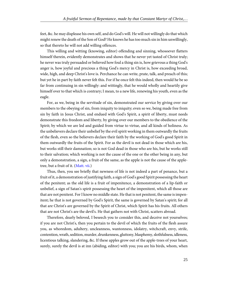feet, &c. he may displease his own self, and do God's will. He will not willingly do that which might renew the death of the Son of God? He knows he has too much sin in him unwillingly, so that thereto he will not add willing offences.

This willing and witting (knowing, editor) offending and sinning, whosoever flatters himself therein, evidently demonstrates and shows that he never yet tasted of Christ truly; he never was truly persuaded or believed how foul a thing sin is, how grievous a thing God's anger is, how joyful and precious a thing God's mercy in Christ is, how exceeding broad, wide, high, and deep Christ's love is. Perchance he can write, prate, talk, and preach of this; but yet he in part by faith never felt this. For if he once felt this indeed, then would he be so far from continuing in sin willingly: and wittingly, that he would wholly and heartily give himself over to that which is contrary; I mean, to a new life, renewing his youth, even as the eagle.

For, as we, being in the servitude of sin, demonstrated our service by giving over our members to the obeying of sin, from iniquity to iniquity; even so we, being made free from sin by faith in Jesus Christ, and endued with God's Spirit, a spirit of liberty, must needs demonstrate this freedom and liberty, by giving over our members to the obedience of the Spirit; by which we are led and guided from virtue to virtue, and all kinds of holiness. As the unbelievers declare their unbelief by the evil spirit working in them outwardly the fruits of the flesh, even so the believers declare their faith by the working of God's good Spirit in them outwardly the fruits of the Spirit. For as the devil is not dead in those which are his, but works still their damnation; so is not God dead in those who are his, but he works still to their salvation; which working is not the cause of the one or the other being in any, but only a demonstration, a sign, a fruit of the same, as the apple is not the cause of the appletree, but a fruit of it. ([Matt. vii.\)](http://www.ccel.org/study/Bible:Matt.7)

Thus, then, you see briefly that newness of life is not indeed a part of penance, but a fruit of it, a demonstration of justifying faith, a sign of God's good Spirit possessing the heart of the penitent; as the old life is a fruit of impenitence, a demonstration of a lip-faith or unbelief, a sign of Satan's spirit possessing the heart of the impenitent, which all those are that are not penitent. For I know no middle state. He that is not penitent, the same is impenitent; he that is not governed by God's Spirit, the same is governed by Satan's spirit; for all that are Christ's are governed by the Spirit of Christ, which Spirit has his fruits. All others that are not Christ's are the devil's. He that gathers not with Christ, scatters abroad.

Therefore, dearly beloved, I beseech you to consider this, and deceive not yourselves; if you are not Christ's, then you pertain to the devil of which the fruits of the flesh assure you, as whoredom, adultery, uncleanness, wantonness, idolatry, witchcraft, envy, strife, contention, wrath, sedition, murder, drunkenness, gluttony, blasphemy, slothfulness, idleness, licentious talking, slandering, &c. If these apples grow out of the apple-trees of your heart, surely, surely the devil is at inn (abiding, editor) with you; you are his birds, whom, when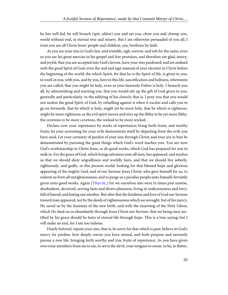he has well fed, he will broach (spit, editor) you and eat you, chew you and chump you, world without end, in eternal woe and misery. But I am otherwise persuaded of you all; I trust you are all Christ Jesus' people and children, yea, brethren by faith.

As you see your sins in God's law, and tremble, sigh, sorrow, and sob for the same, even so you see his great mercies in his gospel and free promises, and therefore are glad, merry, and joyful, that you are accepted into God's favour, have your sins pardoned, and are endued with the good Spirit of God, even the seal and sign manual of your election in Christ before the beginning of the world; the which Spirit, for that he is the Spirit of life, is given to you, to work in you, with you, and by you, here in this life, sanctification and holiness, whereunto you are called, that you might be holy, even as your heavenly Father is holy. I beseech you all, by admonishing and warning you, that you would stir up the gift of God given to you, generally and particularly, to the edifying of his church; that is, I pray you that you would not molest the good Spirit of God, by refuelling against it when it excites and calls you to go on forwards, that he which is holy, might yet be more holy, that he which is righteous, might be more righteous; as the evil spirit moves and stirs up the filthy to be yet more filthy, the covetous to be more covetous, the wicked to be more wicked.

Declare now your repentance by works of repentance; bring forth fruits, and worthy fruits; let your sorrowing for your evils demonstrate itself by departing from the evils you have used. Let your certainty of pardon of your sins through Christ, and your joy in him be demonstrated by pursuing the good things which God's word teaches you. You are now God's workmanship in Christ Jesus, to do good works, which God has prepared for you to walk in. For the grace of God, which brings salvation unto all men, has appeared, and teaches us that we should deny ungodliness and worldly lusts, and that we should live soberly, righteously, and godly, in this present world; looking for that blessed hope and glorious appearing of the mighty God, and of our Saviour Jesus Christ; who gave himself for us, to redeem us from all unrighteousness, and to purge us a peculiar people unto himself; fervently given unto good works. Again ([Titus iii.,](http://www.ccel.org/study/Bible:Titus.3)) for we ourselves also were in times past unwise, disobedient, deceived, serving lusts and divers pleasures, living in maliciousness and envy, full of hatred, and hating one another. But after that the kindness and love of God our Saviour toward man appeared, not by the deeds of righteousness which we wrought, but of his mercy, He saved us by the fountain of the new birth, and with the renewing of the Holy Ghost, which He shed on us abundantly through Jesus Christ our Saviour, that we being once justified by his grace should be heirs of eternal life through hope. This is a true saying; but I will make an end, for I am too tedious.

Dearly beloved, repent your sins, that is, be sorry for that which is past; believe in God's mercy for pardon, how deeply soever you have sinned, and both purpose and earnestly pursue a new life, bringing forth worthy and true fruits of repentance. As you have given over your members from sin to sin, to serve the devil, your tongues to swear, to lie, to flatter,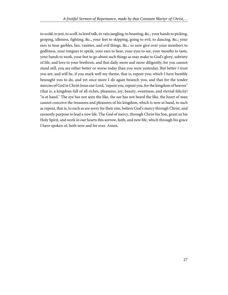to scold, to jest, to scoff, to lewd talk, to vain jangling, to boasting, &c., your hands to picking, groping, idleness, fighting, &c., your feet to skipping, going to evil, to dancing, &c.; your ears to hear garbles, lies, vanities, and evil things, &c.; so now give over your members to godliness, your tongues to speak, your ears to hear, your eyes to see, your mouths to taste, your hands to work, your feet to go about such things as may make to God's glory, sobriety of life, and love to your brethren, and that daily more and more diligently; for you cannot stand still, you are either better or worse today than you were yesterday. But better I trust you are, and will be, if you mark well my theme, that is, repent you; which I have humbly besought you to do, and yet once more I do again beseech you, and that for the tender mercies of God in Christ Jesus our Lord, "repent you, repent you, for the kingdom of heaven" (that is, a kingdom full of all riches, pleasures, joy, beauty, sweetness, and eternal felicity! "is at hand." The eye has not seen the like, the ear has not heard the like, the heart of man cannot conceive the treasures and pleasures of his kingdom, which is now at hand, to such as repent, that is, to such as are sorry for their sins, believe God's mercy through Christ, and earnestly purpose to lead a new life. The God of mercy, through Christ his Son, grant us his Holy Spirit, and work in our hearts this sorrow, faith, and new life, which through his grace I have spoken of, both now and for ever. Amen.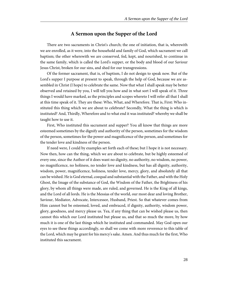## **A Sermon upon the Supper of the Lord**

<span id="page-31-0"></span>There are two sacraments in Christ's church; the one of initiation, that is, wherewith we are enrolled, as it were, into the household and family of God, which sacrament we call baptism; the other wherewith we are conserved, fed, kept, and nourished, to continue in the same family, which is called the Lord's supper, or the body and blood of our Saviour Jesus Christ, broken for our sins, and shed for our transgressions.

Of the former sacrament, that is, of baptism, I do not design to speak now. But of the Lord's supper I purpose at present to speak, through the help of God, because we are assembled in Christ (I hope) to celebrate the same. Now that what I shall speak may be better observed and retained by you, I will tell you how and in what sort I will speak of it. Three things I would have marked, as the principles and scopes whereto I will refer all that I shall at this time speak of it. They are these: Who, What, and Wherefore. That is, First: Who instituted this thing which we are about to celebrate? Secondly, What the thing is which is instituted? And, Thirdly, Wherefore and to what end it was instituted? whereby we shall be taught how to use it.

First, Who instituted this sacrament and supper? You all know that things are more esteemed sometimes by the dignify and authority of the person, sometimes for the wisdom of the person, sometimes for the power and magnificence of the person, and sometimes for the tender love and kindness of the person.

If need were, I could by examples set forth each of these; but I hope it is not necessary. Now then, how can the thing, which we are about to celebrate, but be highly esteemed of every one, since the Author of it does want no dignity, no authority, no wisdom, no power, no magnificence, no holiness, no tender love and kindness, but has all dignity, authority, wisdom, power, magnificence, holiness, tender love, mercy, glory, and absolutely all that can be wished. He is God eternal, coequal and substantial with the Father, and with the Holy Ghost, the Image of the substance of God, the Wisdom of the Father, the Brightness of his glory, by whom all things were made, are ruled, and governed. He is the King of all kings, and the Lord of all lords. He is the Messias of the world, our most dear and loving Brother, Saviour, Mediator, Advocate, Intercessor, Husband, Priest. So that whatever comes from Him cannot but be esteemed, loved, and embraced, if dignity, authority, wisdom power, glory, goodness, and mercy please us. Yea, if any thing that can be wished please us, then cannot this which our Lord instituted but please us, and that so much the more, by how much it is one of the last things which he instituted and commanded. May God open our eyes to see these things accordingly, so shall we come with more reverence to this table of the Lord, which may he grant for his mercy's sake. Amen. And thus much for the first, Who instituted this sacrament.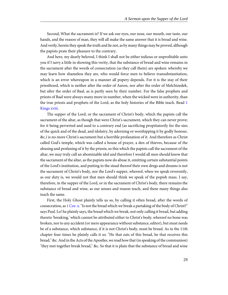Second, What the sacrament is? If we ask our eyes, our nose, our mouth, our taste, our hands, and the reason of man, they will all make the same answer that it is bread and wine. And verily, herein they speak the truth and lie not, as by many things may be proved, although the papists prate their pleasure to the contrary.

And here, my dearly beloved, I think I shall not be either tedious or unprofitable unto you if I tarry a little in showing this verity, that the substance of bread and wine remains in the sacrament after the words of consecration (as they call them) are spoken: whereby we may learn how shameless they are, who would force men to believe transubstantiation, which is an error whereupon in a manner all popery depends. For it is the stay of their priesthood, which is neither after the order of Aaron, nor after the order of Melchizedek, but after the order of Baal, as is partly seen by their number. For the false prophets and priests of Baal were always many more in number, when the wicked were in authority, than the true priests and prophets of the Lord, as the holy histories of the Bible teach. Read [1](http://www.ccel.org/study/Bible:1Kgs.18) [Kings xviii.](http://www.ccel.org/study/Bible:1Kgs.18)

The supper of the Lord, or the sacrament of Christ's body, which the papists call the sacrament of the altar, as though that were Christ's sacrament, which they can never prove; for it being perverted and used to a contrary end (as sacrificing propitiatorily for the sins of the quick and of the dead, and idolatry, by adorning or worshipping it by godly honour, &c.) is no more Christ's sacrament but a horrible profanation of it. And therefore as Christ called God's temple, which was called a house of prayer, a den of thieves, because of the abusing and profaning of it by the priests; so this which the papists call the sacrament of the altar, we may truly call an abominable idol and therefore I would all men should know that the sacrament of the altar, as the papists now do abuse it, omitting certain substantial points of the Lord's institution, and putting in the stead thereof their own dregs and dreams is not the sacrament of Christ's body, nor the Lord's supper, whereof, when we speak reverently, as our duty is, we would not that men should think we speak of the popish mass. I say, therefore, in the supper of the Lord, or in the sacrament of Christ's body, there remains the substance of bread and wine, as our senses and reason teach, and these many things also teach the same.

First, the Holy Ghost plainly tells us so, by calling it often bread, after the words of consecration, as [1 Cor. x.](http://www.ccel.org/study/Bible:1Cor.10) "Is not the bread which we break a partaking of the body of Christ?'' says Paul. Lo! he plainly says, the bread which we break, not only calling it bread, but adding thereto 'breaking,' which cannot be attributed either to Christ's body, whereof no bone was broken, nor to any accident (or mere appearance without substance, editor), but must needs be of a substance, which substance, if it is not Christ's body, must be bread. As in the 11th chapter four times he plainly calls it so. "He that eats of this bread, he that receives this bread," &c. And in the Acts of the Apostles, we read how that (in speaking of the communion) "they met together break bread," &c. So that it is plain that the substance of bread and wine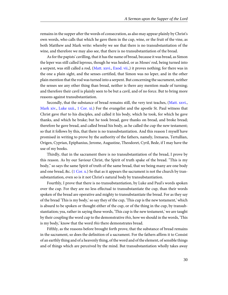remains in the supper after the words of consecration, as also may appear plainly by Christ's own words, who calls that which he gave them in the cup, wine, or the fruit of the vine, as both Matthew and Mark write: whereby we see that there is no transubstantiation of the wine, and therefore we may also see, that there is no transubstantiation of the bread.

As for the papists' cavilling, that it has the name of bread, because it was bread, as Simon the leper was still called leprous, though he was healed, or as Moses' rod, being turned into a serpent, was still called a rod, ([Matt. xxvi.](http://www.ccel.org/study/Bible:Matt.26), [Exod. vii.](http://www.ccel.org/study/Bible:Exod.7),) it proves nothing; for there was in the one a plain sight, and the senses certified, that Simon was no leper, and in the other plain mention that the rod was turned into a serpent. But concerning the sacrament, neither the senses see any other thing than bread, neither is there any mention made of turning; and therefore their cavil is plainly seen to be but a cavil, and of no force. But to bring more reasons against transubstantiation.

Secondly, that the substance of bread remains still, the very text teaches, ([Matt. xxvi.,](http://www.ccel.org/study/Bible:Matt.26) [Mark xiv.](http://www.ccel.org/study/Bible:Mark.14), [Luke xxii.,](http://www.ccel.org/study/Bible:Luke.22) [1 Cor. xi.\)](http://www.ccel.org/study/Bible:1Cor.11) For the evangelist and the apostle St. Paul witness that Christ gave that to his disciples, and called it his body, which he took, for which he gave thanks, and which he brake; but he took bread, gave thanks on bread, and broke bread; therefore he gave bread, and called bread his body, as he called the cup the new testament; so that it follows by this, that there is no transubstantiation. And this reason I myself have promised in writing to prove by the authority of the fathers, namely, Irenaeus, Tertullian, Origen, Cyprian, Epiphanius, Jerome, Augustine, Theodoret, Cyril, Bede, if I may have the use of my books.

Thirdly, that in the sacrament there is no transubstantiation of the bread, I prove by this reason. As by our Saviour Christ, the Spirit of truth spake of the bread. "This is my body," so says the same Spirit of truth of the same bread, that we being many are one body and one bread, &c. [\(1 Cor. x.\)](http://www.ccel.org/study/Bible:1Cor.10) So that as it appears the sacrament is not the church by transubstantiation, even so is it not Christ's natural body by transubstantiation.

Fourthly, I prove that there is no transubstantiation, by Luke and Paul's words spoken over the cup. For they are no less effectual to transubstantiate the cup, than their words spoken of the bread are operative and mighty to transubstantiate the bread. For as they say of the bread 'This is my body,' so say they of the cup, 'This cup is the new testament,' which is absurd to be spoken or thought either of the cup, or of the thing in the cup, by transubstantiation; yea, rather in saying these words, 'This cup is the new testament,' we are taught by their coupling the word cup to the demonstrative this, how we should in the words, 'This is my body,' know that the word this there demonstrates bread.

Fifthly, as the reasons before brought forth prove, that the substance of bread remains in the sacrament, so does the definition of a sacrament. For the fathers affirm it to Consist of an earthly thing and of a heavenly thing, of the word and of the element, of sensible things and of things which are perceived by the mind. But transubstantiation wholly takes away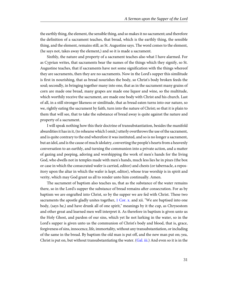the earthly thing, the element, the sensible thing, and so makes it no sacrament; and therefore the definition of a sacrament teaches, that bread, which is the earthly thing, the sensible thing, and the element, remains still, as St. Augustine says. The word comes to the element, (he says not, takes away the element,) and so it is made a sacrament.

Sixthly, the nature and property of a sacrament teaches also what I have alarmed. For as Cyprian writes, that sacraments bear the names of the things which they signify, so St. Augustine teaches, that if sacraments have not some signification with the things whereof they are sacraments, then they are no sacraments. Now in the Lord's supper this similitude is first in nourishing, that as bread nourishes the body, so Christ's body broken feeds the soul; secondly, in bringing together many into one, that as in the sacrament many grains of corn are made one bread, many grapes are made one liquor and wine, so the multitude, which worthily receive the sacrament, are made one body with Christ and his church. Last of all, in a still stronger likeness or similitude, that as bread eaten turns into our nature, so we, rightly eating the sacrament by faith, turn into the nature of Christ; so that it is plain to them that will see, that to take the substance of bread away is quite against the nature and property of a sacrament.

I will speak nothing how this their doctrine of transubstantiation, besides the manifold absurdities it has in it, (to rehearse which I omit,) utterly overthrows the use of the sacrament, and is quite contrary to the end wherefore it was instituted, and so is no longer a sacrament, but an idol, and is the cause of much idolatry, converting the people's hearts from a heavenly conversation to an earthly, and turning the communion into a private action, and a matter of gazing and peeping, adoring and worshipping the work of men's hands for the living God, who dwells not in temples made with men's hands, much less lies he in pixes (the box or case in which the consecrated wafer is carried, editor) and chests (or tabernacle, a repository upon the altar in which the wafer is kept, editor), whose true worship is in spirit and verity, which may God grant us all to render unto him continually. Amen.

The sacrament of baptism also teaches us, that as the substance of the water remains there, so in the Lord's supper the substance of bread remains after consecration. For as by baptism we are engrafted into Christ, so by the supper we are fed with Christ. These two sacraments the apostle gladly unites together, [1 Cor. x.](http://www.ccel.org/study/Bible:1Cor.10) and xii. "We are baptised into one body, (says he,) and have drunk all of one spirit," meanings by it the cup, as Chrysostom and other great and learned men well interpret it. As therefore in baptism is given unto us the Holy Ghost, and pardon of our sins, which yet lie not lurking in the water, so in the Lord's supper is given unto us the communion of Christ's body and blood, that is, grace, forgiveness of sins, innocence, life, immortality, without any transubstantiation, or including of the same in the bread. By baptism the old man is put off, and the new man put on; yea, Christ is put on, but without transubstantiating the water. ([Gal. iii.](http://www.ccel.org/study/Bible:Gal.3)) And even so it is in the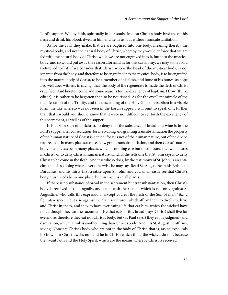Lord's supper. We, by faith, spiritually in our souls, feed on Christ's body broken, eat his flesh and drink his blood, dwell in him and he in us, but without transubstantiation.

As for the cavil they make, that we are baptised into one body, meaning thereby the mystical body, and not the natural body of Christ, whereby they would enforce that we are fed with the natural body of Christ, while we are not engraved into it, but into the mystical body, and so would put away the reason aforesaid as for this cavil, I say, we may soon avoid (refute, editor) it, if we consider that Christ, who is the head of the mystical body, is not separate from the body; and therefore to be engrafted into the mystical body, is to be engrafted into the natural body of Christ, to be a member of his flesh, and bone of his bones, as pope Leo well does witness, in saying, that 'the body of the regenerate is made the flesh of Christ crucified.' And hereto I could add some reasons for the excellency of baptism. I trow (think, editor) it is rather to be begotten than to be nourished. As for the excellent miracle of the manifestation of the Trinity, and the descending of the Holy Ghost in baptism in a visible form, the like whereto was not seen in the Lord's supper, I will omit to speak of it further than that I would you should know that it were not difficult to set forth the excellency of this sacrament, as well as of the supper.

It is a plain sign of antichrist, to deny that the substance of bread and wine is in the Lord's supper after consecration; for in so doing and granting transubstantiation the property of the human nature of Christ is denied, for it is not of the human nature, but of the divine nature, to be in many places at once. Now grant transubstantiation, and then Christ's natural body must needs be in many places, which is nothing else but to confound the two natures in Christ, or to deny Christ's human nature which is the selfsame that St John says is to deny Christ to be come in the flesh. And this whoso does, by the testimony of St. John, is an antichrist in his so doing whatsoever otherwise he may say. Read St. Augustine in his Epistle to Dardanus, and his thirty-first treatise upon St. John, and you small easily see that Christ's body must needs be in one place, but his truth is in all places.

If there is no substance of bread in the sacrament but transubstantiation, then Christ's body is received of the ungodly, and eaten with their teeth, which is not only against St Augustine, who calls this expression, "Except you eat the flesh of the Son of man," &c. a figurative speech; but also against the plain scriptures, which affirm them to dwell in Christ and Christ in them, and they to have everlasting life that eat him, which the wicked have not, although they eat the sacrament. He that eats of this bread (says Christ) shall live for evermore: therefore they eat not Christ's body, but (as Paul says,) they eat in judgment and damnation, which I think is another thing than Christ's body. And this St. Augustine affirms, saying, None eat Christ's body who are not in the body of Christ, that is, (as he expounds it,) in whom Christ dwells not, and he in Christ: which thing the wicked do not, because they want faith and the Holy Spirit, which are the means whereby Christ is received.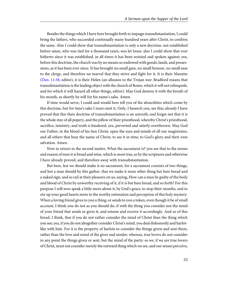Besides the things which I have here brought forth to impugn transubstantiation, I could bring the fathers, who succeeded continually many hundred years after Christ, to confirm the same. Also I could show that transubstantiation is only a new doctrine, not established before satan, who was tied for a thousand years, was let loose: also I could show that ever hitherto since it was established, in all times it has been resisted and spoken against; yea, before this doctrine, the church was by no means so endowed with goods, lands, and possessions, as it has been ever since. It has brought no small gain, no small honour, no small ease to the clergy, and therefore no marvel that they strive and fight for it. It is their Maozim ([Dan. 11:38,](http://www.ccel.org/study/Bible:Dan.11.38) editor), it is their Helen (an allusion to the Trojan war: Bradford means that transubstantiation is the leading object with the church of Rome, which it will not relinquish, and for which it will hazard all other things, editor). May God destroy it with the breath of his mouth, as shortly he will for his name's sake. Amen.

If time would serve, I could and would here tell you of the absurdities which come by this doctrine, but for time's sake I must omit it. Only, I beseech you, see this; already I have proved that this their doctrine of transubstantiation is an untruth; and forget not that it is the whole stay of all popery, and the pillow of their priesthood, whereby Christ's priesthood, sacrifice, ministry, and truth is hindered, yea, perverted and utterly overthrown. May God our Father, in the blood of his Son Christ, open the eyes and minds of all our magistrates, and all others that bear the name of Christ, to see it in time, to God's glory and their own salvation. Amen.

Now to return to the second matter, What the sacrament is? you see that to the senses and reason of man it is bread and wine, which is most true, as by the scriptures and otherwise I have already proved, and therefore away with transubstantiation.

But here, lest we should make it no sacrament, for a sacrament consists of two things, and lest a man should by this gather, that we make it none other thing but bare bread and a naked sign, and so rail at their pleasure on us, saying, How can a man be guilty of the body and blood of Christ by unworthy receiving of it, if it is but bare bread, and so forth? For this purpose I will now speak a little more about it, by God's grace, to stop their mouths, and to stir up your good hearts more to the worthy estimation and perception of this holy mystery. When a loving friend gives to you a thing, or sends to you a token, even though it be of small account, I think you do not as you should do, if with the thing you consider not the mind of your friend that sends or gives it, and esteem and receive it accordingly. And so of this bread, I think, that if you do not rather consider the mind of Christ than the thing which you see; yea, if you do not altogether consider Christ's mind, you deal dishonestly and harlotlike with him. For it is the property of harlots to consider the things given and sent them, rather than the love and mind of the giver and sender; whereas, true lovers do not consider in any point the things given or sent, but the mind of the party: so we, if we are true lovers of Christ, must not consider merely the outward thing which we see, and our senses perceive,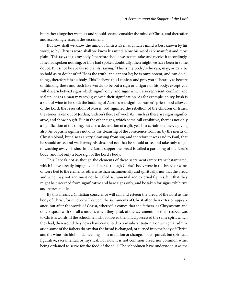but rather altogether we must and should see and consider the mind of Christ, and thereafter and accordingly esteem the sacrament.

But how shall we know the mind of Christ? Even as a man's mind is best known by his word, so by Christ's word shall we know his mind. Now his words are manifest and most plain. "This (says he) is my body," therefore should we esteem, take, and receive it accordingly. If he had spoken nothing, or if he had spoken doubtfully, then might we have been in some doubt. But since he speaks so plainly, saying, "This is my body," who can, may, or dare be so bold as to doubt of it? He is the truth, and cannot lie; he is omnipotent, and can do all things, therefore it is his body. This I believe, this I confess, and pray you all heartily to beware of thinking these and such like words, to be but a sign or a figure of his body; except you will discern betwixt signs which signify only, and signs which also represent, confirm, and seal up, or (as a man may say) give with their signification. As for example: an ivy-bush is a sign of wine to be sold; the budding of Aaron's rod signified Aaron's priesthood allowed of the Lord; the reservation of Moses' rod signified the rebellion of the children of Israel; the stones taken out of Jordan, Gideon's fleece of wool, &c.; such as these are signs significative, and show no gift. But in the other signs, which some call exhibitive, there is not only a signification of the thing, but also a declaration of a gift, yea, in a certain manner, a giving also. As baptism signifies not only the cleansing of the conscience from sin by the merits of Christ's blood, but also is a very cleansing from sin; and therefore it was said to Paul, that he should arise, and wash away his sins, and not that he should arise, and take only a sign of washing away his sins. In the Lords supper the bread is called a partaking of the Lord's body, and not only a bare sign of the Lord's body.

This I speak not as though the elements of these sacraments were transubstantiated, which I have already impugned, neither as though Christ's body were in the bread or wine, or were tied to the elements, otherwise than sacramentally and spiritually, nor that the bread and wine may not and must not be called sacramental and external figures, but that they might be discerned from significative and bare signs only, and be taken for signs exhibitive and representative.

By this means a Christian conscience will call and esteem the bread of the Lord as the body of Christ; for it never will esteem the sacraments of Christ after their exterior appearance, but after the words of Christ, whereof it comes that the fathers, as Chrysostom and others speak with so full a mouth, when they speak of the sacrament, for their respect was to Christ's words. If the schoolmen who followed them had possessed the same spirit which they had, then would they never have consented to transubstantiation. For with great admiration some of the fathers do say that the bread is changed, or turned into the body of Christ, and the wine into his blood, meaning it of a mutation or change, not corporeal, but spiritual, figurative, sacramental, or mystical. For now it is not common bread nor common wine, being ordained to serve for the food of the soul. The schoolmen have understood it as the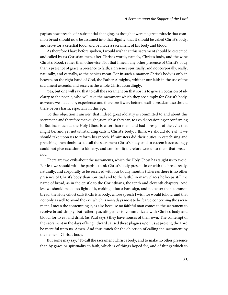papists now preach, of a substantial changing, as though it were no great miracle that common bread should now be assumed into that dignity, that it should be called Christ's body, and serve for a celestial food, and be made a sacrament of his body and blood.

As therefore I have before spoken, I would wish that this sacrament should be esteemed and called by us Christian men, after Christ's words, namely, Christ's body, and the wine Christ's blood, rather than otherwise. Not that I mean any other presence of Christ's body than a presence of grace, a presence to faith, a presence spiritually; and not corporally, really, naturally, and carnally, as the papists mean. For in such a manner Christ's body is only in heaven, on the right hand of God, the Father Almighty, whither our faith in the use of the sacrament ascends, and receives the whole Christ accordingly.

Yea, but one will say, that to call the sacrament on that sort is to give an occasion of idolatry to the people, who will take the sacrament which they see simply for Christ's body, as we are well taught by experience; and therefore it were better to call it bread, and so should there be less harm, especially in this age.

To this objection I answer, that indeed great idolatry is committed to and about this sacrament, and therefore men ought, as much as they can, to avoid occasioning or confirming it. But inasmuch as the Holy Ghost is wiser than man, and had foresight of the evils that might be, and yet notwithstanding calls it Christ's body, I think we should do evil, if we should take upon us to reform his speech. If ministers did their duties in catechising and preaching, then doubtless to call the sacrament Christ's body, and to esteem it accordingly could not give occasion to idolatry, and confirm it; therefore woe unto them that preach not.

There are two evils about the sacraments, which the Holy Ghost has taught us to avoid. For lest we should with the papists think Christ's body present in or with the bread really, naturally, and corporally to be received with our bodily mouths (whereas there is no other presence of Christ's body than spiritual and to the faith,) in many places he keeps still the name of bread, as in the epistle to the Corinthians, the tenth and eleventh chapters. And lest we should make too light of it, making it but a bare sign, and no better than common bread, the Holy Ghost calls it Christ's body, whose speech I wish we would follow, and that not only as well to avoid the evil which is nowadays most to be feared concerning the sacrament, I mean the contemning it, as also because no faithful man comes to the sacrament to receive bread simply, but rather, yea, altogether to communicate with Christ's body and blood; for to eat and drink (as Paul says,) they have houses of their own. The contempt of the sacrament in the days of king Edward caused these plagues upon us at present; the Lord be merciful unto us. Amen. And thus much for the objection of calling the sacrament by the name of Christ's body.

But some may say, "To call the sacrament Christ's body, and to make no other presence than by grace or spirituality to faith, which is of things hoped for, and of things which to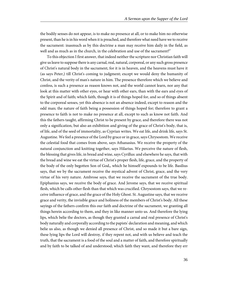the bodily senses do not appear, is to make no presence at all, or to make him no otherwise present, than he is in his word when it is preached, and therefore what need have we to receive the sacrament: inasmuch as by this doctrine a man may receive him daily in the field, as well and as much as in the church, in the celebration and use of the sacrament?"

To this objection I first answer, that indeed neither the scripture nor Christian faith will give us leave to suppose there is any carnal, real, natural, corporeal, or any such gross presence of Christ's natural body in the sacrament, for it is in heaven, and the heavens must have it (as says Peter,) till Christ's coming to judgment; except we would deny the humanity of Christ, and the verity of man's nature in him. The presence therefore which we believe and confess, is such a presence as reason knows not, and the world cannot learn, nor any that look at this matter with other eyes, or hear with other ears, than with the ears and eyes of the Spirit and of faith; which faith, though it is of things hoped for, and so of things absent to the corporeal senses, yet this absence is not an absence indeed, except to reason and the odd man; the nature of faith being a possession of things hoped for; therefore to grant a presence to faith is not to make no presence at all, except to such as know not faith. And this the fathers taught, affirming Christ to be present by grace, and therefore there was not only a signification, but also an exhibition and giving of the grace of Christ's body, that is, of life, and of the seed of immortality, as Cyprian writes. We eat life, and drink life, says St. Augustine. We feel a presence of the Lord by grace or in grace, says Chrysostom. We receive the celestial food that comes from above, says Athanasius. We receive the property of the natural conjunction and knitting together, says Hilarius. We perceive the nature of flesh, the blessing that gives life, in bread and wine, says Cyrillus: and elsewhere he says, that with the bread and wine we eat the virtue of Christ's proper flesh, life, grace, and the property of the body of the only begotten Son of God,, which he himself expounds to be life. Basilius says, that we by the sacrament receive the mystical advent of Christ, grace, and the very virtue of his very nature. Ambrose says, that we receive the sacrament of the true body. Epiphanius says, we receive the body of grace. And Jerome says, that we receive spiritual flesh, which be calls other flesh than that which was crucified. Chrysostom says, that we receive influence of grace, and the grace of the Holy Ghost. St. Augustine says, that we receive grace and verity, the invisible grace and holiness of the members of Christ's body. All these sayings of the fathers confirm this our faith and doctrine of the sacrament, we granting all things herein according to them, and they in like manner unto us. And therefore the lying lips, which belie the doctors, as though they granted a carnal and real presence of Christ's body naturally and corporally according to the papists' declaration and meaning, and which belie us also, as though we denied all presence of Christ, and so made it but a bare sign, these lying lips the Lord will destroy, if they repent not, and with us believe and teach the truth, that the sacrament is a food of the soul and a matter of faith, and therefore spiritually and by faith to be talked of and understood; which faith they want, and therefore they err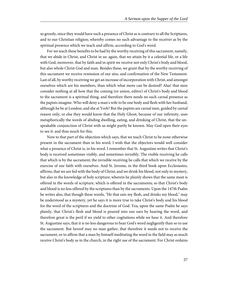so grossly, since they would have such a presence of Christ as is contrary to all the Scriptures, and to our Christian religion; whereby comes no such advantage to the receiver as by the spiritual presence which we teach and affirm, according to God's word.

For we teach these benefits to be had by the worthy receiving of this sacrament, namely, that we abide in Christ, and Christ in us: again, that we attain by it a celestial life, or a life with God; moreover, that by faith and in spirit we receive not only Christ's body and blood, but also whole Christ God and man. Besides these, we grant that by the worthy receiving of this sacrament we receive remission of our sins, and confirmation of the New Testament. Last of all, by worthy receiving we get an increase of incorporation with Christ, and amongst ourselves which are his members, than which what more can be desired? Alas! that men consider nothing at all how that the coming (or union, editor) of Christ's body and blood to the sacrament is a spiritual thing, and therefore there needs no such carnal presence as the papists imagine. Who will deny a man's wife to be one body and flesh with her husband, although he be at London, and she at York? But the papists are carnal men, guided by carnal reason only, or else they would know that the Holy Ghost, because of our infirmity, uses metaphorically the words of abiding dwelling, eating, and drinking of Christ, that the unspeakable conjunction of Christ with us might partly be known. May God open their eyes to see it: and thus much for this.

Now to that part of the objection which says, that we teach Christ to be none otherwise present in the sacrament than in his word. I wish that the objectors would well consider what a presence of Christ is, in his word. I remember that St. Augustine writes that Christ's body is received sometimes visibly, and sometimes invisibly. The visible receiving he calls that which is by the sacrament; the invisible receiving he calls that which we receive by the exercise of our faith with ourselves. And St. Jerome, in the third book upon Ecclesiastes, affirms, that we are fed with the body of Christ, and we drink his blood, not only in mystery, but also in the knowledge of holy scripture; wherein he plainly shows that the same meat is offered in the words of scripture, which is offered in the sacraments; so that Christ's body and blood is no less offered by the scriptures than by the sacraments. Upon the 147th Psalm he writes also, that though these words, "He that eats my flesh, and drinks my blood," may be understood as a mystery, yet he says it is more true to take Christ's body and his blood for the word of the scriptures and the doctrine of God. Yea, upon the same Psalm he says plainly, that Christ's flesh and blood is poured into our ears by hearing the word, and therefore great is the peril if we yield to other cogitations while we hear it. And therefore St. Augustine says, that it is no less dangerous to hear God's word negligently than so to use the sacrament. But hereof may no man gather, that therefore it needs not to receive the sacrament, or to affirm that a man by himself meditating the word in the field may as much receive Christ's body as in the church, in the right use of the sacrament. For Christ ordains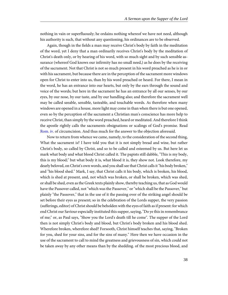nothing in vain or superfluously; he ordains nothing whereof we have not need, although his authority is such, that without any questioning, his ordinances are to be observed.

Again, though in the fields a man may receive Christ's body by faith in the meditation of the word, yet I deny that a man ordinarily receives Christ's body by the meditation of Christ's death only, or by hearing of his word, with so much sight and by such sensible assurance (whereof God knows our infirmity has no small need,) as he does by the receiving of the sacrament. Not that Christ is not so much present in his word preached as he is in or with his sacrament, but because there are in the perception of the sacrament more windows open for Christ to enter into us, than by his word preached or heard. For there, I mean in the word, he has an entrance into our hearts, but only by the ears through the sound and voice of the words; but here in the sacrament he has an entrance by all our senses, by our eyes, by our nose, by our taste, and by our handling also; and therefore the sacrament well may be called seeable, sensible, tasteable, and touchable words. As therefore when many windows are opened in a house, more light may come in than when there is but one opened, even so by the perception of the sacrament a Christian man's conscience has more help to receive Christ, than simply by the word preached, heard or meditated. And therefore I think the apostle rightly calls the sacraments obsignations or scalings of God's promise. Read [Rom. iv.](http://www.ccel.org/study/Bible:Rom.4) of circumcision. And thus much for the answer to the objection aforesaid.

Now to return from whence we came, namely, to the consideration of the second thing, What the sacrament is? I have told you that it is not simply bread and wine, but rather Christ's body, so called by Christ, and so to be called and esteemed by us. But here let us mark what body and what blood Christ called it. The papists still dabble, "This is my body, this is my blood;" but what body it is, what blood it is, they show not. Look therefore, my dearly beloved, on Christ's own words, and you shall see that Christ calls it "his body broken," and "his blood shed." Mark, I say, that Christ calls it his body, which is broken, his blood, which is shed at present, and, not which was broken, or shall be broken, which was shed, or shall be shed, even as the Greek texts plainly show, thereby teaching us, that as God would have the Passover called, not "which was the Passover," or "which shall be the Passover," but plainly "the Passover," that in the use of it the passing over of the striking angel should be set before their eyes as present; so in the celebration of the Lords supper, the very passion (sufferings, editor) of Christ should be beholden with the eyes of faith as if present: for which end Christ our Saviour especially instituted this supper, saying, "Do ye this in remembrance of me;" or, as Paul says, "Show you the Lord's death till he come". The supper of the Lord then is not simply Christ's body and blood, but Christ's body broken and his blood shed. Wherefore broken, wherefore shed? Forsooth, Christ himself teaches that, saying, "Broken for you, shed for your sins, and for the sins of many." Here then we have occasion in the use of the sacrament to call to mind the greatness and grievousness of sin, which could not be taken away by any other means than by the shedding. of the most precious blood, and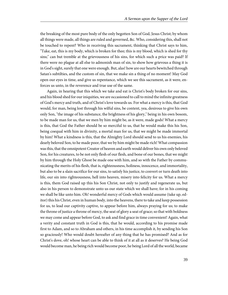the breaking of the most pure body of the only begotten Son of God, Jesus Christ; by whom all things were made, all things are ruled and governed, &c. Who, considering this, shall not be touched to repent? Who in receiving this sacrament, thinking that Christ says to him, "Take, eat, this is my body, which is broken for thee; this is my blood, which is shed for thy sins;" can but tremble at the grievousness of his sins, for which such a price was paid? If there were no plague at all else to admonish man of sin, to show how grievous a thing it is in God's sight, surely that one were enough. But, alas! how are our hearts bewitched through Satan's subtilties, and the custom of sin, that we make sin a thing of no moment! May God open our eyes in time, and give us repentance, which we see this sacrament, as it were, enforces us unto, in the reverence and true use of the same.

Again, in hearing that this which we take and eat is Christ's body broken for our sins, and his blood shed for our iniquities, we are occasioned to call to mind the infinite greatness of God's mercy and truth, and of Christ's love towards us. For what a mercy is this, that God would, for man, being lost through his wilful sins, be content, yea, desirous to give his own only Son, "the image of his substance, the brightness of his glory," being in his own bosom, to be made man for us, that we men by him might be, as it were, made gods! What a mercy is this, that God the Father should be so merciful to us, that he would make this his Son, being coequal with him in divinity, a mortal man for us, that we might be made immortal by him! What a kindness is this, that the Almighty Lord should send to us his enemies, his dearly beloved Son, to he made poor, that we by him might be made rich! What compassion was this, that the omnipotent Creator of heaven and earth would deliver his own only beloved Son, for his creatures, to be not only flesh of our flesh, and bone of our bones, that we might by him through the Holy Ghost be made one with him, and so with the Father by communicating the merits of his flesh, that is, righteousness, holiness, innocence, and immortality, but also to be a slain sacrifice for our sins, to satisfy his justice, to convert or turn death into life, our sin into righteousness, hell into heaven, misery into felicity for us. What a mercy is this, them God raised up this his Son Christ, not only to justify and regenerate us, but also in his person to demonstrate unto us our state which we shall have; for in his coming we shall be like unto him. Oh! wonderful mercy of Gods which would assume (take up, editor) this his Christ, even in human body, into the heavens, there to take and keep possession for us, to lead our captivity captive, to appear before him, always praying for us; to make the throne of justice a throne of mercy, the seat of glory a seat of grace; so that with boldness we may come and appear before God, to ask and find grace in time convenient! Again, what a verity and constant truth in God is this, that he would, according to his promise made first to Adam, and so to Abraham and others, in his time accomplish it, by sending his Son so graciously! Who would doubt hereafter of any thing that he has promised? And as for Christ's dove, oh! whose heart can be able to think of it at all as it deserves? He being God would become man, he being rich would become poor, he being Lord of all the world, became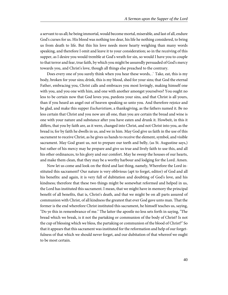a servant to us all; he being immortal, would become mortal, miserable, and last of all, endure God's curses for us. His blood was nothing too dear, his life he nothing considered, to bring us from death to life. But this his love needs more hearty weighing than many words speaking, and therefore I omit and leave it to your consideration; so in the receiving of this supper, as I desire you would tremble at God's wrath for sin, so would I have you to couple to that terror and fear, true faith, by which you might be assuredly persuaded of God's mercy towards you, and Christ's love, though all things else preached to the contrary.

Does every one of you surely think when you hear these words, .` Take, eat, this is my body, broken for your sins; drink, this is my blood, shed for your sins; that God the eternal Father, embracing you, Christ calls and embraces you most lovingly, making himself one with you, and you one with him, and one with another amongst yourselves? You ought no less to be certain now that God loves you, pardons your sins, and that Christ is all yours, than if you heard an angel out of heaven speaking so unto you. And therefore rejoice and be glad, and make this supper *Eucharistiam*, a thanksgiving, as the fathers named it. Be no less certain that Christ and you now are all one, than you are certain the bread and wine is one with your nature and substance after you have eaten and drunk it. Howbeit, in this it differs, that you by faith are, as it were, changed into Christ, and not Christ into you, as the bread is; for by faith he dwells in us, and we in him. May God give us faith in the use of this sacrament to receive Christ, as he gives us hands to receive the element, symbol, and visible sacrament. May God grant us, not to prepare our teeth and belly, (as St. Augustine says,) but rather of his mercy may he prepare and give us true and lively faith to use this, and all his other ordinances, to his glory and our comfort. May he sweep the houses of our hearts, and make them clean, that they may be a worthy harbour and lodging for the Lord. Amen.

Now let us come and look on the third and last thing, namely, Wherefore the Lord instituted this sacrament? Our nature is very oblivious (apt to forget, editor) of God and all his benefits: and again, it is very full of dubitation and doubting of God's love, and his kindness; therefore that these two things might be somewhat reformed and helped in us, the Lord has instituted this sacrament. I mean, that we might have in memory the principal benefit of all benefits, that is, Christ's death, and that we might be on all parts assured of communion with Christ, of all kindness the greatest that ever God gave unto man. That the former is the end wherefore Christ instituted this sacrament, he himself teaches us, saying, "Do ye this in remembrance of me." The latter the apostle no less sets forth in saying, "The bread which we break, is it not the partaking or communion of the body of Christ? Is not the cup of blessing which we bless, the partaking or communion of the blood of Christ?" So that it appears that this sacrament was instituted for the reformation and help of our forgetfulness of that which we should never forget, and our dubitation of that whereof we ought to be most certain.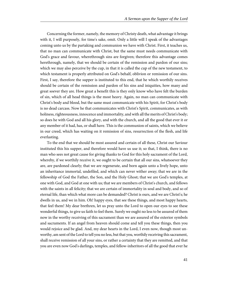Concerning the former, namely, the memory of Christy death, what advantage it brings with it, I will purposely, for time's sake, omit. Only a little will I speak of the advantages coming unto us by the partaking and communion we have with Christ. First, it teaches us, that no man can communicate with Christ, but the same must needs communicate with God's grace and favour, wherethrough sins are forgiven; therefore this advantage comes herethrough, namely, that we should be certain of the remission and pardon of our sins; which we may also perceive by the cup, in that it is called the cup of the new testament, to which testament is properly attributed on God's behalf, oblivion or remission of our sins. First, I say, therefore the supper is instituted to this end, that he which worthily receives should be certain of the remission and pardon of his sins and iniquities, how many and great soever they are. How great a benefit this is they only know who have felt the burden of sin, which of all head things is the most heavy. Again, no man can communicate with Christ's body and blood, but the same must communicate with his Spirit, for Christ's body is no dead carcass. Now he that communicates with Christ's Spirit, communicates, as with holiness, righteousness, innocence and immortality, and with all the merits of Christ's body; so does he with God and all his glory, and with the church, and all the good that ever it or any member of it had, has, or shall have. This is the communion of saints, which we believe in our creed, which has waiting on it remission of sins, resurrection of the flesh, and life everlasting.

To the end that we should be most assured and certain of all these, Christ our Saviour instituted this his supper, and therefore would have us use it; so that, I think, there is no man who sees not great cause for giving thanks to God for this holy sacrament of the Lord, whereby, if we worthily receive it, we ought to be certain that all our sins, whatsoever they are, are pardoned clearly; that we are regenerate, and born again unto a lively hope, unto an inheritance immortal, undefiled, and which can never wither away; that we are in the fellowship of God the Father, the Son, and the Holy Ghost; that we are God's temples, at one with God, and God at one with us; that we are members of Christ's church, and fellows with the saints in all felicity; that we are certain of immortality in soul and body, and so of eternal life, than which what more can be demanded? Christ is ours, and we are Christ's; he dwells in us, and we in him. Oh! happy eyes, that see these things, and most happy hearts, that feel them! My dear brethren, let us pray unto the Lord to open our eyes to see these wonderful things, to give us faith to feel them. Surely we ought no less to be assured of them now in the worthy receiving of this sacrament than we are assured of the exterior symbols and sacraments. If an angel from heaven should come and tell you these things, then you would rejoice and be glad. And, my dear hearts in the Lord, I even now, though most unworthy, am sent of the Lord to tell you no less, but that you, worthily receiving this sacrament, shall receive remission of all your sins, or rather a certainty that they are remitted, and that you are even now God's darlings, temples, and fellow-inheritors of all the good that ever he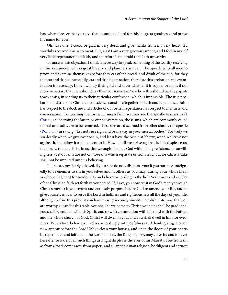has; wherefore see that you give thanks unto the Lord for this his great goodness, and praise his name for ever.

Oh, says one, I could be glad in very deed, and give thanks from my very heart, if I worthily received this sacrament. But, alas! I am a very grievous sinner, and I feel in myself very little repentance and faith, and therefore I am afraid that I am unworthy.

To answer this objection, I think it necessary to speak something of the worthy receiving in this sacrament, with as great brevity and plainness as I can. The apostle wills all men to prove and examine themselves before they eat of the bread, and drink of the cup, for they that eat and drink unworthily, eat and drink damnation; therefore this probation and examination is necessary. If men will try their gold and silver whether it is copper or no, is it not more necessary that men should try their consciences? Now how this should be, the papists teach amiss, in sending us to their auricular confession, which is impossible. The true probation and trial of a Christian conscience consists altogether in faith and repentance. Faith has respect to the doctrine and articles of our belief; repentance has respect to manners and conversation. Concerning the former, I mean faith, we may see the apostle teaches us ([1](http://www.ccel.org/study/Bible:1Cor.2) [Cor. ii.](http://www.ccel.org/study/Bible:1Cor.2);) concerning the latter, or our conversation, those sins, which are commonly called mortal or deadly, are to be removed. These sins are discerned from other sins by the apostle ([Rom. vi.,](http://www.ccel.org/study/Bible:Rom.6)) in saying, "Let not sin reign and bear sway in your mortal bodies." For truly we sin deadly when we give over to sin, and let it have the bridle at liberty, when we strive not against it, but allow it and consent to it. Howbeit, if we strive against it, if it displease us, then truly, though sin be in us, (for we ought to obey God without any resistance or unwillingness,) yet our sins are not of those sins which separate us from God, but for Christ's sake shall not be imputed unto us believing.

Therefore, my dearly beloved, if your sins do now displease you; if you purpose unfeignedly to be enemies to sin in yourselves and in others as you may, during your whole life if you hope in Christ for pardon; if you believe: according to the holy Scriptures and articles of the Christian faith set forth in your creed. If, I say, you now trust in God's mercy through Christ's merits; if you repent and earnestly purpose before God to amend your life, and to give yourselves over to serve the Lord in holiness and righteousness all the days of your life, although before this present you have most grievously sinned; I publish unto you, that you are worthy guests for this table, you shall be welcome to Christ, your sins shall be pardoned, you shall be endued with his Spirit, and so with communion with him and with the Father, and the whole church of God, Christ will dwell in you, and you shall dwell in him for evermore. Wherefore, behave yourselves accordingly with joyfulness and thanksgiving. Do you now appear before the Lord? Make clean your houses, and open the doors of your hearts by repentance and faith, that the Lord of hosts, the King of glory, may enter in; and for ever hereafter beware of all such things as might displease the eyes of his Majesty. Flee from sin as from a toad; come away from popery and all antichristian religion; be diligent and earnest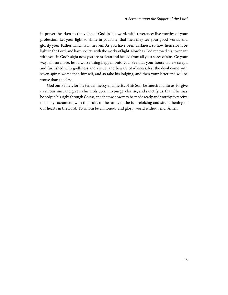in prayer; hearken to the voice of God in his word, with reverence; live worthy of your profession. Let your light so shine in your life, that men may see your good works, and glorify your Father which is in heaven. As you have been darkness, so now henceforth be light in the Lord, and have society with the works of light. Now has God renewed his covenant with you: in God's sight now you are as clean and healed from all your sores of sins. Go your way, sin no more, lest a worse thing happen onto you. See that your house is new swept, and furnished with godliness and virtue, and beware of idleness, lest the devil come with seven spirits worse than himself, and so take his lodging, and then your latter end will be worse than the first.

God our Father, for the tender mercy and merits of his Son, be merciful unto us, forgive us all our sins, and give us his Holy Spirit, to purge, cleanse, and sanctify us; that if he may be holy in his sight through Christ, and that we now may be made ready and worthy to receive this holy sacrament, with the fruits of the same, to the full rejoicing and strengthening of our hearts in the Lord. To whom be all honour and glory, world without end. Amen.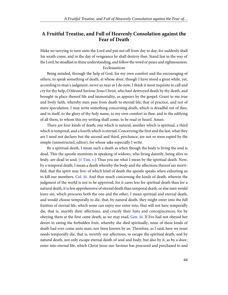## **A Fruitful Treatise, and Full of Heavenly Consolation against the Fear of Death**

Make no tarrying to turn unto the Lord and put not off from day to day; for suddenly shall his wrath come, and in the day of vengeance he shall destroy thee. Stand fast in the way of the Lord, be steadfast in thine understanding, and follow the word or peace and righteousness.

## Ecclesiasticus

Being minded, through the help of God, for my own comfort and the encouraging of others, to speak something of death, at whose door, though I have stood a great while, yet, according to man's judgment, never so near as I do now, I think it most requisite to call and cry for thy help, O blessed Saviour Jesus Christ, who hast destroyed death by thy death, and brought in place thereof life and immortality, as appears by the gospel. Grant to me true and lively faith, whereby men pass from death to eternal life; that of practice, and not of mere speculation, I may write something concerning death, which is dreadful out of thee, and in itself, to the glory of thy holy name, to my own comfort in thee, and to the edifying of all them, to whom this my writing shall come, to be read or heard. Amen.

There are four kinds of death; one which is natural, another which is spiritual, a third which is temporal, and a fourth which is eternal. Concerning the first and the last, what they are I need not declare; but the second and third, perchance, are not so soon espied by the simple (uninstructed, editor), for whose sake especially I write.

By a spiritual death, I mean such a death as when though the body is living the soul is dead. This the apostle mentions in speaking of widows, who living daintily, being alive in body, are dead in soul. ([1 Tim. v.\)](http://www.ccel.org/study/Bible:1Tim.5) Thus you see what I mean by the spiritual death. Now, by a temporal death, I mean a death whereby the body and the affections thereof are mortified, that the spirit may live: of which kind of death the apostle speaks when exhorting us to kill our members. [Col. iii.](http://www.ccel.org/study/Bible:Col.3) And thus much concerning the kinds of death, wherein the judgment of the world is not to be approved, for it cares less for spiritual death than for a natural death, it is less apprehensive of eternal death than temporal death, or else men would leave sin, which procures both the one and the other, I mean spiritual and eternal death, and would choose temporally to die, that, by natural death, they might enter into the full fruition of eternal life, which none can enjoy nor enter into, that will not here temporally die, that is, mortify their affections, and crucify their lusts and concupiscences; for by obeying them at the first came death, as we may read, [Gen. iii.](http://www.ccel.org/study/Bible:Gen.3) If Eve had not obeyed her desire in eating the forbidden fruit, whereby she died spiritually, none of these kinds of death had ever come unto man, nor been known by us. Therefore, as I said, here we must needs temporally die, that is, mortify our affections, to escape the spiritual death, and by natural death, not only escape eternal death of soul and body, but also by it, as by a door, enter into eternal life, which Christ Jesus our Saviour has procured and purchased to and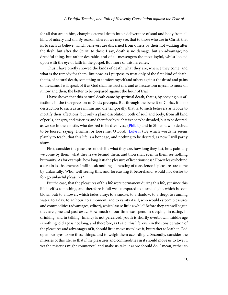for all that are in him, changing eternal death into a deliverance of soul and body from all kind of misery and sin. By reason whereof we may see, that to those who are in Christ, that is, to such as believe, which believers are discerned from others by their not walking after the flesh, but after the Spirit, to those I say, death is no damage, but an advantage; no dreadful thing, but rather desirable, and of all messengers the most joyful, whilst looked upon with the eye of faith in the gospel. But more of this hereafter.

Thus I have briefly showed the kinds of death, what they are, whence they come, and what is the remedy for them. But now, as I purpose to treat only of the first kind of death, that is, of natural death, something to comfort myself and others against the dread and pains of the same, I will speak of it as God shall instruct me, and as I accustom myself to muse on it now and then, the better to be prepared against the hour of trial.

I have shown that this natural death came by spiritual death, that is, by obeying our affections in the transgression of God's precepts. But through the benefit of Christ, it is no destruction to such as are in him and die temporally, that is, to such believers as labour to mortify their affections, but only a plain dissolution, both of soul and body, from all kind of perils, dangers, and miseries; and therefore by such it is not to be dreaded, but to be desired, as we see in the apostle, who desired to be dissolved, ([Phil. i.](http://www.ccel.org/study/Bible:Phil.1)) and in Simeon, who desired to be loosed, saying, Dismiss, or loose me, O Lord. [\(Luke ii.](http://www.ccel.org/study/Bible:Luke.2)) By which words he seems plainly to teach, that this life is a bondage, and nothing to be desired, as now I will partly show.

First, consider the pleasures of this life what they are, how long they last, how painfully we come by them, what they leave behind them, and thou shalt even in them see nothing but vanity. As for example: how long lasts the pleasure of licentiousness? How it leaves behind a certain loathsomeness. I will speak nothing of the sting of conscience, if pleasures are come by unlawfully. Who, well seeing this, and forecasting it beforehand, would not desire to forego unlawful pleasures?

Put the case, that the pleasures of this life were permanent during this life, yet since this life itself is as nothing, and therefore is full well compared to a candlelight, which is soon blown out; to a flower, which fades away; to a smoke, to a shadow, to a sleep, to running water, to a day, to an hour, to a moment, and to vanity itself; who would esteem pleasures and commodities (advantages, editor), which last so little a while? Before they are well begun they are gone and past away. How much of our time was spend in sleeping, in eating, in drinking, and in talking! Infancy is not perceived, youth is shortly overblown, middle age is nothing, old age is not long; and therefore, as I said, this life, even in the consideration of the pleasures and advantages of it, should little move us to love it, but rather to loath it. God open our eyes to see these things, and to weigh them accordingly. Secondly, consider the miseries of this life, so that if the pleasures and commodities in it should move us to love it, yet the miseries might countervail and make us take it as we should do; I mean, rather to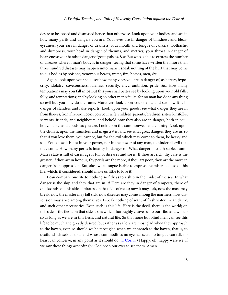desire to be loosed and dismissed hence than otherwise. Look upon your bodies, and see in how many perils and dangers you are. Your eves are in danger of blindness and bleareyedness; your ears in danger of deafness; your mouth and tongue of cankers, toothache, and dumbness; your head in danger of rheums, and metrics; your throat in danger of hoarseness; your hands in danger of gout, palsies, &se. But who is able to express the number of diseases whereof man's body is in danger, seeing that some have written that more than three hundred diseases may happen unto man? I speak nothing of the hurt that may come to our bodies by poisons, venomous beasts, water, fire, horses, men, &c.

Again, look upon your soul, see how many vices you are in danger of, as heresy, hypocrisy, idolatry, covetousness, idleness, security, envy, ambition, pride, &c. How many temptations may you fall into? But this you shall better see by looking upon your old falls, folly, and temptations; and by looking on other men's faults, for no man has done any thing so evil but you may do the same. Moreover, look upon your name, and see how it is in danger of slanders and false reports. Look upon your goods, see what danger they are in from thieves, from fire, &c. Look upon your wife, children, parents, brethren, sisters kinsfolks, servants, friends, and neighbours, and behold how they also are in danger, both in soul, body, name, and goods, as you are. Look upon the commonweal and country. Look upon the church, upon the ministers and magistrates, and see what great dangers they are in, so that if you love them, you cannot, but for the evil which may come to them, be heavy and sad. You know it is not in your power, nor in the power of any man, to hinder all evil that may come. How many perils is infancy in danger of! What danger is youth subject unto! Man's state is full of cares; age is full of diseases and sores. If thou art rich, thy care is the greater; if thou art in honour, thy perils are the more, if thou art poor, thou art the more in danger from oppression. But, alas! what tongue is able to express the miserableness of this life, which, if considered, should make us little to love it!

I can compare our life to nothing so fitly as to a ship in the midst of the sea. In what danger is the ship and they that are in it! Here are they in danger of tempests, there of quicksands; on this side of pirates, on that side of rocks; now it may leak, now the mast may break, now the master may fall sick, now diseases may come among the mariners, now dissension may arise among themselves. I speak nothing of want of fresh water, meat, drink, and such other necessaries. Even such is this life. Here is the devil, there is the world; on this side is the flesh, on that side is sin; which thoroughly cleaves unto our ribs, and will do so as long as we are in this flesh, and natural life. So that none but blind men can see this life to be much and greatly desired; but rather as sailors are most glad when they approach to the haven, even so should we be most glad when we approach to the haven, that is, to death, which sets us to a land whose commodities no eye has seen, no tongue can tell, no heart can conceive, in any point as it should do. ([1 Cor. ii.\)](http://www.ccel.org/study/Bible:1Cor.2) Happy, oh! happy were we, if we saw these things accordingly! God open our eyes to see them. Amen.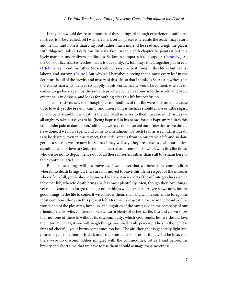If any man would desire testimonies of these things, al though experience, a sufficient mistress, is to be credited, yet I will here mark certain places whereunto the reader may resort, and he will find no less than I say, but rather much more, if he read and weigh the places with diligence. Job (x.) calls this life a warfare. In the eighth chapter he paints it out in a lively manner, under divers similitudes. St. James compares it to a vapour. [\(James iv.](http://www.ccel.org/study/Bible:Jas.4)) All the book of Ecclesiastes teaches that it is but vanity. St. John says it is altogether put in evil. ([1 John viii.\)](http://www.ccel.org/study/Bible:1John.8) David (or rather Moses, editor) says, the best thing in this life is but vanity, labour, and sorrow. [\(Ps. xc.\)](http://www.ccel.org/study/Bible:Ps.90) But why go I hereabout, seeing that almost every leaf in the Scripture is full of the brevity and misery of this life, so that I think, as St. Austin writes, that there is no man who has lived so happily in this world, that he would be content, when death comes, to go back again by the same steps whereby he has come into the world and lived, except he is in despair, and looks for nothing after this life but confusion.

Thus I trust you see, that though the commodities of this life were such as could cause us to love it, yet the brevity, vanity, and misery of it is such, as should make us little regard it, who believe and know, death is the end of all miseries to them that are in Christ, as we all ought to take ourselves to be, (being baptised in his name, for our baptism requires this faith under pain of damnation,) although we have not observed our profession as we should have done, if we now repent, and come to amendment. By such I say as are in Christ, death is to be desired, even in this respect, that it delivers us from so miserable a life and so dangerous a state as we are now in. So that I may well say, they are senseless, without understanding, void of love to God, void of all hatred and sense of sin wherewith this life flows, who desire not to depart hence out of all these miseries, rather than still to remain here to their continual grief.

But if these things will not move us, I would yet that we beheld the commodities whereunto death brings us. If we are not moved to leave this life in respect of the miseries whereof it is full, yet we should be moved to leave it in respect of the infinite goodness which the other life, whereto death brings us, has most plentifully. Men, though they love things, yet can be content to forego them for other things which are better; even so we now, for the good things in the life to come, if we consider them, shall and will be content to forego the most commons things in this present life. Here we have great pleasure in the beauty of the world, and of the pleasures, honours, and dignities of the same; also in the company of our friends, parents, wife, children, subjects, also in plenty of riches, cattle, &c.; and yet we know that not one of these is without its discommodity, which God sends, lest we should love them too much, as, if you will weigh things, you shall easily perceive. The sun though it is fair and cheerful, yet it burns sometimes too hot. The air, though it is generally light and pleasant, yet sometimes it is dark and troublous; and so of other things. But be it so, that there were no discommodities mingled with the commodities, yet as I said before, the brevity and short time that we have to use them should assuage their sweetness.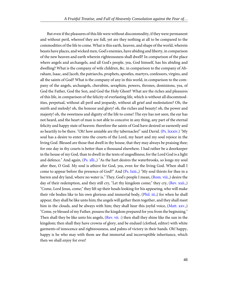But even if the pleasures of this life were without discommodity, if they were permanent and without peril, whereof they are full, yet are they nothing at all to be compared to the commodities of the life to come. What is this earth, heaven, and shape of the world, wherein beasts have places, and wicked men, God's enemies, have abiding and liberty, in comparison of the new heaven and earth wherein righteousness shall dwell? In comparison of the place where angels and archangels, and all God's people, yea, God himself, has his abiding and dwelling? What is the company of wife children, &c. in comparison to the company of Abraham, Isaac, and Jacob, the patriarchs, prophets, apostles, martyrs, confessors, virgins, and all the saints of God? What is the company of any in this world, in comparison to the company of the angels, archangels, cherubim, seraphim, powers, thrones, dominions, yea, of God the Father, God the Son, and God the Holy Ghost? What are the riches and pleasures of this life, in comparison of the felicity of everlasting life, which is without all discommodities, perpetual, without all peril and jeopardy, without all grief and molestation? Oh, the mirth and melody! oh, the honour and glory! oh, the riches and beauty! oh, the power and majesty! oh, the sweetness and dignity of the life to come! The eye has not seen, the ear has not heard, and the heart of man is not able to conceive in any thing, any part of the eternal felicity and happy state of heaven: therefore the saints of God have desired so earnestly and so heartily to be there. "Oh! how amiable are thy tabernacles!" said David. [\(Ps. lxxxiv.\)](http://www.ccel.org/study/Bible:Ps.84) "My soul has a desire to enter into the courts of the Lord, my heart and my soul rejoice in the living God. Blessed are those that dwell in thy house, that they may always be praising thee; for one day in thy courts is better than a thousand elsewhere. I had rather be a doorkeeper in the house of my God, than to dwell in the tents of ungodliness; for the Lord God is a light and defence." And again, ([Ps. xlli.](http://www.ccel.org/study/Bible:Ps.91),) "As the hart desires the waterbrooks, so longs my soul after thee, O God. My soul is athirst for God, yea, even for the living God. When shall I come to appear before the presence of God?" And [\(Ps. lxiii.](http://www.ccel.org/study/Bible:Ps.63),) "My soul thirsts for thee in a barren and dry land, where no water is." They, God's people I mean, [\(Rom. viii.](http://www.ccel.org/study/Bible:Rom.8),) desire the day of their redemption, and they still cry, "Let thy kingdom come;" they cry, ([Rev. xxii.,](http://www.ccel.org/study/Bible:Rev.22)) "Come, Lord Jesus, come;" they lift up their heads looking for his appearing, who will make their vile bodies like to his own glorious and immortal body, ([Phil. iii.](http://www.ccel.org/study/Bible:Phil.3);) for when he shall appear, they shall be like unto him; the angels will gather them together, and they shall meet him in the clouds, and be always with him; they shall hear this joyful voice, ([Matt. xxv.,](http://www.ccel.org/study/Bible:Matt.25)) "Come, ye blessed of my Father, possess the kingdom prepared for you from the beginning." Then shall they be like unto his angels,  $(Rev. vii. :)$  $(Rev. vii. :)$  then shall they shine like the sun in the kingdom; then shall they have crowns of glory, and be endued (clothed, editor) with white garments of innocence and righteousness, and palms of victory in their hands. Oh! happy, happy is he who may with them see that immortal and incorruptible inheritance, which then we shall enjoy for ever!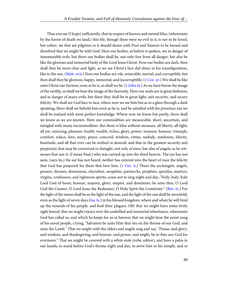Thus you see (I hope) sufficiently, that in respect of heaven and eternal bliss, (whereunto by the haven of death we land,) this life, though there were no evil in it, is not to be loved, but rather, we that are pilgrims in it should desire with Paul and Simeon to be loosed and dissolved that we might be with God. Here our bodies, as before is spoken, are in danger of innumerable evils; but there our bodies shall be, not only free from all danger, but also be like the glorious and immortal body of the Lord Jesus Christ. Now our bodies are dark, then shall they be most clear and light, as we see Christ's face did shine in his transfiguration, like to the sun. [\(Matt. xvii.\)](http://www.ccel.org/study/Bible:Matt.17) Now our bodies are vile, miserable, mortal, and corruptible; but then shall they be glorious, happy, immortal, and incorruptible. ([1 Cor. xv.](http://www.ccel.org/study/Bible:1Cor.15)) We shall be like unto Christ our Saviour; even as he is, so shall we be. ([1 John iii.\)](http://www.ccel.org/study/Bible:1John.3) As we have borne the image of the earthly, so shall we bear the image of the heavenly. Here our souls are in great darkness, and in danger of many evils; but there they shall be in great light, safe security, and secure felicity. We shall see God face to face, where now we see him but as in a glass through a dark speaking, there shall we behold him even as he is, and be satisfied with his presence; yea we shall be endued with most perfect knowledge. Where now we know but partly, there shall we know as we are known. Here our commodities are measurable, short, uncertain, and mingled with many incommodities. But there is bliss without measure, all liberty, all light, all joy, rejoicing, pleasure, health, wealth, riches, glory, power, treasure, honour, triumph, comfort, solace, love, unity, peace, concord, wisdom, virtue, melody, meekness, felicity, beatitude, and all that ever can be wished or desired; and that in the greatest security and perpetuity that may be conceived or thought, not only of men, but also of angels; as he witnesses that saw it, (I mean Paul,) who was carried up into the third heaven. The eye has not seen, (says he,) the ear has not heard, neither has entered into the heart of man the felicity that God has prepared for them that love him. [\(1 Cor. ii.\)](http://www.ccel.org/study/Bible:1Cor.2) There the archangels, angels, powers, thrones, dominions, cherubim, seraphim, patriarchs, prophets, apostles, martyrs, virgins, confessors, and righteous spirits, cease not to sing night and day, "Holy, holy, holy Lord God of hosts; honour, majesty, glory, empire, and dominion, be unto thee, O Lord God the Creator, O Lord Jesus the Redeemer, O Holy Spirit the Comforter." ([Rev. iv.](http://www.ccel.org/study/Bible:Rev.4)) For the light of the moon shall be as the light of the sun, and the light of the sun shall be sevenfold, even as the light of seven days [\(Isa. lx.\)](http://www.ccel.org/study/Bible:Isa.60) in his blessed kingdom, where and when he will bind up the wounds of his people, and heal their plagues. Oh! that we might have some lively sight hereof, that we might rejoice over the undefiled and immortal inheritance, whereunto God has called us, and which he keeps for us in heaven; that we might hear the sweet song of his saved people, crying, "Salvation be unto Him that sits on the throne of our God, and unto the Lamb." That we might with the elders and angels sing and say, "Praise, and glory, and wisdom, and thanksgiving, and honour, and power, and might, be to thee our God for evermore." That we might be covered with a white stole (robe, editor), and have a palm in our hands, to stand before God's throne night and day, to serve him in his temple, and to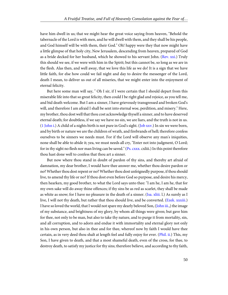have him dwell in us; that we might hear the great voice saying from heaven, "Behold the tabernacle of the Lord is with men, and he will dwell with them, and they shall be his people, and God himself will be with them, their God." Oh! happy were they that now might have a little glimpse of that holy city, New Jerusalem, descending from heaven, prepared of God as a bride decked for her husband, which he showed to his servant John. [\(Rev. xxi.\)](http://www.ccel.org/study/Bible:Rev.21) Truly this should we see, if we were with him in the Spirit; but this cannot be, so long as we are in the flesh. Alas then, and well away, that we love this life as we do! It is a sign that we have little faith, for else how could we fail night and day to desire the messenger of the Lord, death I mean, to deliver us out of all miseries, that we might enter into the enjoyment of eternal felicity.

But here some man will say, " Oh I sir, if I were certain that I should depart from this miserable life into that so great felicity, then could I be right glad and rejoice, as you tell me, and bid death welcome. But I am a sinner, I have grievously transgressed and broken God's will, and therefore I am afraid I shall be sent into eternal woe, perdition, and misery." Here, my brother, thou dost well that thou cost acknowledge thyself a sinner, and to have deserved eternal death; for doubtless, if we say we have no sin, we are liars, and the truth is not in us. ([1 John i.\)](http://www.ccel.org/study/Bible:1John.1) A child of a nights birth is not pure in God's sight. [\(Job xxv.](http://www.ccel.org/study/Bible:Job.25)) In sin we were born, and by birth or nature we are the children of wrath, and firebrands of hell; therefore confess ourselves to be sinners we needs must. For if the Lord will observe any man's iniquities, none shall be able to abide it; yea, we must needs all cry, "Enter not into judgment, O Lord; for in thy sight no flesh nor man living can be saved." [\(Ps. cxxx.](http://www.ccel.org/study/Bible:Ps.130) cxliii.) In this point therefore thou hast done well to confess that thou art a sinner.

But now where thou stand in doubt of pardon of thy sins, and thereby art afraid of damnation, my dear brother, I would have thee answer me, whether thou desire pardon or no? Whether thou dost repent or no? Whether thou dost unfeignedly purpose, if thou should live, to amend thy life or no? If thou dost even before God so purpose, and desire his mercy, then hearken, my good brother, to what the Lord says unto thee: "I am he, I am he, that for my own sake will do away thine offences; if thy sins be as red as scarlet, they shall be made as white as snow; for I have no pleasure in the death of a sinner. [\(Isa. xliii.](http://www.ccel.org/study/Bible:Isa.43) l.) As surely as I live, I will not thy death, but rather that thou should live, and be converted. [\(Ezek. xxxiii.](http://www.ccel.org/study/Bible:Ezek.33)) I have so loved the world, that I would not spare my dearly beloved Son, ([John iii.,](http://www.ccel.org/study/Bible:John.3)) the image of my substance, and brightness of my glory, by whom all things were given; but gave him for thee, not only to be man, but also to take thy nature, and to purge it from mortality, sin, and all corruption, and to adorn and endue it with immortality and eternal glory not only in his own person, but also in thee and for thee, whereof now by faith I would have thee certain, as in very deed thou shalt at length feel and fully enjoy for ever. ([Phil. ii.\)](http://www.ccel.org/study/Bible:Phil.2) This, my Son, I have given to death, and that a most shameful death, even of the cross, for thee, to destroy death, to satisfy my justice for thy sins; therefore believe, and according to thy faith,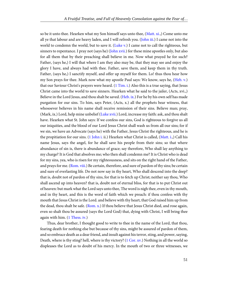so be it unto thee. Hearken what my Son himself says unto thee, ([Matt. xi.,](http://www.ccel.org/study/Bible:Matt.11)) Come unto me all ye that labour and are heavy laden, and I will refresh you. [\(John iii.](http://www.ccel.org/study/Bible:John.3)) I came not into the world to condemn the world, but to save it.  $(Luke v.)$  $(Luke v.)$  $(Luke v.)$  I came not to call the righteous, but sinners to repentance. I pray not (says he) ([John xvii.\)](http://www.ccel.org/study/Bible:John.17) for these mine apostles only, but also for all them that by their preaching shall believe in me. Now what prayed he for such? Father, (says he,) I will that where I am they also may be, that they may see and enjoy the glory I have, and always had with thee. Father, save them, and keep them in thy truth. Father, (says he,) I sanctify myself, and offer up myself for them. Lo! thus thou hear how my Son prays for thee. Mark now what my apostle Paul says: We know, says he, ([Heb. v.](http://www.ccel.org/study/Bible:Heb.5)) that our Saviour Christ's prayers were heard. [\(1 Tim. i.\)](http://www.ccel.org/study/Bible:1Tim.1) Also this is a true saying, that Jesus Christ came into the world to save sinners. Hearken what he said to the jailer, (Acts, xvi.,) Believe in the Lord Jesus, and thou shalt be saved. ([Heb. ix.\)](http://www.ccel.org/study/Bible:Heb.9) For he by his own self has made purgation for our sins. To him, says Peter, (Acts, x.) all the prophets bear witness, that whosoever believes in his name shall receive remission of their sins. Believe man; pray, (Mark, ix.) Lord, help mine unbelief [\(Luke xvii.\)](http://www.ccel.org/study/Bible:Luke.17) Lord, increase my faith: ask, and thou shalt have. Hearken what St. John says: If we confess our sins, God is righteous to forgive us all our iniquities, and the blood of our Lord Jesus Christ shall wash us from all our sins; for if we sin, we have an Advocate (says he) with the Father, Jesus Christ the righteous, and he is the propitiation for our sins. ([1 John i.](http://www.ccel.org/study/Bible:1John.1) ii.) Hearken what Christ is called, ([Matt. i.](http://www.ccel.org/study/Bible:Matt.1),) Call his name Jesus, says the angel, for he shall save his people from their sins; so that where abundance of sin is, there is abundance of grace; say therefore, Who shall lay anything to my charge? It is God that absolves me; who then shall condemn me? It is Christ who is dead for my sins, yea, who is risen for my righteousness, and sits on the right hand of the Father, and prays for me. ([Rom. viii.](http://www.ccel.org/study/Bible:Rom.8)) Be certain, therefore, and sure of pardon of thy sins; be certain and sure of everlasting life. Do not now say in thy heart, Who shall descend into the deep? that is, doubt not of pardon of thy sins, for that is to fetch up Christ; neither say thou, Who shall ascend up into heaven? that is, doubt not of eternal bliss, for that is to put Christ out of heaven: but mark what the Lord says unto thee, The word is nigh thee, even in thy mouth, and in thy heart, and this is the word of faith which we preach: if thou confess with thy mouth that Jesus Christ is the Lord. and believe with thy heart, that God raised him up from the dead, thou shalt be safe. [\(Rom. x.](http://www.ccel.org/study/Bible:Rom.10)) If thou believe that Jesus Christ died, and rose again, even so shalt thou be assured (says the Lord God) that, dying with Christ, I will bring thee again with him. [\(1 Thess. iv.\)](http://www.ccel.org/study/Bible:1Thess.4)

Thus, dear brother, I thought good to write to thee in the name of the Lord, that thou, fearing death for nothing else but because of thy sins, might be assured of pardon of them, and so embrace death as a dear friend, and insult against his terror, sting, and power, saying, Death, where is thy sting? hell, where is thy victory? ([1 Cor. xv.\)](http://www.ccel.org/study/Bible:1Cor.15) Nothing in all the world so displeases the Lord as to doubt of his mercy. In the mouth of two or three witnesses, we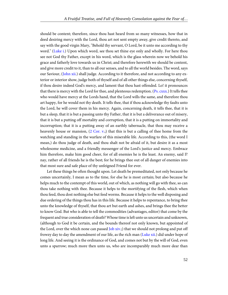should be content; therefore, since thou hast heard from so many witnesses, how that in deed desiring mercy with the Lord, thou art not sent empty away, give credit thereto, and say with the good virgin Mary, "Behold thy servant, O Lord, be it unto me according to thy word." ([Luke i.](http://www.ccel.org/study/Bible:Luke.1)) Upon which word, see thou set thine eye only and wholly. For here thou see not God thy Father, except in his word, which is the glass wherein now we behold his grace and fatherly love towards us in Christ; and therefore herewith we should be content, and give more credit to it, than to all our senses, and to all the world besides. The word, says our Saviour, [\(John xii.](http://www.ccel.org/study/Bible:John.12)) shall judge. According to it therefore, and not according to any exterior or interior show, judge both of thyself and of all other things else, concerning thyself, if thou desire indeed God's mercy, and lament that thou hast offended. Lo! it pronounces that there is mercy with the Lord for thee, and plenteous redemption. [\(Ps. cxxx.\)](http://www.ccel.org/study/Bible:Ps.130) It tells thee who would have mercy at the Lords hand, that the Lord wills the same, and therefore thou art happy, for he would not thy death. It tells thee, that if thou acknowledge thy faults unto the Lord, he will cover them in his mercy. Again, concerning death, it tells thee, that it is but a sleep, that it is but a passing unto thy Father, that it is but a deliverance out of misery, that it is but a putting off mortality and corruption, that it is a putting on immortality and incorruption; that it is a putting away of an earthly tabernacle, that thou may receive a heavenly house or mansion,  $(2 \text{ Cor. v.})$  that this is but a calling of thee home from the watching and standing in the warfare of this miserable life. According to this, (the word I mean,) do thou judge of death, and thou shalt not be afraid of it, but desire it as a most wholesome medicine, and a friendly messenger of the Lord's justice and mercy. Embrace him therefore, make him good cheer, for of all enemies he is the least. An enemy, said I? nay, rather of all friends he is the best; for he brings thee out of all danger of enemies into that most sure and safe place of thy unfeigned Friend for ever.

Let these things be often thought upon. Let death be premeditated, not only because he comes uncertainly, I mean as to the time, for else he is most certain; but also because he helps much to the contempt of this world, out of which, as nothing will go with thee, so can thou take nothing with thee. Because it helps to the mortifying of the flesh, which when thou feed, thou dost nothing else but feed worms. Because it helps to the well disposing and due ordering of the things thou has in this life. Because it helps to repentance, to bring thee unto the knowledge of thyself, that thou art but earth and ashes, and brings thee the better to know God. But who is able to tell the commodities (advantages, editor) that come by the frequent and true consideration of death? Whose time is left unto us uncertain and unknown, (although to God it be certain, and the bounds thereof not only known, but appointed of the Lord, over the which none can passed  $Job xiv$ .; that we should not prolong and put off frowzy day to day the amendment of our life, as the rich man [\(Luke xii.\)](http://www.ccel.org/study/Bible:Luke.12) did under hope of long life. And seeing it is the ordinance of God, and comes not but by the will of God, even unto a sparrow; much more then unto us, who are incomparably much more dear than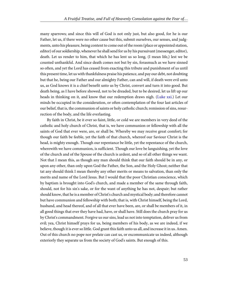many sparrows; and since this will of God is not only just, but also good, for he is our Father, let us, if there were no other cause but this, submit ourselves, our senses, and judgments, unto his pleasure, being content to come out of the room (place or appointed station, editor) of our soldiership, whenever he shall send for us by his pursuivant (messenger, editor), death. Let us render to him, that which he has lent us so long, (I mean life,) lest we be counted unthankful. And since death comes not but by sin, forasmuch as we have sinned so often, and yet the Lord has ceased from exacting this tribute and punishment of us until this present time, let us with thankfulness praise his patience, and pay our debt, not doubting but that he, being our Father and our almighty Father, can and will, if death were evil unto us, as God knows it is a chief benefit unto us by Christ, convert and turn it into good. But death being, as I have before showed, not to be dreaded, but to be desired, let us lift up our heads in thinking on it, and know that our redemption draws nigh. [\(Luke xxi.\)](http://www.ccel.org/study/Bible:Luke.21) Let our minds be occupied in the consideration, or often contemplation of the four last articles of our belief, that is, the communion of saints or holy catholic church; remission of sins, resurrection of the body, and the life everlasting.

By faith in Christ, be it ever so faint, little, or cold we are members in very deed of the catholic and holy church of Christ, that is, we have communion or fellowship with all the saints of God that ever were, are, or shall be. Whereby we may receive great comfort; for though our faith be feeble, yet the faith of that church, whereof our Saviour Christ is the head, is mighty enough. Though our repentance be little, yet the repentance of the church, wherewith we have communion, is sufficient. Though our love be languishing, yet the love of the church and of the Spouse of the church is ardent, and so of all other things we want. Not that I mean this, as though any man should think that our faith should be in any, or upon any other, than only upon God the Father, the Son, and the Holy Ghost; neither that tat any should think I mean thereby any other merits or means to salvation, than only the merits and name of the Lord Jesus. But I would that the poor Christian conscience, which by baptism is brought into God's church, and made a member of the same through faith, should, not for his sin's sake, or for the want of anything he has not, despair; but rather should know, that he is a member of Christ's church and mystical body; and therefore cannot but have communion and fellowship with both; that is, with Christ himself, being the Lord, husband, and head thereof, and of all that ever have been, are, or shall be members of it, in all good things that ever they have had, have, or shall have. Still does the church pray for us by Christ's commandment. Forgive us our sins, lead us not into temptation, deliver us from evil; yea, Christ himself prays for us, being members of his body, as we are indeed, if we believe, though it is ever so little. God grant this faith unto us all, and increase it in us. Amen. Out of this church no pope nor prelate can cast us, or excommunicate us indeed, although exteriorly they separate us from the society of God's saints. But enough of this.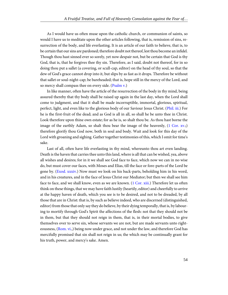As I would have us often muse upon the catholic church, or communion of saints, so would I have us to meditate upon the other articles following, that is, remission of sins, resurrection of the body, and life everlasting. It is an article of our faith to believe, that is, to be certain that our sins are pardoned; therefore doubt not thereof, lest thou become an infidel. Though thou hast sinned ever so sorely, yet now despair not, but be certain that God is thy God, that is, that he forgives thee thy sin. Therefore, as I said, doubt not thereof, for in so doing thou put a sallet (a covering, or scull-cap, editor) on the head of thy soul, so that the dew of God's grace cannot drop into it, but slips by as fast as it drops. Therefore be without that sallet or soul-night-cap; be bareheaded; that is, hope still in the mercy of the Lord, and so mercy shall compass thee on every side. ([Psalm v.\)](http://www.ccel.org/study/Bible:Ps.5)

In like manner, often have the article of the resurrection of the body in thy mind, being assured thereby that thy body shall be raised up again in the last day, when the Lord shall come to judgment, and that it shall be made incorruptible, immortal, glorious, spiritual, perfect, light, and even like to the glorious body of our Saviour Jesus Christ. ([Phil. iii.](http://www.ccel.org/study/Bible:Phil.3)) For he is the first-fruit of the dead; and as God is all in all, so shall he be unto thee in Christ. Look therefore upon thine own estate; for as he is, so shalt thou be. As thou hast borne the image of the earthly Adam, so shalt thou bear the image of the heavenly,  $(1 \text{ Cor. } xy, )$ therefore glorify thou God now, both in soul and body. Wait and look for this day of the Lord with groaning and sighing. Gather together testimonies of this, which I omit for time's sake.

Last of all, often have life everlasting in thy mind, whereunto thou art even landing. Death is the haven that carries thee unto this land, where is all that can be wished, yea, above all wishes and desires; for in it we shall see God face to face, which now we can in no wise do, but must cover our faces, with Moses and Elias, till the face or fore-parts of the Lord be gone by. [\(Exod. xxxiv.\)](http://www.ccel.org/study/Bible:Exod.34) Now must we look on his back-parts, beholding him in his word, and in his creatures, and in the face of Jesus Christ our Mediator; but then we shall see him face to face, and we shall know, even as we are known. [\(1 Cor. xiii.](http://www.ccel.org/study/Bible:1Cor.13)) Therefore let us often think on these things, that we may have faith lustily (heartily, editor) and cheerfully to arrive at the happy haven of death, which you see is to be desired, and not to be dreaded, by all those that are in Christ: that is, by such as believe indeed, who are discerned (distinguished, editor) from those that only say they do believe, by their dying temporally, that is, by labouring to mortify through God's Spirit the affections of the flesh: not that they should not be in them, but that they should not reign in them, that is, in their mortal bodies, to give themselves over to serve sin, whose servants we are not, but are made servants unto righteousness, ([Rom. vi.](http://www.ccel.org/study/Bible:Rom.6),) being now under grace, and not under the law, and therefore God has mercifully promised that sin shall not reign in us; the which may be continually grant for his truth, power, and mercy's sake. Amen.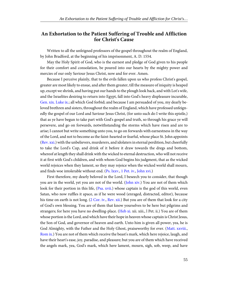## **An Exhortation to the Patient Suffering of Trouble and Affliction for Christ's Cause**

Written to all the unfeigned professors of the gospel throughout the realm of England, by John Bradford, at the beginning of his imprisonment, A. D. 1554.

May the Holy Spirit of God, who is the earnest and pledge of God given to his people for their comfort and consolation, be poured into our hearts by the mighty power and mercies of our only Saviour Jesus Christ, now and for ever. Amen.

Because I perceive plainly, that to the evils fallen upon us who profess Christ's gospel, greater are most likely to ensue, and after them greater, till the measure of iniquity is heaped up, except we shrink, and having put our hands to the plough look back, and with Lot's wife, and the Israelites desiring to return into Egypt, fall into God's heavy displeasure incurable, [Gen. xix.](http://www.ccel.org/study/Bible:Gen.19) [Luke ix.;](http://www.ccel.org/study/Bible:Luke.9) all which God forbid; and because I am persuaded of you, my dearly beloved brethren and sisters, throughout the realm of England, which have professed unfeignedly the gospel of our Lord and Saviour Jesus Christ, (for unto such do I write this epistle,) that as ye have begun to take part with God's gospel and truth, so through his grace ye will persevere, and go on forwards, notwithstanding the storms which have risen and are to arise; I cannot but write something unto you, to go on forwards with earnestness in the way of the Lord, and not to become as the faint-hearted or fearful, whose place St. John appoints ([Rev. xxi.\)](http://www.ccel.org/study/Bible:Rev.21) with the unbelievers, murderers, and idolaters in eternal perdition, but cheerfully to take the Lord's Cup, and drink of it before it draw towards the dregs and bottom, whereof at length they shall drink with the wicked to eternal destruction, who will not receive it at first with God's children, and with whom God begins his judgment, that as the wicked world rejoices when they lament, so they may rejoice when the wicked world shall mourn, and finds woe intolerable without end. [\(Ps. lxxv.](http://www.ccel.org/study/Bible:Ps.75), [1 Pet. iv.,](http://www.ccel.org/study/Bible:1Pet.4) [John xvi.](http://www.ccel.org/study/Bible:John.16))

First therefore, my dearly beloved in the Lord, I beseech you to consider, that though you are in the world, yet you are not of the world. [\(John xiv.](http://www.ccel.org/study/Bible:John.14)) You are not of them which look for their portion in this life, ([Psa. xvii.\)](http://www.ccel.org/study/Bible:Ps.17) whose captain is the god of this world, even Satan, who now ruffles it apace, as if he were wood (enraged, distracted, editor), because his time on earth is not long. ([2 Cor. iv.,](http://www.ccel.org/study/Bible:2Cor.4) [Rev. xii.](http://www.ccel.org/study/Bible:Rev.12)) But you are of them that look for a city of God's own blessing. You are of them that know yourselves to be here but pilgrims and strangers; for here you have no dwelling-place. (Heb xi, xii, xiii., l Pet. ii.) You are of them whose portion is the Lord, and which have their hope in heaven whose captain is Christ Jesus, the Son of God, and governor of heaven and earth. Unto him is given all power, yea, he is God Almighty, with the Father and the Holy Ghost, praiseworthy for ever. ([Matt. xxviii.,](http://www.ccel.org/study/Bible:Matt.28) [Rom ix.](http://www.ccel.org/study/Bible:Rom.9)) You are not of them which receive the beast's mark, which here rejoice, laugh, and have their heart's ease, joy, paradise, and pleasure; but you are of them which have received the angels mark, yea, God's mark, which here lament, mourn, sigh, sob, weep, and have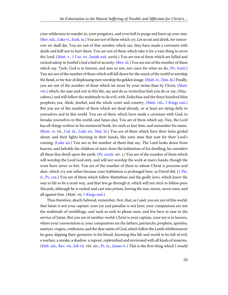your wilderness to wander in, your purgatory, and even hell to purge and burn up your sins. ([Rev. xiii.](http://www.ccel.org/study/Bible:Rev.13), [Luke vi.,](http://www.ccel.org/study/Bible:Luke.6) [Ezek. ix.](http://www.ccel.org/study/Bible:Ezek.9)) You are not of them which cry, Let us eat and drink, for tomorrow we shall die. You are not of that number which say, they have made a covenant with death and hell not to hurt them. You are not of them which take it for a vain thing to serve the Lord. [\(Matt. v.](http://www.ccel.org/study/Bible:Matt.5), [1 Cor. xv.,](http://www.ccel.org/study/Bible:1Cor.15) [Isaiah xxii.](http://www.ccel.org/study/Bible:Isa.22) xxviii.) You are not of them which are lulled and rocked asleep in Jezebel's bed a bed of security. [\(Rev. iii.\)](http://www.ccel.org/study/Bible:Rev.3) You are not of the number of them which say, Tush, God is in heaven, and sees us not, nor cares for what we do. ([Ps. lxxiii.](http://www.ccel.org/study/Bible:Ps.73)) You are not of the number of them which will fall down for the muck of the world to worship the fiend, or for fear of displeasing men worship the golden image. [\(Matt. iv.](http://www.ccel.org/study/Bible:Matt.4), [Dan. iii.](http://www.ccel.org/study/Bible:Dan.3)) Finally, you are not of the number of them which set more by your swine than by Christ, [\(Matt.](http://www.ccel.org/study/Bible:Matt.8) [viii.](http://www.ccel.org/study/Bible:Matt.8)) which, for ease and rest in this life, say and do as Antiochus bids you do or say, (Maccabees,) and will follow the multitude to do evil, with Zedechias and the three hundred false prophets; yea, Ahab, Jezebel, and the whole court and country. [\(Matt. viii.,](http://www.ccel.org/study/Bible:Matt.8) [1 Kings xxii.](http://www.ccel.org/study/Bible:1Kgs.22)) But you are of the number of them which are dead already, or at least are dying daily to yourselves and to this world. You are of them which have made a covenant with God, to forsake yourselves in this world, and Satan also. You are of them which say, Nay, the Lord has all things written in his memorial book, for such as fear him, and remember his name. ([Rom. vi.](http://www.ccel.org/study/Bible:Rom.6) vii., [Col. iii.,](http://www.ccel.org/study/Bible:Col.3) [Luke xii.](http://www.ccel.org/study/Bible:Luke.12), [Mal. iii.](http://www.ccel.org/study/Bible:Mal.3)) You are of them which have their loins girded about, and their lights burning in their hands, like unto men that wait for their Lord's coming. ([Luke xii.\)](http://www.ccel.org/study/Bible:Luke.12) You are in the number of them that say, The Lord looks down from heaven, and beholds the children of men: from the habitation of his dwelling, he considers all them that dwell upon the earth.  $(P_s, xxxiii, xiv, i.)$  You are of the number of them which will worship the Lord God only, and will not worship the work at man's hands, though the oven burn never so hot. You are of the number of them to whom Christ is precious and dear, which cry out rather because your habitation is prolonged here, as David did. [\(1 Pet.](http://www.ccel.org/study/Bible:1Pet.2) [ii.](http://www.ccel.org/study/Bible:1Pet.2), [Ps. cxx.\)](http://www.ccel.org/study/Bible:Ps.120) You are of them which follow Mattathias and the godly Jews, which knew the way to life to be a strait way, and that few go through it, which will not stick to follow poor Micaiah, although he is racked and cast into prison, having the sun, moon, seven stars, and all against him. (Matt. vii, [1 Kings xxii.](http://www.ccel.org/study/Bible:1Kgs.22))

Thus therefore, dearly beloved, remember, first, that, as I said, you are not of this world; that Satan is not your captain: your joy and paradise is not here; your companions are not the multitude of worldlings, and such as seek to please men, and live here at ease in the service of Satan. But you are of another world; Christ is your captain, your joy is in heaven, where your conversation is; your companions are the fathers, patriarchs, prophets, apostles, martyrs, virgins, confessors, and the dear saints of God, which follow the Lamb whithersoever he goes; dipping their garments in his blood, knowing this life and world to be full of evil, a warfare, a smoke, a shadow, a vapour, replenished and environed with all kinds of miseries. ([Heb. xiii.](http://www.ccel.org/study/Bible:Heb.13), [Rev. vii.](http://www.ccel.org/study/Bible:Rev.7), [Job vii.](http://www.ccel.org/study/Bible:Job.7) viii. xiv., [Ps. ix.](http://www.ccel.org/study/Bible:Ps.9), [James iv.](http://www.ccel.org/study/Bible:Jas.4)) This is the first thing which I would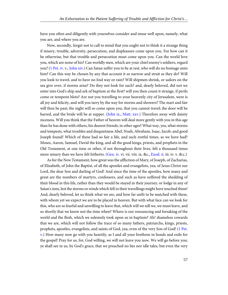have you often and diligently with yourselves consider and muse well upon, namely, what you are, and where you are.

Now, secondly, forget not to call to mind that you ought not to think it a strange thing if misery, trouble, adversity, persecution, and displeasure come upon you. For how can it be otherwise, but that trouble and persecution must come upon you. Can the world love you, which are none of his? Can worldly men, which are your chief enemy's soldiers, regard you? ([1 Pet. iv.](http://www.ccel.org/study/Bible:1Pet.4) v., [John xiv.](http://www.ccel.org/study/Bible:John.14)) Can Satan suffer you to be at rest, who will do no homage unto him? Can this way be chosen by any that account it so narrow and strait as they do? Will you look to travel, and to have no foul way or rain? Will shipmen shrink, or sailors on the sea give over, if storms arise? Do they not look for such? and, dearly beloved, did not we enter into God's ship and ark of baptism at the first? will you then count it strange, if perils come or tempests blots? Are not you travelling to your heavenly city of Jerusalem, were is all joy and felicity, and will you tarry by the way for storms and showers? The mart and fair will then be past; the night will so come upon you, that you cannot travel; the door will be barred, and the bride will be at supper. ([John ix.,](http://www.ccel.org/study/Bible:John.9) [Matt. xxv.](http://www.ccel.org/study/Bible:Matt.25)) Therefore away with dainty niceness. Will you think that the Father of heaven will deal more gently with you in this age than he has done with others, his dearest friends, in other ages? What way, yea, what storms and tempests, what troubles and disquietness Abel, Noah, Abraham, Isaac, Jacob, and good Joseph found! Which of these had so fair a life, and such restful times, as we have had? Moses, Aaron, Samuel, David the king, and all the good kings, priests, and prophets in the Old Testament, at one time or other, if not throughout their lives, felt a thousand times more misery than we have felt hitherto. ([Gen. iv.](http://www.ccel.org/study/Bible:Gen.4) vi. vii. viii. ix. &c., [Exod. ii.](http://www.ccel.org/study/Bible:Exod.2) iii. iv. v. &:c.)

As for the New Testament, how great was the affliction of Mary, of Joseph, of Zacharias, of Elizabeth, of John the Baptist, of all the apostles and evangelists, yea, of Jesus Christ our Lord, the dear Son and darling of God! And since the time of the apostles, how many and great are the numbers of martyrs, confessors, and such as have suffered the shedding of their blood in this life, rather than they would be stayed in their journey, or lodge in any of Satan's inns, lest the storms or winds which fell in their travellings might have touched them! And, dearly beloved, let us think what we are, and how far unfit to be matched with these, with whom yet we expect we are to be placed in heaven. But with what face can we look for this, who are so fearful and unwilling to leave that, which will we nill we, we must leave, and so shortly that we know not the time when? Where is our renouncing and forsaking of the world and the flesh, which we solemnly took upon us in baptism? Ah! shameless cowards that we are, which will not follow the trace of so many fathers, patriarchs, kings, priests, prophets, apostles, evangelists, and saints of God, yea, even of the very Son of God! [\(1 Pet.](http://www.ccel.org/study/Bible:1Pet.5) [v.\)](http://www.ccel.org/study/Bible:1Pet.5) How many now go with you heartily, as I and all your brethren in bonds and exile for the gospel! Pray for us, for, God willing, we will not leave you now. We will go before you; ye shall see in us, by God's grace, that we preached no lies nor idle tales, but even the very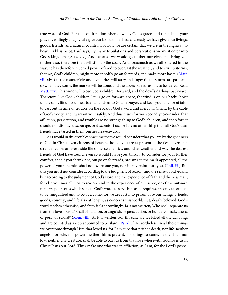true word of God. For the confirmation whereof we by God's grace, and the help of your prayers, willingly and joyfully give our blood to be shed, as already we have given our livings, goods, friends, and natural country. For now we are certain that we are in the highway to heaven's bliss; as St. Paul says, By many tribulations and persecutions we must enter into God's kingdom. (Acts, xiv.) And because we would go thither ourselves and bring you thither also, therefore the devil stirs up the coals. And forasmuch as we all loitered in the way, he has therefore received power of God to overcast the weather, and to stir up storms, that we, God's children, might more speedily go on forwards, and make more haste, [\(Matt.](http://www.ccel.org/study/Bible:Matt.7) [vii..](http://www.ccel.org/study/Bible:Matt.7) xiv.,) as the counterfeits and hypocrites will tarry and linger till the storms are past; and so when they come, the market will be done, and the doors barred, as it is to be feared. Read [Matt. xxv.](http://www.ccel.org/study/Bible:Matt.25) This wind will blow God's children forward, and the devil's darlings backward. Therefore, like God's children, let us go on forward apace, the wind is on our backs, hoist up the sails, lift up your hearts and hands unto God in prayer, and keep your anchor of faith to cast out in time of trouble on the rock of God's word and mercy in Christ, by the cable of God's verity, and I warrant your safely. And thus much for you secondly to consider, that affliction, persecution, and trouble are no strange thing to God's children, and therefore it should not dismay, discourage, or discomfort us, for it is no other thing than all God's dear friends have tasted in their journey heavenwards.

As I would in this troublesome time that ye would consider what you are by the goodness of God in Christ even citizens of heaven, though you are at present in the flesh, even in a strange region on every side file of fierce enemies, and what weather and way the dearest friends of God have found; even so would I have you, thirdly, to consider for your further comfort, that if you shrink not, but go on forwards, pressing to the mark appointed, all the power of your enemies shall not overcome you, nor in any point hurt you. ([Phil. iii.\)](http://www.ccel.org/study/Bible:Phil.3) But this you must not consider according to the judgment of reason, and the sense of old Adam, but according to the judgment of God's word and the experience of faith and the new man, for else you mar all. For to reason, and to the experience of our sense, or of the outward man, we poor souls which stick to God's word, to serve him as he requires, are only accounted to be vanquished and to be overcome; for we are cast into prison, lose our livings, friends, goods, country, and life also at length, as concerns this world. But, dearly beloved, God's word teaches otherwise, and faith feels accordingly. Is it not written, Who shall separate us from the love of God? Shall tribulation, or anguish, or persecution, or hunger, or nakedness, or peril, or sword? ([Rom. viii.\)](http://www.ccel.org/study/Bible:Rom.8) As it is written, For thy sake are we killed all the day long, and are counted as sheep appointed to be slain. [\(Ps. xliv.](http://www.ccel.org/study/Bible:Ps.44)) Nevertheless, in all these things we overcome through Him that loved us: for I am sure that neither death, nor life, neither angels, nor rule, nor power, neither things present, nor things to come, neither high nor low, neither any creature, shall be able to part us from that love wherewith God loves us in Christ Jesus our Lord. Thus spake one who was in affliction, as I am, for the Lord's gospel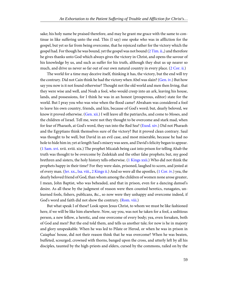sake; his holy name be praised therefore, and may he grant me grace with the same to continue in like suffering unto the end. This (I say) one spoke who was in affliction for the gospel, but yet so far from being overcome, that he rejoiced rather for the victory which the gospel had. For though he was bound, yet the gospel was not bound [\(2 Tim. ii.](http://www.ccel.org/study/Bible:2Tim.2),) and therefore he gives thanks unto God which always gives the victory in Christ, and opens the savour of his knowledge by us, and such as suffer for his truth, although they shut us up nearer so much, and drive us never so far out of our own natural country in every place. ([2 Cor. ii.\)](http://www.ccel.org/study/Bible:2Cor.2)

The world for a time may deceive itself, thinking it has, the victory, but the end will try the contrary. Did not Cain think he had the victory when Abel was slain? ([Gen. iv.\)](http://www.ccel.org/study/Bible:Gen.4) But how say you now is it not found otherwise? Thought not the old world and men then living, that they were wise and well, and Noah a fool, who would creep into an ark, leaving his house, lands, and possessions, for I think he was in an honest (prosperous, editor) state for the world. But I pray you who was wise when the flood came? Abraham was considered a fool to leave his own country, friends, and kin, because of God's word; but, dearly beloved, we know it proved otherwise. [\(Gen. xii.](http://www.ccel.org/study/Bible:Gen.12)) I will leave all the patriarchs, and come to Moses, and the children of Israel. Tell me, were not they thought to be overcome and stark mad, when for fear of Pharaoh, at God's word, they ran into the Red Sea? ([Exod. xiv.](http://www.ccel.org/study/Bible:Exod.14)) Did not Pharaoh and the Egyptians think themselves sure of the victory? But it proved clean contrary. Saul was thought to be well, but David in an evil case, and most miserable, because he had no hole to hide him in; yet at length Saul's misery was seen, and David's felicity began to appear. ([1 Sam. xvi.](http://www.ccel.org/study/Bible:1Sam.16) xvii. xviii. xix.) The prophet Micaiah being cast into prison for telling Ahab the truth was thought to be overcome by Zedekiah and the other false prophets; but, my good brethren and sisters, the holy history tells otherwise. ([1 Kings xxii.](http://www.ccel.org/study/Bible:1Kgs.22)) Who did not think the prophets happy in their time? For they were slain, prisoned, laughed to scorn, and jested at of every man. [\(Jer. xx.](http://www.ccel.org/study/Bible:Jer.20), [Isa. viii.,](http://www.ccel.org/study/Bible:Isa.8) [2 Kings ii.](http://www.ccel.org/study/Bible:2Kgs.2)) And so were all the apostles, [\(1 Cor. iv.\)](http://www.ccel.org/study/Bible:1Cor.4) yea, the dearly beloved friend of God, than whom among the children of women none arose greater, I mean, John Baptist, who was beheaded, and that in prison, even for a dancing damsel's desire. As all these by the judgment of reason were then counted heretics, runagates, unlearned fools, fishers, publicans, &c., so now were they unhappy and overcome indeed, if God's word and faith did not show the contrary. [\(Rom. viii.\)](http://www.ccel.org/study/Bible:Rom.8)

But what speak I of these? Look upon Jesus Christ, to whom we must be like fashioned here, if we will be like him elsewhere. Now, say you, was not he taken for a fool, a seditious person, a new fellow, a heretic, and one overcome of every body; yea, even forsaken, both of God and men? But the end told them, and tells us another tale; for now is he in majesty and glory unspeakable. When he was led to Pilate or Herod, or when he was in prison in Caiaphas' house, did not their reason think that he was overcome? When he was beaten, buffeted, scourged, crowned with thorns, banged upon the cross, and utterly left by all his disciples, taunted by the high-priests and elders, cursed by the commons, railed on by the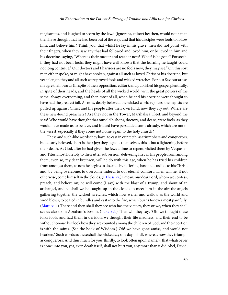magistrates, and laughed to scorn by the lewd (ignorant, editor) heathen, would not a man then have thought that he had been out of the way, and that his disciples were fools to follow him, and believe him? Think you, that whilst he lay in his grave, men did not point with their fingers, when they saw any that had followed and loved him, or believed in him and his doctrine, saying, "Where is their master and teacher now? What! is he gone? Forsooth, if they had not been fools, they might have well known that the learning he taught could not long continue." Our doctors and Pharisees are no fools now, they may see." On this sort men either spoke, or might have spoken, against all such as loved Christ or his doctrine; but yet at length they and all such were proved fools and wicked wretches. For our Saviour arose, maugre their beards (in spite of their opposition, editor), and published his gospel plentifully, in spite of their heads, and the heads of all the wicked world, with the great powers of the same; always overcoming, and then most of all, when he and his doctrine were thought to have had the greatest fall. As now, dearly beloved, the wicked world rejoices, the papists are puffed up against Christ and his people after their own kind, now they cry out, Where are these new-found preachers? Are they not in the Tower, Marshalsea, Fleet, and beyond the seas? Who would have thought that our old bishops, doctors, and deans, were fools, as they would have made us to believe, and indeed have persuaded some already, which are not of the wisest, especially if they come not home again to the holy church?

These and such-like words they have, to cast in our teeth, as triumphers and conquerors; but, dearly beloved, short is their joy; they beguile themselves, this is but a lightening before their death. As God, after he had given the Jews a time to repent, visited them by Vespasian and Titus, most horribly to their utter subversion, delivering first all his people from among them, even so, my dear brethren, will he do with this age, when he has tried his children from amongst them, as now he begins to do, and, by suffering, has made us like to his Christ, and, by being overcome, to overcome indeed, to our eternal comfort. Then will he, if not otherwise, come himself in the clouds: [\(I Thess. iv.](http://www.ccel.org/study/Bible:1Thess.4)) I mean, our dear Lord, whom we confess, preach, and believe on; he will come (I say) with the blast of a trump, and shout of an archangel, and so shall we be caught up in the clouds to meet him in the air: the angels gathering together the wicked wretches, which now welter and wallow as the world and wind blows, to be tied in bundles and cast into the fire, which burns for ever most painfully. ([Matt. xiii.\)](http://www.ccel.org/study/Bible:Matt.13) There and then shall they see who has the victory, they or we, when they shall see us afar ok in Abraham's bosom. ([Luke xvi.](http://www.ccel.org/study/Bible:Luke.16)) Then will they say, "Oh! we thought these folks fools, and had them in derision; we thought their life madness, and their end to be without honour: but look how they are counted among the children of God, and their portion is with the saints. (See the book of Wisdom.) Oh! we have gone amiss, and would not hearken." Such words as these shall the wicked say one day in hell, whereas now they triumph as conquerors. And thus much for you, thirdly, to look often upon; namely, that whatsoever is done unto you, yea, even death itself, shall not hurt you, any more than it did Abel, David,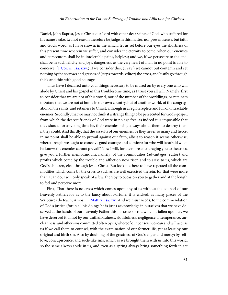Daniel, John Baptist, Jesus Christ our Lord with other dear saints of God, who suffered for his name's sake. Let not reason therefore be judge in this matter, nor present sense, but faith and God's word, as I have shown; in the which, let us set before our eyes the shortness of this present time wherein we suffer, and consider the eternity to come, when our enemies and persecutors shall be in intolerable pains, helpless; and we, if we persevere to the end, shall be in such felicity and joys, dangerless, as the very heart of man in no point is able to conceive. [\(1 Cor. ii.](http://www.ccel.org/study/Bible:1Cor.2), [Isa. ixiv.](http://www.ccel.org/study/Bible:Isa.13)) If we consider this, (1 say,) we cannot but contemn and set nothing by the sorrows and gresses of (steps towards, editor) the cross, and lustily go through thick and thin with good courage.

Thus have I declared unto you, things necessary to be mused on by every one who will abide by Christ and his gospel in this troublesome time, as I trust you all will. Namely, first to consider that we are not of this world, nor of the number of the worldlings, or retainers to Satan; that we are not at home in our own country, but of another world, of the congregation of the saints, and retainers to Christ, although in a region replete and full of untractable enemies. Secondly, that we may not think it a strange thing to be persecuted for God's gospel, from which the dearest friends of God were in no age free, as indeed it is impossible that they should for any long time be, their enemies being always about them to destroy them if they could. And thirdly, that the assaults of our enemies, be they never so many and fierce, in no point shall be able to prevail against our faith, albeit to reason it seems otherwise, wherethrough we ought to conceive good courage and comfort; for who will be afraid when he knows the enemies cannot prevail? Now I will, for the more encouraging you to the cross, give you a further memorandum, namely, of the commodities (advantages, editor) and profits which come by the trouble and affliction now risen and to arise to us, which are God's children, elect through Jesus Christ. But look not here to have repeated all the commodities which come by the cross to such as are well exercised therein, for that were more than I can do; I will only speak of a few, thereby to occasion you to gather and at the length to feel and perceive more.

First, That there is no cross which comes upon any of us without the counsel of our heavenly Father; for as to the fancy about Fortune, it is wicked, as many places of the Scriptures do teach, Amos, iii. [Matt. x.](http://www.ccel.org/study/Bible:Matt.10) [Isa. xiv.](http://www.ccel.org/study/Bible:Isa.14) And we must needs, to the commendation of God's justice (for in all his doings he is just,) acknowledge in ourselves that we have deserved at the hands of our heavenly Father this his cross or rod which is fallen upon us, we have deserved it, if not by our unthankfulness, slothfulness, negligence, intemperance, uncleanness, and other sins committed often by us, whereof our consciences can and will accuse us if we call them to counsel, with the examination of our former life, yet at least by our original and birth sin. Also by doubling of the greatness of God's anger and mercy; by selflove, concupiscence, and such-like sins, which as we brought them with us into this world, so the same always abide in us, and even as a spring always bring something forth in act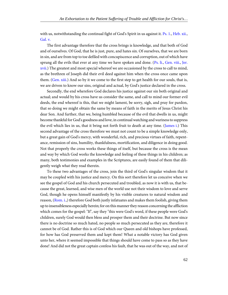with us, notwithstanding the continual fight of God's Spirit in us against it. [Ps. 1](http://www.ccel.org/study/Bible:Ps.1)., [Heb. xii.,](http://www.ccel.org/study/Bible:Heb.12) [Gal. v.](http://www.ccel.org/study/Bible:Gal.5)

The first advantage therefore that the cross brings is knowledge, and that both of God and of ourselves. Of God, that he is just, pure, and hates sin. Of ourselves, that we are born in sin, and are from top to toe defiled with concupiscence and corruption, out of which have sprung all the evils that ever at any time we have spoken and done. ([Ps. li.,](http://www.ccel.org/study/Bible:Ps.51) [Gen. viii.,](http://www.ccel.org/study/Bible:Gen.8) [Jer.](http://www.ccel.org/study/Bible:Jer.17) [xvii.\)](http://www.ccel.org/study/Bible:Jer.17) The greatest and most special whereof we are occasioned by the cross to call to mind, as the brethren of Joseph did their evil deed against him when the cross once came upon them. ([Gen. xiii.](http://www.ccel.org/study/Bible:Gen.13)) And so by it we come to the first step to get health for our souls, that is, we are driven to know our sins, original and actual, by God's justice declared in the cross.

Secondly, the end wherefore God declares his justice against our sin both original and actual; and would by his cross have us consider the same, and call to mind our former evil deeds, the end whereof is this, that we might lament, be sorry, sigh, and pray for pardon, that so doing we might obtain the same by means of faith in the merits of Jesus Christ his dear Son. And further, that we, being humbled because of the evil that dwells in us, might become thankful for God's goodness and love, in continual watching and wariness to suppress the evil which lies in us, that it bring not forth fruit to death at any time. [\(James i.](http://www.ccel.org/study/Bible:Jas.1)) This second advantage of the cross therefore we must not count to be a simple knowledge only, but a great gain of God's mercy, with wonderful, rich, and precious virtues of faith, repentance, remission of sins, humility, thankfulness, mortification, and diligence in doing good. Not that properly the cross works these things of itself, but because the cross is the mean and way by which God works the knowledge and feeling of these things in his children; as many, both testimonies and examples in the Scriptures, are easily found of them that diligently weigh what they read therein.

To these two advantages of the cross, join the third of God's singular wisdom that it may be coupled with his justice and mercy. On this sort therefore let us conceive when we see the gospel of God and his church persecuted and troubled, as now it is with us, that because the great, learned, and wise men of the world use not their wisdom to love and serve God, though he opens himself manifestly by his visible creatures to natural wisdom and reason, ([Rom. i.](http://www.ccel.org/study/Bible:Rom.1),) therefore God both justly infatuates and makes them foolish, giving them up to insensibleness especially herein; for on this manner they reason concerning the affliction which comes for the gospel: "If", say they "this were God's word, if these people were God's children, surely God would then bless and prosper them and their doctrine. But now since there is no doctrine so much hated, no people so much persecuted as they are, therefore it cannot be of God. Rather this is of God which our Queen and old bishops have professed, for how has God preserved them and kept them! What a notable victory has God given unto her, where it seemed impossible that things should have come to pass so as they have done! And did not the great captain confess his fault, that he was out of the way, and not of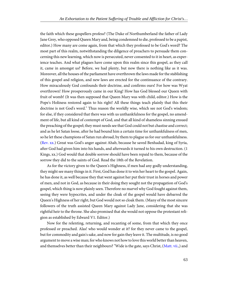the faith which these gospellers profess? (The Duke of Northumberland the father of Lady Jane Grey, who opposed Queen Mary and, being condemned to die, professed to be a papist, editor.) How many are come again, from that which they professed to be God's word? The most part of this realm, notwithstanding the diligence of preachers to persuade them concerning this new learning, which now is persecuted, never consented to it in heart, as experience teaches. And what plagues have come upon this realm since this gospel, as they call it, came in amongst us? Before, we had plenty, but now there is nothing like as it was. Moreover, all the houses of the parliament have overthrown the laws made for the stablishing of this gospel and religion, and new laws are erected for the continuance of the contrary. How miraculously God confounds their doctrine, and confirms ours! For how was Wyat overthrown! How prosperously came in our King! How has God blessed our Queen with fruit of womb! (It was then supposed that Queen Mary was with child, editor.) How is the Pope's Holiness restored again to his right! All these things teach plainly that this their doctrine is not God's word." Thus reason the worldly wise, which see not God's wisdom; for else, if they considered that there was with us unthankfulness for the gospel, no amendment of life, but all kind of contempt of God, and that all kind of shameless sinning ensued the preaching of the gospel; they must needs see that God could not but chastise and correct; and as he let Satan loose, after he had bound him a certain time for unthankfulness of men, so he let these champions of Satan run abroad, by them to plague us for our unthankfulness. ([Rev. xx.\)](http://www.ccel.org/study/Bible:Rev.20) Great was God's anger against Ahab, because he saved Benhadad, king of Syria, after God had given him into his hands, and afterwards it turned to his own destruction. (1 Kings, xx.) God would that double sorrow should have been repaid to them, because of the sorrow they did to the saints of God. Read the 18th of the Revelation.

As for the victory given to the Queen's Highness, if men had any godly understanding, they might see many things in it. First, God has done it to win her heart to the gospel. Again, he has done it, as well because they that went against her put their trust in horses and power of men, and not in God, as because in their doing they sought not the propagation of God's gospel, which thing is now plainly seen. Therefore no marvel why God fought against them, seeing they were hypocrites, and under the cloak of the gospel would have debarred the Queen's Highness of her right, but God would not so cloak them. (Many of the most sincere followers of the truth assisted Queen Mary against Lady Jane, considering that she was rightful heir to the throne. She also promised that she would not oppose the protestant religion as established by Edward V1. Editor.)

Now for the relenting, returning, and recanting of some, from that which they once professed or preached. Alas! who would wonder at it? for they never came to the gospel, but for commodity and gain's sake, and now for gain they leave it. The multitude, is no good argument to move a wise man; for who knows not how to love this world better than heaven, and themselves better than their neighbours? "Wide is the gate, says Christ, ([Matt. vii.,](http://www.ccel.org/study/Bible:Matt.7)) and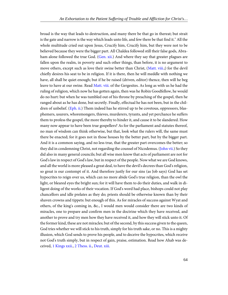broad is the way that leads to destruction, and many there be that go in thereat; but strait is the gate and narrow is the way which leads unto life, and few there be that find it." All the whole multitude cried out upon Jesus, Crucify him, Crucify him, but they were not to be believed because they were the bigger part. All Chaldea followed still their false gods, Abra-ham alone followed the true God. ([Gen. xii.](http://www.ccel.org/study/Bible:Gen.12)) And where they say that greater plagues are fallen upon the realm, in poverty and such other things, than before, it is no argument to move others, except such as love their swine better than Christ, [\(Matt. viii.](http://www.ccel.org/study/Bible:Matt.8);) for the devil chiefly desires his seat to be in religion. If it is there, then he will meddle with nothing we have, all shall be quiet enough; but if he be raised (driven, editor) thence, then will he beg leave to have at our swine. Read [Matt. viii.](http://www.ccel.org/study/Bible:Matt.8) of the Gergesites. As long as with us he had the ruling of religion, which now he has gotten again, then was he Robin Goodfellow, he would do no hurt: but when he was tumbled out of his throne by preaching of the gospel, then he ranged about as he has done, but secretly. Finally, effectual he has not been, but in the chil-dren of unbelief. [\(Eph. ii.](http://www.ccel.org/study/Bible:Eph.2)) Them indeed has he stirred up to be covetous, oppressors, blasphemers, usurers, whoremongers, thieves, murderers, tyrants, and yet perchance he suffers them to profess the gospel, the more thereby to hinder it, and cause it to be slandered. How many now appear to have been true gospellers? As for the parliament and statutes thereof, no man of wisdom can think otherwise, but that, look what the rulers will, the same must there be enacted; for it goes not in those houses by the better part, but by the bigger part. And it is a common saying, and no less true, that the greater part overcomes the better; so they did in condemning Christ, not regarding the counsel of Nicodemus. ([John vii.](http://www.ccel.org/study/Bible:John.7)) So they did also in many general councils; but all wise men know that acts of parliament are not for God's law in respect of God's law, but in respect of the people. Now what we are God knows, and all the world is more pleased a great deal, to have the devil's decrees than God's religion, so great is our contempt of it. And therefore justly for our sins (as Job says) God has set hypocrites to reign over us, which can no more abide God's true religion, than the owl the light, or bleared eyes the bright sun; for it will have them to do their duties, and walk in diligent doing of the works of their vocation. If God's word had place, bishops could not play chancellors and idle prelates as they do; priests should be otherwise known than by their shaven crowns and tippets: but enough of this. As for miracles of success against Wyat and others, of the king's coming in, &c., I would men would consider there are two kinds of miracles, one to prepare and confirm men in the doctrine which they have received, and another to prove and try men how they have received it, and how they will stick unto it. Of the former kind, these are not miracles; but of the second, by this success given to the queen, God tries whether we will stick to his truth, simply for his truth sake, or no. This is a mighty illusion, which God sends to prove his people, and to deceive the hypocrites, which receive not God's truth simply, but in respect of gain, praise, estimation. Read how Ahab was deceived, [1 Kings xxii.,](http://www.ccel.org/study/Bible:1Kgs.22) [2 Thess. ii.](http://www.ccel.org/study/Bible:2Thess.2), [Deut. xiii.](http://www.ccel.org/study/Bible:Deut.13)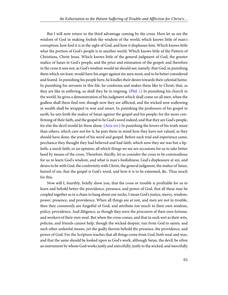But I will now return to the third advantage coming by the cross. Here let us see the wisdom of God in making foolish the wisdom of the world, which knows little of man's corruption; how foul it is in the sight of God, and how it displeases him. Which knows little what the portion of God's people is in another world. Which knows little of the Pattern of Christians, Christ Jesus. Which knows little of the general judgment of God, the greater malice of Satan to God's people, and the price and estimation of the gospel; and therefore in the cross it sees not, as God's wisdom would we should see; namely, that God, in punishing them which sin least, would have his anger against sin seen most, and to be better considered and feared. In punishing his people here, he kindles their desire towards their celestial home. In punishing his servants in this life, he conforms and makes them like to Christ, that, as they are like in suffering, so shall they be in reigning. [\(Phil. i.\)](http://www.ccel.org/study/Bible:Phil.1) In punishing his church in the world, he gives a demonstration of his judgment which shall come on all men, when the godless shall there find rest, though now they are afflicted, and the wicked now wallowing in wealth shall be wrapped in woe and smart. In punishing the professors of his gospel in earth, he sets forth the malice of Satan against the gospel and his people; for the more confirming of their faith, and the gospel to be God's word indeed, and that they are God's people, for else the devil would let them alone. [\(Acts xvi.\)](http://www.ccel.org/study/Bible:Acts.16) In punishing the lovers of his truth more than others, which care not for it, he puts them in mind how they have not valued, as they should have done, the jewel of his word and gospel. Before such trial and experience came, perchance they thought they had believed and had faith, which now they see was but a lipfaith, a mock faith, or an opinion; all which things we see are occasions for us to take better heed by means of the cross. Therefore, thirdly, let us consider the cross to be commodious for us to learn God's wisdom, and what is man's foolishness, God's displeasure at sin, and desire to be with God, the conformity with Christ, the general judgment, the malice of Satan, hatred of sin, that the gospel is God's word, and how it is to be esteemed, &c. Thus much for this.

Now will I, fourthly, briefly show you, that the cross or trouble is profitable for us to learn and behold better the providence, presence, and power of God, that all these may be coupled together as in a chain to hang about our necks, I mean God's justice, mercy, wisdom, power, presence, and providence. When all things are at rest, and men are not in trouble, then they commonly are forgetful of God, and attribute too much to their own wisdom, policy, providence, And diligence, as though they were the procurers of their own fortune, and workers of their own weal. But when the cross comes, and that in such sort as their wits, policies, and friends cannot help, though the wicked despair, run from God to saints, and such other unlawful means, yet the godly therein behold the presence, the providence, and power of God. For the Scripture teaches that all things come from God, both weal and woe, and that the same should be looked upon as God's work, although Satan, the devil, be often an instrument by whom God works justly and mercifully; justly to the wicked, and mercifully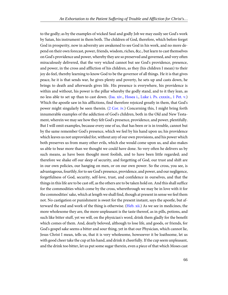to the godly; as by the examples of wicked Saul and godly Job we may easily see God's work by Satan, his instrument in them both. The children of God, therefore, which before forget God in prosperity, now in adversity are awakened to see God in his work, and no more depend on their own forecast, power, friends, wisdom, riches, &;c., but learn to cast themselves on God's providence and power, whereby they are so preserved and governed, and very often miraculously delivered, that the very wicked cannot but see God's providence, presence, and power, in the cross and affliction of his children, as they (his children I mean) to their joy do feel, thereby learning to know God to be the governor of all things. He it is that gives peace, he it is that sends war, he gives plenty and poverty, he sets up and casts down, he brings to death and afterwards gives life. His presence is everywhere, his providence is within and without, his power is the pillar whereby the godly stand, and to it they lean, as no less able to set up than to cast down. ([Isa. xiv.,](http://www.ccel.org/study/Bible:Isa.14) [Hosea i.,](http://www.ccel.org/study/Bible:Hos.1) [Luke i.](http://www.ccel.org/study/Bible:Luke.1) [Ps. cxxxix.](http://www.ccel.org/study/Bible:Ps.139), [1 Pet. v.](http://www.ccel.org/study/Bible:1Pet.5)) Which the apostle saw in his afflictions, find therefore rejoiced greatly in them, that God's power might singularly be seen therein. [\(2 Cor. iv.\)](http://www.ccel.org/study/Bible:2Cor.4) Concerning this, I might bring forth innumerable examples of the addiction of God's children, both in the Old and New Testament, wherein we may see how they felt God's presence, providence, and power, plentifully. But I will omit examples, because every one of us, that has been or is in trouble, cannot but by the same remember God's presence, which we feel by his hand upon us; his providence which leaves us not unprovided for, without any of our own provisions, and his power which both preserves us from many other evils, which else would come upon us, and also makes us able to bear more than we thought we could have done. So very often he delivers us by such means, as have been thought most foolish, and to have been little regarded; and therefore we shake off our sleep of security, and forgetting of God, our trust and shift are in our own policies, our hanging on men, or on our own power. So the cross, you see, is advantageous, fourthly, for to see God's presence, providence, and power, and our negligence, forgetfulness of God, security, self-love, trust, and confidence in ourselves, and that the things in this life are to be cast off, as the others are to be taken hold on. And this shall suffice for the commodities which come by the cross, wherethrough we may be in love with it for the commodities' sake, which at length we shall find, though at present in sense we feel them not. No castigation or punishment is sweet for the present instant, says the apostle, but afterward the end and work of the thing is otherwise. [\(Heb. xii.](http://www.ccel.org/study/Bible:Heb.12)) As we see in medicines, the more wholesome they are, the more unpleasant is the taste thereof, as in pills, potions, and such like bitter stuff, yet we will, on the physician's word, drink them gladly for the benefit which comes of them. And, dearly beloved, although to lose life, and goods, or friends, for God's gospel sake seems a bitter and sour thing, yet in that our Physician, which cannot lie, Jesus Christ I mean, tells us, that it is very wholesome, howsoever it be loathsome, let us with good cheer take the cup at his hand, and drink it cheerfully. If the cup seem unpleasant, and the drink too bitter, let us put some sugar therein, even a piece of that which Moses cast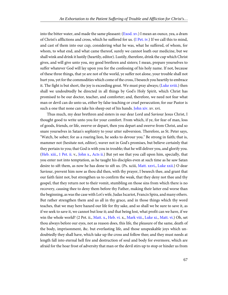into the bitter water, and made the same pleasant: [\(Exod. xv.\)](http://www.ccel.org/study/Bible:Exod.15) I mean an ounce, yea, a dram of Christ's afflictions and cross, which he suffered for us. [\(I Pet. iv.](http://www.ccel.org/study/Bible:1Pet.4)) If we call this to mind, and cast of them into our cup, considering what he was, what he suffered, of whom, for whom, to what end, and what came thereof, surely we cannot loath our medicine, but we shall wink and drink it lustily (heartily, editor). Lustily, therefore, drink the cup which Christ gives, and will give unto you, my good brethren and sisters; I mean, prepare yourselves to suffer whatever God will lay upon you for the confessing of his holy name. If not, because of these three things, that ye are not of the world, ye suffer not alone, your trouble shall not hurt you, yet for the commodities which come of the cross, I beseech you heartily to embrace it. The fight is but short, the joy is exceeding great. We must pray always; [\(Luke xviii.\)](http://www.ccel.org/study/Bible:Luke.18) then shall we undoubtedly be directed in all things by God's Holy Spirit, which Christ has promised to be our doctor, teacher, and comforter; and, therefore, we need not fear what man or devil can do unto us, either by false teaching or cruel persecution; for our Pastor is such a one that none can take his sheep out of his hands. [John xiv.](http://www.ccel.org/study/Bible:John.14) xv. xvi.

Thus much, my dear brethren and sisters in our dear Lord and Saviour Jesus Christ, I thought good to write unto you for your comfort. From which, if ye, for fear of man, loss of goods, friends, or life, swerve or depart, then you depart and swerve from Christ, and so snare yourselves in Satan's sophistry to your utter subversion. Therefore, as St. Peter says, "Watch, be sober; for as a roaring lion, he seeks to devour you." Be strong in faith; that is, mammer not (hesitate not, editor), waver not in God's promises, but believe certainly that they pertain to you; that God is with you in trouble; that he will deliver you, and glorify you. ([Heb. xiii.](http://www.ccel.org/study/Bible:Heb.13), [1 Pet. ii.](http://www.ccel.org/study/Bible:1Pet.2) v., [John x.](http://www.ccel.org/study/Bible:John.10), [Acts ii.](http://www.ccel.org/study/Bible:Acts.2)) But yet see that you call upon him, specially, that you enter not into temptation, as he taught his disciples even at such time as he saw Satan desire to sift them, as now he has done to sift us. (Ps. xciii, [Matt. xxvi.,](http://www.ccel.org/study/Bible:Matt.26) [Luke xxii.\)](http://www.ccel.org/study/Bible:Luke.22) O dear Saviour, prevent him now as thou did then, with thy prayer, I beseech thee, and grant that our faith faint not, but strengthen us to confirm the weak, that they deny not thee and thy gospel, that they return not to their vomit, stumbling on those sins from which there is no recovery, causing thee to deny them before thy Father, making their latter end worse than the beginning, as was the case with Lot's wife, Judas Iscariot, Francis Spira, and many others. But rather strengthen them and us all in thy grace, and in those things which thy word teaches, that we may here hazard our life for thy sake, and so shall we be sure to save it, as if we seek to save it, we cannot but lose it; and that being lost, what profit can we have, if we win the whole world? (2 Pet. ii., [Matt. x.,](http://www.ccel.org/study/Bible:Matt.10) [Heb. vi.](http://www.ccel.org/study/Bible:Heb.6) x., [Mark viii.](http://www.ccel.org/study/Bible:Mark.8), [Luke xi.,](http://www.ccel.org/study/Bible:Luke.11) [Matt. vi.](http://www.ccel.org/study/Bible:Matt.6)) Oh, set thou always before our eyes, not as reason does, this life, the pleasure of the same, death of the body, imprisonment, &c. but everlasting life, and those unspeakable joys which undoubtedly they shall have, which take up the cross and follow thee; and they must needs at length fall into eternal hell fire and destruction of soul and body for evermore, which are afraid for the hoar frost of adversity that man or the devil stirs up to stop or hinder us from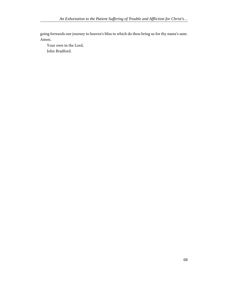going forwards our journey to heaven's bliss to which do thou bring us for thy name's sane. Amen.

Your own in the Lord, John Bradford.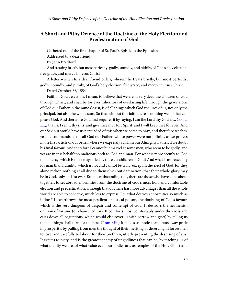## **A Short and Pithy Defence of the Doctrine of the Holy Election and Predestination of God**

Gathered out of the first chapter of St. Paul's Epistle to the Ephesians

Addressed to a dear friend

By John Bradford

And treating briefly but most perfectly, godly, soundly, and pithily, of God's holy election, free grace, and mercy in Jesus Christ

A letter written to a dear friend of his, wherein he treats briefly, but most perfectly, godly, soundly, and pithily, of God's holy election, free grace, and mercy in Jesus Christ.

Dated October 22, 1554.

<span id="page-72-1"></span><span id="page-72-0"></span>Faith in God's election, I mean, to believe that we are in very deed the children of God through Christ, and shall be for ever inheritors of everlasting life through the grace alone of God our Father in the same Christ, is of all things which God requires of us, not only the principal, but also the whole sum. So that without this faith there is nothing we do that can please God. And therefore God first requires it by saying, I am the Lord thy God &c., ([Exod.](http://www.ccel.org/study/Bible:Exod.20)  $xx$ .;) that is, I remit thy sins, and give thee my Holy Spirit, and I will keep thee for ever. And our Saviour would have us persuaded of this when we come to pray, and therefore teaches, yea, he commands us to call God our Father, whose power were not infinite, as we profess in the first article of our belief, where we expressly call him our Almighty Father, if we doubt his final favour. And therefore I cannot but marvel at some men, who seem to be godly, and yet are in this behalf too malicious both to God and man. For what is more seemly to God than mercy, which is most magnified by the elect children of God? And what is more seemly for man than humility, which is not and cannot be truly, except in the elect of God; for they alone reckon nothing at all due to themselves but damnation, that their whole glory may be in God, only and for ever. But notwithstanding this, there are those who have gone about together, to set abroad enormities from the doctrine of God's most holy and comfortable election and predestination, although that doctrine has more advantages than all the whole world are able to conceive, much less to express. For what destroys enormities so much as it does? It overthrows the most pestilent papistical poison, the doubting of God's favour, which is the very dungeon of despair and contempt of God. It destroys the heathenish opinion of fortune (or chance, editor). It comforts most comfortably under the cross and casts down all cogitations, which would else cover us with sorrow and grief, by telling us that all things shall turn for the best. ([Rom. viii.\)](http://www.ccel.org/study/Bible:Rom.8) It makes us modest, and puts away pride in prosperity, by pulling from men the thought of their meriting or deserving. It forces men to love, and carefully to labour for their brethren, utterly preventing the despising of any. It excites to piety, and is the greatest enemy of ungodliness that can be, by teaching us of what dignity we are, of what value even our bodies are, as temples of the Holy Ghost and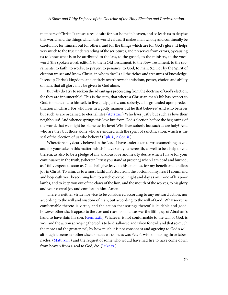members of Christ. It causes a real desire for our home in heaven, and so leads us to despise this world, and the things which this world values. It makes man wholly and continually be careful not for himself but for others, and for the things which are for God's glory. It helps very much to the true understanding of the scriptures, and preserves from errors, by causing us to know what is to be attributed to the law, to the gospel, to the ministry, to the vocal word (the spoken word, editor), to them Old Testament, to the New Testament, to the sacraments, to faith, to works, to prayer, to penance, to God, to man, &c. For by the Spirit of election we see and know Christ, in whom dwells all the riches and treasures of knowledge. It sets up Christ's kingdom, and entirely overthrows the wisdom, power, choice, and ability of man, that all glory may be given to God alone.

<span id="page-73-3"></span>But why do I try to reckon the advantages proceeding from the doctrine of God's election, for they are innumerable? This is the sum, that where a Christian man's life has respect to God, to man, and to himself, to live godly, justly, and soberly, all is grounded upon predestination in Christ. For who lives in a godly manner but he that believes? And who believes but such as are ordained to eternal life? [\(Acts xiii.](http://www.ccel.org/study/Bible:Acts.13)) Who lives justly but such as love their neighbours? And whence springs this love but from God's election before the beginning of the world, that we might be blameless by love? Who lives soberly but such as are holy? And who are they but those alone who are endued with the spirit of sanctification, which is the seal of the election of us who believe? ([Eph. i.](http://www.ccel.org/study/Bible:Eph.1), [2 Cor. ii.\)](http://www.ccel.org/study/Bible:2Cor.2)

<span id="page-73-4"></span>Wherefore, my dearly beloved in the Lord, I have undertaken to write something to you and for your sake in this matter, which I have sent you herewith, as well to be a help to you therein, as also to be a pledge of my anxious love and hearty desire which I have for your continuance in the truth, (wherein I trust you stand at present,) when I am dead and burned, as I fully expect as soon as God shall give leave to his enemies, for my benefit and endless joy in Christ. To Him, as to a most faithful Pastor, from the bottom of my heart I commend and bequeath you, beseeching him to watch over you night and day as over one of his poor lambs, and to keep you out of the claws of the lion, and the mouth of the wolves, to his glory and your eternal joy and comfort in him. Amen.

<span id="page-73-2"></span><span id="page-73-1"></span><span id="page-73-0"></span>There is neither virtue nor vice to be considered according to any outward action, nor according to the will and wisdom of man, but according to the will of God. Whatsoever is conformable thereto is virtue, and the action that springs thereof is laudable and good, however otherwise it appear to the eyes and reason of man, as was the lifting up of Abraham's hand to have slain his son. [\(Gen. xxii.\)](http://www.ccel.org/study/Bible:Gen.22) Whatever is not conformable to the will of God, is vice, and the action springing thereof is to be disallowed and taken for evil; and that so much the more and the greater evil, by how much it is not consonant and agreeing to God's will, although it seems far otherwise to man's wisdom, as was Peter's wish of making three tabernacles, [\(Matt. xvii.](http://www.ccel.org/study/Bible:Matt.17)) and the request of some who would have had fire to have come down from heaven from a zeal to God, &c. [\(Luke ix.](http://www.ccel.org/study/Bible:Luke.9))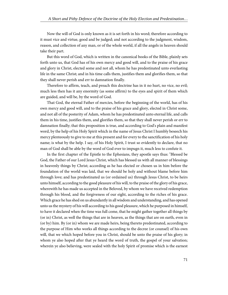Now the will of God is only known as it is set forth in his word; therefore according to it must vice and virtue, good and be judged; and not according to the judgment, wisdom, reason, and collection of any man, or of the whole world, if all the angels in heaven should take their part.

But this word of God, which is written in the canonical books of the Bible, plainly sets forth unto us, that God has of his own mercy and good will, and to the praise of his grace and glory in Christ, elected some and not all, whom he has predestinated unto everlasting life in the same Christ; and in his time calls them, justifies them and glorifies them, so that they shall never perish and err to damnation finally.

Therefore to affirm, teach, and preach this doctrine has in it no hurt, no vice, no evil; much less then has it any enormity (as some affirm) to the eyes and spirit of them which are guided, and will be, by the word of God.

That God, the eternal Father of mercies, before the beginning of the world, has of his own mercy and good will, and to the praise of his grace and glory, elected in Christ some, and not all of the posterity of Adam, whom he has predestinated unto eternal life, and calls them in his time, justifies them, and glorifies them, so that they shall never perish or err to damnation finally; that this proposition is true, and according to God's plain and manifest word, by the help of his Holy Spirit which in the name of Jesus Christ I humbly beseech his mercy plenteously to give to me at this present and for every to the sanctification of his holy name; is what by the help. I say, of his Holy Spirit, I trust so evidently to declare, that no man of God shall be able by the word of God ever to impugn it, much less to confute it.

In the first chapter of the Epistle to the Ephesians, they apostle says thus: "Blessed be God, the Father of our Lord Jesus Christ, which has blessed us with all manner of blessings in heavenly things by Christ; according as he has elected or chosen us in him before the foundation of the world was laid, that we should be holy and without blame before him through love; and has predestinated us (or ordained us) through Jesus Christ, to be heirs unto himself, according to the good pleasure of his will, to the praise of the glory of his grace, wherewith he has made us accepted in the Beloved, by whom we have received redemption through his blood, and the forgiveness of our eight, according to the riches of his grace. Which grace he has shed on us abundantly in all wisdom and understanding, and has opened unto us the mystery of his will according to his good pleasure, which he purposed in himself, to have it declared when the time was full come, that he might gather together all things by (or in) Christ, as well the things that are in heaven, as the things that are on earth, even in (or by) him. By (or in) whom we are made heirs, being thereto predestinated, according to the purpose of Him who works all things according to the decree (or counsel) of his own will, that we which hoped before you in Christ, should be unto the praise of his glory; in whom ye also hoped after that ye heard the word of truth, the gospel of your salvation; wherein ye also believing, were sealed with the holy Spirit of promise which is the earnest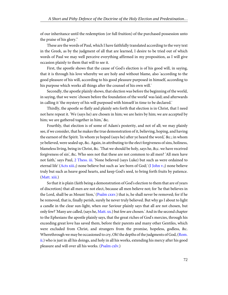of our inheritance until the redemption (or full fruition) of the purchased possession unto the praise of his glory."

These are the words of Paul, which I have faithfully translated according to the very text in the Greek, as by the judgment of all that are learned, I desire to be tried out of which words of Paul we may well perceive everything affirmed in my proposition, as I will give occasion plainly to them that will to see it.

First, the apostle shows that the cause of God's election is of his good will, in saying, that it is through his love whereby we are holy and without blame, also 'according to the good pleasure of his will, according to his good pleasure purposed in himself, according to his purpose which works all things after the counsel of his own will.'

Secondly, the apostle plainly shows, that election was before the beginning of the world, in saying, that we were 'chosen before the foundation of the world' was laid; and afterwards in calling it 'the mystery of his will purposed with himself in time to be declared.'

Thirdly, the apostle so flatly and plainly sets forth that election is in Christ, that I need not here repeat it. 'We (says he) are chosen in him; we are heirs by him; we are accepted by him; we are gathered together in him,' &c.

<span id="page-75-6"></span><span id="page-75-4"></span>Fourthly, that election is of some of Adam's posterity, and not of all; we may plainly see, if we consider, that he makes the true demonstration of it, believing, hoping, and having the earnest of the Spirit. 'In whom ye hoped (says he) after ye heard the word,' &c.; in whom ye believed, were sealed up, &c. Again, in attributing to the elect forgiveness of sins, holiness, blameless living, being in Christ, &c. 'That we should be holy, says he, &;c. we have received forgiveness of sin', &c. Who sees not that these are not common to all men? 'All men have not faith,' says Paul, [2 Thess. iii.](http://www.ccel.org/study/Bible:2Thess.3) 'None believed (says Luke) but such as were ordained to eternal life' ([Acts xiii.](http://www.ccel.org/study/Bible:Acts.13);) none believe but such as 'are born of God;' [\(I John v.;](http://www.ccel.org/study/Bible:1John.5)) none believe truly but such as heave good hearts, and keep God's seed, to bring forth fruits by patience. ([Matt. xiii.\)](http://www.ccel.org/study/Bible:Matt.13)

<span id="page-75-5"></span><span id="page-75-3"></span><span id="page-75-2"></span><span id="page-75-1"></span><span id="page-75-0"></span>So that it is plain (faith being a demonstration of God's election to them that are of years of discretion) that all men are not elect, because all men believe not; for 'he that believes in the Lord, shall be as Mount Sion,' ([Psalm cxxv.](http://www.ccel.org/study/Bible:Ps.125)) that is, he shall never be removed; for if he be removed, that is, finally perish, surely he never truly believed. But why go I about to light a candle in the clear sun-light, when our Saviour plainly says that all are not chosen, but only few? 'Many are called, (says he, [Matt. xx.](http://www.ccel.org/study/Bible:Matt.20)) but few are chosen.' And in the second chapter to the Ephesians the apostle plainly says, that the great riches of God's mercies, through his exceeding great love has saved them, before their parents and many other Gentiles, which were excluded from Christ, and strangers from the promise, hopeless, godless, &c. Wherethrough we may be occasioned to cry, Oh! the depths of the judgments of God, [\(Rom.](http://www.ccel.org/study/Bible:Rom.2) [ii.](http://www.ccel.org/study/Bible:Rom.2)) who is just in all his doings, and holy in all his works, extending his mercy after his good pleasure and will over all his works. ([Psalm cxlv.](http://www.ccel.org/study/Bible:Ps.145))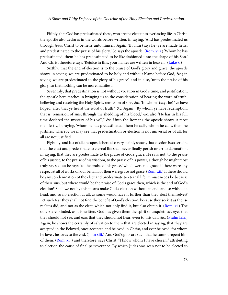<span id="page-76-3"></span>Fifthly, that God has predestinated these, who are the elect unto everlasting life in Christ, the apostle also declares in the words before written, in saying, 'And has predestinated us through Jesus Christ to be heirs unto himself' Again, 'By him (says he) ye are made heirs, and predestinated to the praise of his glory.' So says the apostle, ([Rom. viii.\)](http://www.ccel.org/study/Bible:Rom.8) 'Whom he has predestinated, them he has predestinated to be like fashioned unto the shape of his Son.' And Christ therefore says, 'Rejoice in this, your names are written in heaven.' ([Luke x.](http://www.ccel.org/study/Bible:Luke.10))

<span id="page-76-1"></span>Sixthly, that the end of election is to the praise of God's glory and grace, the apostle shows in saying, we are predestinated to be holy and without blame before God, &c.; in saying, we are predestinated to the glory of his grace', and in also, 'unto the praise of his glory, so that nothing can be more manifest.

Seventhly, that predestination is not without vocation in God's time, and justification, the apostle here teaches in bringing us to the consideration of hearing the word of truth, believing and receiving the Holy Spirit, remission of sins, &c. "In whom" (says he) "ye have hoped, after that ye heard the word of truth," &c. Again, "By whom ye have redemption, that is, remission of sins, through the shedding of his blood," &c. also "He has in his full time declared the mystery of his will," &c. Unto the Romans the apostle shows it most manifestly, in saying, 'whom he has predestinated, them he calls, whom he calls, them he justifies;' whereby we may see that predestination or election is not universal or of all, for all are not justified.

<span id="page-76-6"></span><span id="page-76-5"></span><span id="page-76-4"></span><span id="page-76-2"></span><span id="page-76-0"></span>Eighthly, and last of all, the apostle here also very plainly shows, that election is so certain, that the elect and predestinate to eternal life shall never finally perish or err to damnation, in saying, that they are predestinate to the praise of God's grace. He says not, to the praise of his justice, to the praise of his wisdom, to the praise of his power, although he might most truly say so; but he says, 'to the praise of his grace,' which were not grace, if there were any respect at all of works on our behalf; for then were grace not grace. [\(Rom. xii.](http://www.ccel.org/study/Bible:Rom.12)) If there should be any condemnation of the elect and predestinate to eternal life, it must needs be because of their sins; but where would be the praise of God's grace then, which is the end of God's election? Shall we not by this means make God's election without an end, and so without a head, and so no election at all, as some would have it further than they elect themselves? Let such fear they shall not find the benefit of God's election, because they seek it as the Israelites did, and not as the elect, which not only find it, but also obtain it. [\(Rom. xi.\)](http://www.ccel.org/study/Bible:Rom.11) The others are blinded, as it is written, God has given them the spirit of unquietness, eyes that they should not see, and ears that they should not hear, even to this day, &c. ([Psalm lxix.](http://www.ccel.org/study/Bible:Ps.69)) Again, he shows the certainly of salvation to them that are elected in saying, that they are accepted in the Beloved, once accepted and beloved in Christ, and ever beloved; for whom he loves, he loves to the end. ([John xiii.](http://www.ccel.org/study/Bible:John.13)) And God's gifts are such that he cannot repent him of them, ([Rom. xi.;](http://www.ccel.org/study/Bible:Rom.11)) and therefore, says Christ, "I know whom I have chosen," attributing to election the cause of final perseverance. By which Judas was seen not to be elected to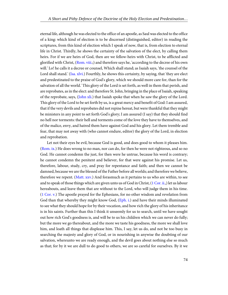<span id="page-77-3"></span><span id="page-77-2"></span><span id="page-77-0"></span>eternal life, although he was elected to the office of an apostle, as Saul was elected to the office of a king: which kind of election is to be discerned (distinguished, editor) in reading the scriptures, from this kind of election which I speak of now, that is, from election to eternal life in Christ. Thirdly, he shows the certainty of the salvation of the elect, by calling them heirs. For if we are heirs of God, then are we fellow-heirs with Christ, to be afflicted and glorified with Christ, [\(Rom. viii.;](http://www.ccel.org/study/Bible:Rom.8)) and therefore says he, 'according to the decree of his own will.' Lo! he calls it a decree or counsel, Which shall stand; as Isaiah says, 'the counsel of the Lord shall stand.' ([Isa. xlvi.\)](http://www.ccel.org/study/Bible:Isa.46) Fourthly, he shows this certainty, by saying, that 'they are elect and predestinated to the praise of God's glory, which we should more care for, than for the salvation of all the world.' This glory of the Lord is set forth, as well in them that perish, and are reprobates, as in the elect: and therefore St. John, bringing in the place of Isaiah, speaking of the reprobate, says, ([John xli.\)](http://www.ccel.org/study/Bible:John.41) that Isaiah spoke that when he saw the glory of the Lord. This glory of the Lord to be set forth by us, is a great mercy and benefit of God: I am assured, that if the very devils and reprobates did not repine hereat, but were thankful that they might be ministers in any point to set forth God's glory; I am assured (I say) that they should find no hell nor torments: their hell and torments come of the love they have to themselves, and of the malice, envy, and hatred them have against God and his glory. Let them tremble and fear, that may not away with (who cannot endure, editor) the glory of the Lord, in election and reprobation.

<span id="page-77-7"></span><span id="page-77-6"></span><span id="page-77-5"></span><span id="page-77-4"></span><span id="page-77-1"></span>Let not their eyes be evil, because God is good, and does good to whom it pleases him. ([Rom. ix.\)](http://www.ccel.org/study/Bible:Rom.9) He does wrong to no man, nor can do, for then he were not righteous, and so no God. He cannot condemn the just, for then were he untrue, because his word is contrary; he cannot condemn the penitent and believer, for that were against his promise. Let us, therefore, labour, study, cry, and pray for repentance and faith; and then we cannot be damned, because we are the blessed of the Father before all worlds; and therefore we believe, therefore we repent. ([Matt. xxv.](http://www.ccel.org/study/Bible:Matt.25)) And forasmuch as it pertains to us who are within, to see and to speak of those things which are given unto us of God in Christ, [\(1 Cor. ii.,](http://www.ccel.org/study/Bible:1Cor.2)) let us labour hereabouts, and leave them that are without to the Lord, who will judge them in his time. ([1 Cor. v.](http://www.ccel.org/study/Bible:1Cor.5)) The apostle prayed for the Ephesians, for no other wisdom and revelation from God than that whereby they might know God, [\(Eph. i.](http://www.ccel.org/study/Bible:Eph.1)) and have their minds illuminated to see what they should hope for by their vocation, and how rich the glory of his inheritance is in his saints. Further than this I think it unseemly for us to search, until we have sought out how rich God's goodness is, and will be to us his children which we can never do fully; but the more we go thereabout, and the more we taste his goodness, the more we shall love him, and loath all things that displease him. This, I say, let us do, and not be too busy in searching the majesty and glory of God, or in nourishing in anywise the doubting of our salvation, whereunto we are ready enough, and the devil goes about nothing else so much as that; for by it we are dull to do good to others, we are so careful for ourselves. By it we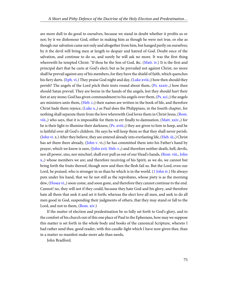<span id="page-78-14"></span><span id="page-78-12"></span><span id="page-78-7"></span><span id="page-78-6"></span><span id="page-78-5"></span><span id="page-78-4"></span><span id="page-78-2"></span><span id="page-78-1"></span><span id="page-78-0"></span>are more dull to do good to ourselves, because we stand in doubt whether it profits us or not; by it we dishonour God, either in making him as though he were not true, or else as though our salvation came not only and altogether from him, but hanged partly on ourselves; by it the devil will bring men at length to despair and hatred of God. Doubt once of the salvation, and continue to do so, and surely he will ask no more. It was the first thing wherewith he tempted Christ: "If thou be the Son of God, &c. ([Matt. iv.\)](http://www.ccel.org/study/Bible:Matt.4) It is the first and principal dart that he casts at God's elect; but as he prevailed not against Christ, no more shall he prevail against any of his members, for they have the shield of faith, which quenches his fiery darts. [\(Eph. vi.](http://www.ccel.org/study/Bible:Eph.6)) They praise God night and day, [\(Luke xviii.;](http://www.ccel.org/study/Bible:Luke.18)) how then should they perish? The angels of the Lord pitch their tents round about them, ([Ps. xxxiv.,](http://www.ccel.org/study/Bible:Ps.34)) how then should Satan prevail. They are borne in the hands of the angels, lest they should hurt their feet at any stone; God has given commandment to his angels over them, ([Ps. xci.](http://www.ccel.org/study/Bible:Ps.91);) the angels are ministers unto them, ([Heb. i.;](http://www.ccel.org/study/Bible:Heb.1)) their names are written in the book of life, and therefore Christ bade them rejoice, [\(Luke x.,](http://www.ccel.org/study/Bible:Luke.10)) as Paul does the Philippians, in the fourth chapter, for nothing shall separate them from the love wherewith God loves them in Christ Jesus, [\(Rom.](http://www.ccel.org/study/Bible:Rom.8) [viii.](http://www.ccel.org/study/Bible:Rom.8),) who says, that it is impossible for them to err finally to damnation, ([Matt. xxiv.](http://www.ccel.org/study/Bible:Matt.24),) for he is their light to illumine their darkness, ([Ps. xviii.](http://www.ccel.org/study/Bible:Ps.18);) they are given to him to keep, and he is faithful over all God's children. He says he will keep them so that they shall never perish. ([John vi.](http://www.ccel.org/study/Bible:John.6) x.) After they believe, they are entered already into everlasting life, ([Heb. iii.,](http://www.ccel.org/study/Bible:Heb.3)) Christ has set them there already, ([John v.](http://www.ccel.org/study/Bible:John.5) vi.;) he has committed them into his Father's hand by prayer, which we know is sure, ([John xvii.](http://www.ccel.org/study/Bible:John.17) [Heb. v.;](http://www.ccel.org/study/Bible:Heb.5)) and therefore neither death, hell, devils, nor all power, sins, nor mischief, shall ever pull us out of our Head's hands, [\(Rom. viii.](http://www.ccel.org/study/Bible:Rom.8), [John](http://www.ccel.org/study/Bible:John.10) [x.,](http://www.ccel.org/study/Bible:John.10)) whose members we are; and therefore receiving of his Spirit, as we do, we cannot but bring forth the fruits thereof, though now and then the flesh fail us. But the Lord, even our Lord, be praised, who is stronger in us than he which is in the world. [\(1 John iv.\)](http://www.ccel.org/study/Bible:1John.4) He always puts under his hand, that we lie not still as the reprobates, whose piety is as the morning dew, [\(Hosea vi.](http://www.ccel.org/study/Bible:Hos.6),) soon come, and soon gone, and therefore they cannot continue to the end. Cannot! no, they will not if they could, because they hate God and his glory, and therefore hate all them that seek it and set it forth; whereas the elect love all men, and seek to do all men good in God, suspending their judgments of others, that they may stand or fall to the Lord, and not to them, [\(Rom. xiv.](http://www.ccel.org/study/Bible:Rom.14))

<span id="page-78-15"></span><span id="page-78-13"></span><span id="page-78-11"></span><span id="page-78-10"></span><span id="page-78-9"></span><span id="page-78-8"></span><span id="page-78-3"></span>If the matter of election and predestination be so fully set forth to God's glory, and to the comfort of his church out of this one place of Paul to the Ephesians, how may we suppose this matter is set forth in the whole body and books of the canonical Scripture, whereto I had rather send thee, good reader, with this candle-light which I have now given thee, than in a matter so manifest make more ado than needs,

John Bradford.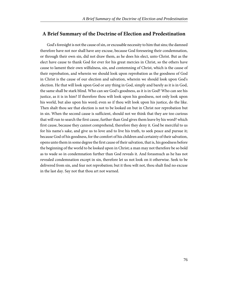## **A Brief Summary of the Doctrine of Election and Predestination**

God's foresight is not the cause of sin, or excusable necessity to him that sins; the damned therefore have not nor shall have any excuse, because God foreseeing their condemnation, or through their own sin, did not draw them, as he does his elect, unto Christ. But as the elect have cause to thank God for ever for his great mercies in Christ, so the others have cause to lament their own wilfulness, sin, and contemning of Christ, which is the cause of their reprobation, and wherein we should look upon reprobation as the goodness of God in Christ is the cause of our election and salvation, wherein we should look upon God's election. He that will look upon God or any thing in God, simply and barely as it is in God, the same shall be stark blind. Who can see God's goodness, as it is in God? Who can see his justice, as it is in him? If therefore thou wilt look upon his goodness, not only look upon his world, but also upon his word; even so if thou wilt look upon his justice, do the like. Then shalt thou see that election is not to be looked on but in Christ nor reprobation but in sin. When the second cause is sufficient, should not we think that they are too curious that will run to search the first cause, further than God gives them leave by his word? which first cause, because they cannot comprehend, therefore they deny it. God be merciful to us for his name's sake, and give us to love and to live his truth, to seek peace and pursue it; because God of his goodness, for the comfort of his children and certainty of their salvation, opens unto them in some degree the first cause of their salvation, that is, his goodness before the beginning of the world to be looked upon in Christ; a man may not therefore be so bold as to wade so in condemnation further than God reveals it. And forasmuch as he has not revealed condemnation except in sin, therefore let us not look on it otherwise. Seek to be delivered from sin, and fear not reprobation; but it thou wilt not, thou shalt find no excuse in the last day. Say not that thou art not warned.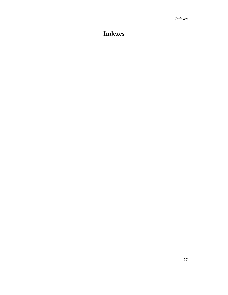## **Indexes**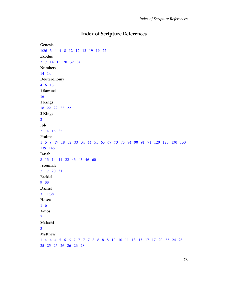## **Index of Scripture References**

```
Genesis
1:26   3   4   4   8   12   12   13   19   19   22  
Exodus
2   7   14   15   20   32   34  
Numbers
14   14  
Deuteronomy
4   6   13  
1 Samuel
16  
1 Kings
18   22   22   22   22  
2 Kings
2  
Job
7   14   15   25  
Psalms
1   5   9   17   18   32   33   34   44   51   63   69   73   75   84   90   91   91   120   125   130   130  
139   145  
Isaiah
8   13   14   14   22   43   43   46   60  
Jeremiah
7   17   20   31  
Ezekiel
9   33  
Daniel
3   11:38  
Hosea
1   6  
Amos
7  
Malachi
3  
Matthew
1   4   4   4   5   6   6   7   7   7   7   8   8   8   8   10   10   11   13   13   17   17   20   22   24   25  
25   25   25   26   26   26   28
```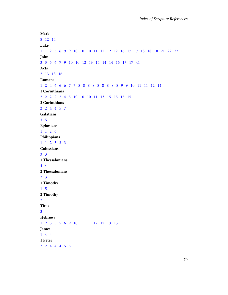```
Mark
8   12   14  
Luke
1   1   2   5   6   9   9   10   10   10   11   12   12   12   16   17   17   18   18   18   21   22   22  
John
3   3   5   6   7   9   10   10   12   13   14   14   14   16   17   17   41  
Acts
2   13   13   16  
Romans
1   2   4   6   6   6   7   7   8   8   8   8   8   8   8   8   8   9   9   10   11   11   12   14  
1 Corinthians
2   2   2   2   2   4   5   10   10   10   11   13   15   15   15   15  
2 Corinthians
2   2   4   4   5   7  
Galatians
3   5  
Ephesians
1   1   2   6  
Philippians
12  3 3
Colossians
3<sup>3</sup>1 Thessalonians
4   4  
2 Thessalonians
2   3  
1 Timothy
1   5  
2 Timothy
2  
Titus
3  
Hebrews
1   2   3   5   5   6   9   10   11   11   12   12   13   13  
James
14 \quad 41 Peter
24  4  45   5
```